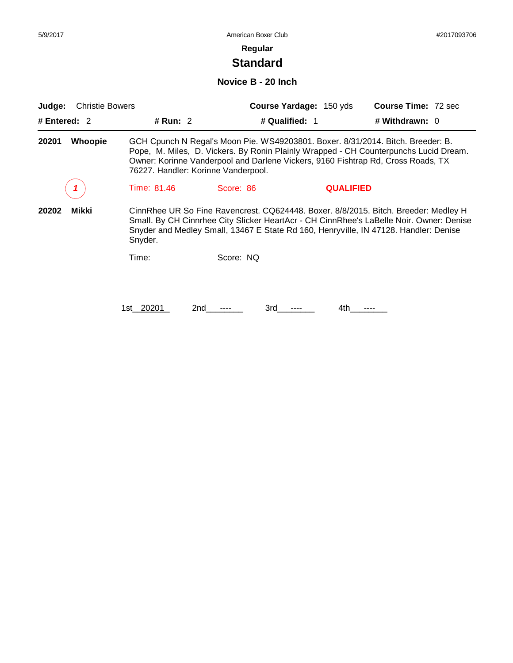# **Standard**

## **Novice B - 20 Inch**

| <b>Christie Bowers</b><br>Judge: |             |                                                                                                                         | <b>Course Yardage: 150 yds</b> | <b>Course Time: 72 sec</b>                                                                                                                                                                                                                                             |
|----------------------------------|-------------|-------------------------------------------------------------------------------------------------------------------------|--------------------------------|------------------------------------------------------------------------------------------------------------------------------------------------------------------------------------------------------------------------------------------------------------------------|
| # Entered: $2$                   | # Run: $2$  |                                                                                                                         | # Qualified: 1                 | # Withdrawn: 0                                                                                                                                                                                                                                                         |
| <b>Whoopie</b><br>20201          |             | Owner: Korinne Vanderpool and Darlene Vickers, 9160 Fishtrap Rd, Cross Roads, TX<br>76227. Handler: Korinne Vanderpool. |                                | GCH Cpunch N Regal's Moon Pie. WS49203801. Boxer. 8/31/2014. Bitch. Breeder: B.<br>Pope, M. Miles, D. Vickers. By Ronin Plainly Wrapped - CH Counterpunchs Lucid Dream.                                                                                                |
|                                  | Time: 81.46 | Score: 86                                                                                                               | <b>QUALIFIED</b>               |                                                                                                                                                                                                                                                                        |
| 20202<br>Mikki                   | Snyder.     |                                                                                                                         |                                | CinnRhee UR So Fine Ravencrest. CQ624448. Boxer. 8/8/2015. Bitch. Breeder: Medley H<br>Small. By CH Cinnrhee City Slicker HeartAcr - CH CinnRhee's LaBelle Noir. Owner: Denise<br>Snyder and Medley Small, 13467 E State Rd 160, Henryville, IN 47128. Handler: Denise |
|                                  | Time:       | Score: NQ                                                                                                               |                                |                                                                                                                                                                                                                                                                        |
|                                  | 1st 20201   | 2nd<br>3rd                                                                                                              | 4th                            |                                                                                                                                                                                                                                                                        |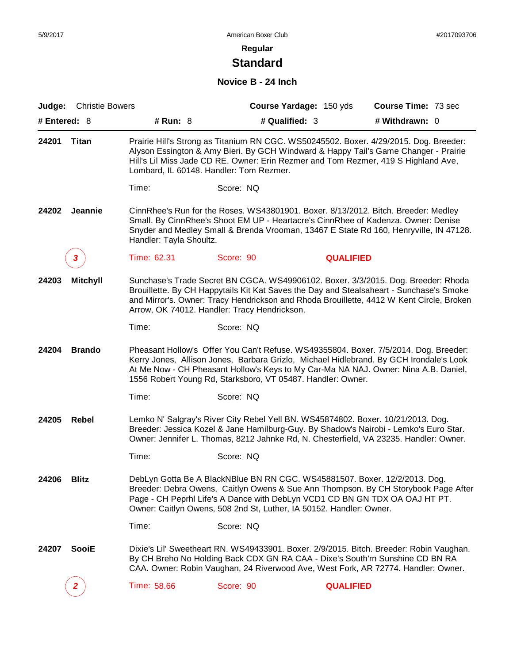# **Standard**

# **Novice B - 24 Inch**

| Judge:         | <b>Christie Bowers</b> |                         |                                                                                                                                                                                                                                  | Course Yardage: 150 yds | Course Time: 73 sec                                                                                                                                                                                                                                                      |
|----------------|------------------------|-------------------------|----------------------------------------------------------------------------------------------------------------------------------------------------------------------------------------------------------------------------------|-------------------------|--------------------------------------------------------------------------------------------------------------------------------------------------------------------------------------------------------------------------------------------------------------------------|
| # Entered: $8$ |                        | # Run: 8                | # Qualified: 3                                                                                                                                                                                                                   |                         | # Withdrawn: 0                                                                                                                                                                                                                                                           |
| 24201          | Titan                  |                         | Lombard, IL 60148. Handler: Tom Rezmer.                                                                                                                                                                                          |                         | Prairie Hill's Strong as Titanium RN CGC. WS50245502. Boxer. 4/29/2015. Dog. Breeder:<br>Alyson Essington & Amy Bieri. By GCH Windward & Happy Tail's Game Changer - Prairie<br>Hill's Lil Miss Jade CD RE. Owner: Erin Rezmer and Tom Rezmer, 419 S Highland Ave,       |
|                |                        | Time:                   | Score: NQ                                                                                                                                                                                                                        |                         |                                                                                                                                                                                                                                                                          |
| 24202          | Jeannie                | Handler: Tayla Shoultz. |                                                                                                                                                                                                                                  |                         | CinnRhee's Run for the Roses. WS43801901. Boxer. 8/13/2012. Bitch. Breeder: Medley<br>Small. By CinnRhee's Shoot EM UP - Heartacre's CinnRhee of Kadenza. Owner: Denise<br>Snyder and Medley Small & Brenda Vrooman, 13467 E State Rd 160, Henryville, IN 47128.         |
|                | 3                      | Time: 62.31             | Score: 90                                                                                                                                                                                                                        | <b>QUALIFIED</b>        |                                                                                                                                                                                                                                                                          |
| 24203          | <b>Mitchyll</b>        |                         | Arrow, OK 74012. Handler: Tracy Hendrickson.                                                                                                                                                                                     |                         | Sunchase's Trade Secret BN CGCA. WS49906102. Boxer. 3/3/2015. Dog. Breeder: Rhoda<br>Brouillette. By CH Happytails Kit Kat Saves the Day and Stealsaheart - Sunchase's Smoke<br>and Mirror's. Owner: Tracy Hendrickson and Rhoda Brouillette, 4412 W Kent Circle, Broken |
|                |                        | Time:                   | Score: NQ                                                                                                                                                                                                                        |                         |                                                                                                                                                                                                                                                                          |
| 24204          | <b>Brando</b>          |                         | 1556 Robert Young Rd, Starksboro, VT 05487. Handler: Owner.                                                                                                                                                                      |                         | Pheasant Hollow's Offer You Can't Refuse. WS49355804. Boxer. 7/5/2014. Dog. Breeder:<br>Kerry Jones, Allison Jones, Barbara Grizlo, Michael Hidlebrand. By GCH Irondale's Look<br>At Me Now - CH Pheasant Hollow's Keys to My Car-Ma NA NAJ. Owner: Nina A.B. Daniel,    |
|                |                        | Time:                   | Score: NQ                                                                                                                                                                                                                        |                         |                                                                                                                                                                                                                                                                          |
| 24205          | Rebel                  |                         | Lemko N' Salgray's River City Rebel Yell BN. WS45874802. Boxer. 10/21/2013. Dog.                                                                                                                                                 |                         | Breeder: Jessica Kozel & Jane Hamilburg-Guy. By Shadow's Nairobi - Lemko's Euro Star.<br>Owner: Jennifer L. Thomas, 8212 Jahnke Rd, N. Chesterfield, VA 23235. Handler: Owner.                                                                                           |
|                |                        | Time:                   | Score: NQ                                                                                                                                                                                                                        |                         |                                                                                                                                                                                                                                                                          |
| 24206          | <b>Blitz</b>           |                         | DebLyn Gotta Be A BlackNBlue BN RN CGC. WS45881507. Boxer. 12/2/2013. Dog.<br>Page - CH Peprhl Life's A Dance with DebLyn VCD1 CD BN GN TDX OA OAJ HT PT.<br>Owner: Caitlyn Owens, 508 2nd St, Luther, IA 50152. Handler: Owner. |                         | Breeder: Debra Owens, Caitlyn Owens & Sue Ann Thompson. By CH Storybook Page After                                                                                                                                                                                       |
|                |                        | Time:                   | Score: NQ                                                                                                                                                                                                                        |                         |                                                                                                                                                                                                                                                                          |
| 24207          | <b>SooiE</b>           |                         | By CH Breho No Holding Back CDX GN RA CAA - Dixe's South'rn Sunshine CD BN RA                                                                                                                                                    |                         | Dixie's Lil' Sweetheart RN. WS49433901. Boxer. 2/9/2015. Bitch. Breeder: Robin Vaughan.<br>CAA. Owner: Robin Vaughan, 24 Riverwood Ave, West Fork, AR 72774. Handler: Owner.                                                                                             |
|                |                        | Time: 58.66             | Score: 90                                                                                                                                                                                                                        | <b>QUALIFIED</b>        |                                                                                                                                                                                                                                                                          |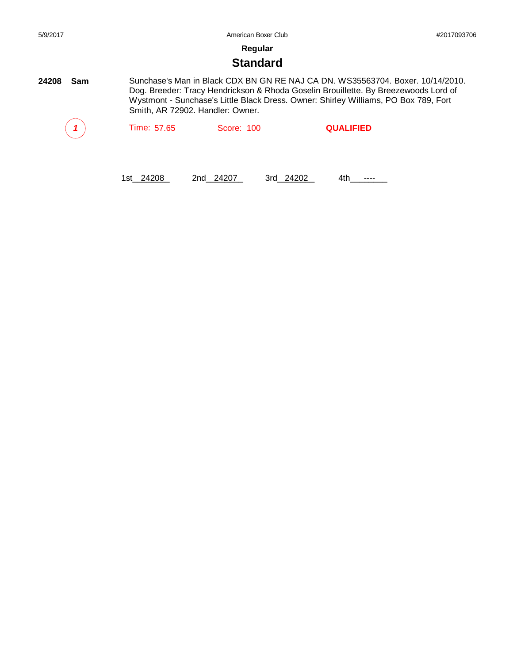# **Standard**

**24208 Sam** Sunchase's Man in Black CDX BN GN RE NAJ CA DN. WS35563704. Boxer. 10/14/2010. Dog. Breeder: Tracy Hendrickson & Rhoda Goselin Brouillette. By Breezewoods Lord of Wystmont - Sunchase's Little Black Dress. Owner: Shirley Williams, PO Box 789, Fort Smith, AR 72902. Handler: Owner.

|  | Time: 57.65 | Score: 100 | <b>QUALIFIED</b> |
|--|-------------|------------|------------------|
|--|-------------|------------|------------------|

1st\_24208 2nd\_24207 3rd\_24202 4th\_\_\_\_\_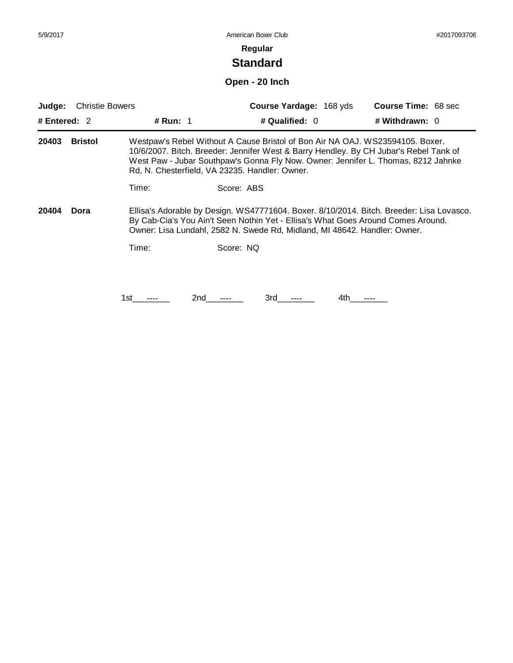# **Standard**

# **Open - 20 Inch**

| Judge:         | <b>Christie Bowers</b> |                 | <b>Course Yardage: 168 yds</b><br><b>Course Time: 68 sec</b>                                                                                                                                                                                                                                                  |  |
|----------------|------------------------|-----------------|---------------------------------------------------------------------------------------------------------------------------------------------------------------------------------------------------------------------------------------------------------------------------------------------------------------|--|
| # Entered: $2$ |                        | <b># Run: 1</b> | # Qualified: $0$<br># Withdrawn: $0$                                                                                                                                                                                                                                                                          |  |
| 20403          | <b>Bristol</b>         |                 | Westpaw's Rebel Without A Cause Bristol of Bon Air NA OAJ. WS23594105. Boxer.<br>10/6/2007. Bitch. Breeder: Jennifer West & Barry Hendley. By CH Jubar's Rebel Tank of<br>West Paw - Jubar Southpaw's Gonna Fly Now. Owner: Jennifer L. Thomas, 8212 Jahnke<br>Rd, N. Chesterfield, VA 23235. Handler: Owner. |  |
|                |                        | Time:           | Score: ABS                                                                                                                                                                                                                                                                                                    |  |
| 20404          | Dora                   |                 | Ellisa's Adorable by Design. WS47771604. Boxer. 8/10/2014. Bitch. Breeder: Lisa Lovasco.<br>By Cab-Cia's You Ain't Seen Nothin Yet - Ellisa's What Goes Around Comes Around.<br>Owner: Lisa Lundahl, 2582 N. Swede Rd, Midland, MI 48642. Handler: Owner.                                                     |  |
|                |                        | Time:           | Score: NQ                                                                                                                                                                                                                                                                                                     |  |
|                |                        |                 |                                                                                                                                                                                                                                                                                                               |  |
|                |                        | 2nd<br>1st      | 3rd<br>4th                                                                                                                                                                                                                                                                                                    |  |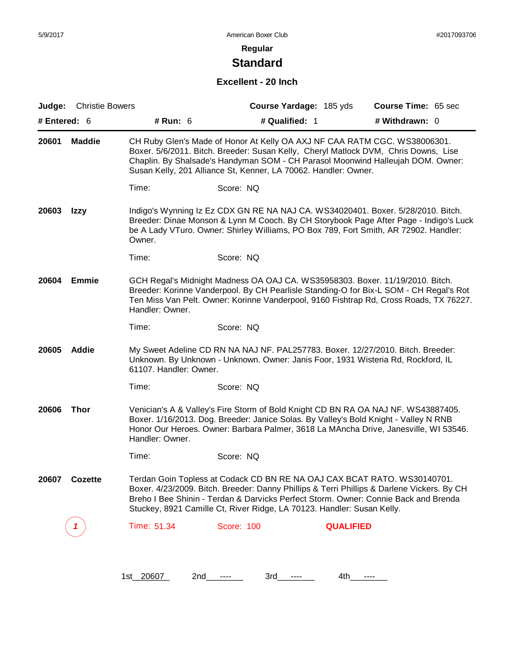# **Standard**

#### **Excellent - 20 Inch**

| Judge:       | <b>Christie Bowers</b> |                        | Course Yardage: 185 yds                                                                                                                                                                                                                                                                                                                 | Course Time: 65 sec |
|--------------|------------------------|------------------------|-----------------------------------------------------------------------------------------------------------------------------------------------------------------------------------------------------------------------------------------------------------------------------------------------------------------------------------------|---------------------|
| # Entered: 6 |                        | # Run: 6               | # Qualified: 1                                                                                                                                                                                                                                                                                                                          | # Withdrawn: 0      |
| 20601        | <b>Maddie</b>          |                        | CH Ruby Glen's Made of Honor At Kelly OA AXJ NF CAA RATM CGC. WS38006301.<br>Boxer. 5/6/2011. Bitch. Breeder: Susan Kelly, Cheryl Matlock DVM, Chris Downs, Lise<br>Chaplin. By Shalsade's Handyman SOM - CH Parasol Moonwind Halleujah DOM. Owner:<br>Susan Kelly, 201 Alliance St, Kenner, LA 70062. Handler: Owner.                  |                     |
|              |                        | Time:                  | Score: NQ                                                                                                                                                                                                                                                                                                                               |                     |
| 20603        | Izzy                   | Owner.                 | Indigo's Wynning Iz Ez CDX GN RE NA NAJ CA. WS34020401. Boxer. 5/28/2010. Bitch.<br>Breeder: Dinae Monson & Lynn M Cooch. By CH Storybook Page After Page - Indigo's Luck<br>be A Lady VTuro. Owner: Shirley Williams, PO Box 789, Fort Smith, AR 72902. Handler:                                                                       |                     |
|              |                        | Time:                  | Score: NQ                                                                                                                                                                                                                                                                                                                               |                     |
| 20604        | <b>Emmie</b>           | Handler: Owner.        | GCH Regal's Midnight Madness OA OAJ CA. WS35958303. Boxer. 11/19/2010. Bitch.<br>Breeder: Korinne Vanderpool. By CH Pearlisle Standing-O for Bix-L SOM - CH Regal's Rot<br>Ten Miss Van Pelt. Owner: Korinne Vanderpool, 9160 Fishtrap Rd, Cross Roads, TX 76227.                                                                       |                     |
|              |                        | Time:                  | Score: NQ                                                                                                                                                                                                                                                                                                                               |                     |
| 20605        | <b>Addie</b>           | 61107. Handler: Owner. | My Sweet Adeline CD RN NA NAJ NF. PAL257783. Boxer. 12/27/2010. Bitch. Breeder:<br>Unknown. By Unknown - Unknown. Owner: Janis Foor, 1931 Wisteria Rd, Rockford, IL                                                                                                                                                                     |                     |
|              |                        | Time:                  | Score: NQ                                                                                                                                                                                                                                                                                                                               |                     |
| 20606        | <b>Thor</b>            | Handler: Owner.        | Venician's A & Valley's Fire Storm of Bold Knight CD BN RA OA NAJ NF. WS43887405.<br>Boxer. 1/16/2013. Dog. Breeder: Janice Solas. By Valley's Bold Knight - Valley N RNB<br>Honor Our Heroes. Owner: Barbara Palmer, 3618 La MAncha Drive, Janesville, WI 53546.                                                                       |                     |
|              |                        | Time:                  | Score: NQ                                                                                                                                                                                                                                                                                                                               |                     |
| 20607        | <b>COZETTE</b>         |                        | Terdan Goin Topless at Codack CD BN RE NA OAJ CAX BCAT RATO. WS30140701.<br>Boxer. 4/23/2009. Bitch. Breeder: Danny Phillips & Terri Phillips & Darlene Vickers. By CH<br>Breho I Bee Shinin - Terdan & Darvicks Perfect Storm. Owner: Connie Back and Brenda<br>Stuckey, 8921 Camille Ct, River Ridge, LA 70123. Handler: Susan Kelly. |                     |
|              | -7                     | Time: 51.34            | <b>Score: 100</b>                                                                                                                                                                                                                                                                                                                       | <b>QUALIFIED</b>    |
|              |                        |                        |                                                                                                                                                                                                                                                                                                                                         |                     |
|              |                        |                        |                                                                                                                                                                                                                                                                                                                                         |                     |

1st\_20607 2nd\_\_\_\_\_\_ 3rd\_\_\_\_\_ 4th\_\_\_\_\_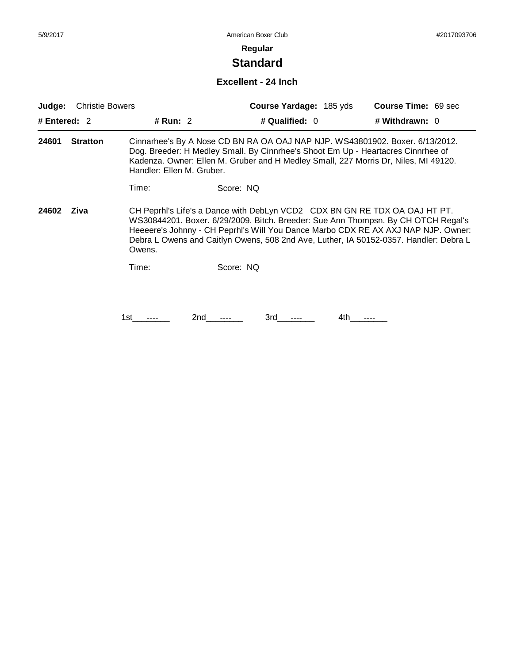# **Standard**

### **Excellent - 24 Inch**

| # Qualified: 0<br># Withdrawn: 0<br>Cinnarhee's By A Nose CD BN RA OA OAJ NAP NJP. WS43801902. Boxer. 6/13/2012.                                                                                                                                                                                                                              |
|-----------------------------------------------------------------------------------------------------------------------------------------------------------------------------------------------------------------------------------------------------------------------------------------------------------------------------------------------|
|                                                                                                                                                                                                                                                                                                                                               |
| Dog. Breeder: H Medley Small. By Cinnrhee's Shoot Em Up - Heartacres Cinnrhee of<br>Kadenza. Owner: Ellen M. Gruber and H Medley Small, 227 Morris Dr, Niles, MI 49120.                                                                                                                                                                       |
|                                                                                                                                                                                                                                                                                                                                               |
| CH Peprhl's Life's a Dance with DebLyn VCD2 CDX BN GN RE TDX OA OAJ HT PT.<br>WS30844201. Boxer. 6/29/2009. Bitch. Breeder: Sue Ann Thompsn. By CH OTCH Regal's<br>Heeeere's Johnny - CH Peprhl's Will You Dance Marbo CDX RE AX AXJ NAP NJP. Owner:<br>Debra L Owens and Caitlyn Owens, 508 2nd Ave, Luther, IA 50152-0357. Handler: Debra L |
|                                                                                                                                                                                                                                                                                                                                               |
| 3rd<br>4th                                                                                                                                                                                                                                                                                                                                    |
|                                                                                                                                                                                                                                                                                                                                               |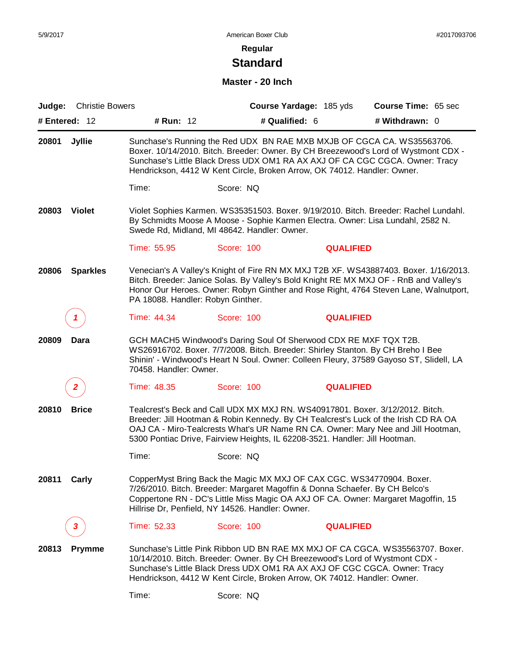# **Standard**

## **Master - 20 Inch**

| Judge:        | <b>Christie Bowers</b> |                                                                                                                                                                                                                                       |                   | Course Yardage: 185 yds | Course Time: 65 sec                                                                                                                                                                                                                                                   |
|---------------|------------------------|---------------------------------------------------------------------------------------------------------------------------------------------------------------------------------------------------------------------------------------|-------------------|-------------------------|-----------------------------------------------------------------------------------------------------------------------------------------------------------------------------------------------------------------------------------------------------------------------|
| # Entered: 12 |                        | # Run: 12                                                                                                                                                                                                                             | # Qualified: 6    |                         | # Withdrawn: 0                                                                                                                                                                                                                                                        |
| 20801         | Jyllie                 | Hendrickson, 4412 W Kent Circle, Broken Arrow, OK 74012. Handler: Owner.                                                                                                                                                              |                   |                         | Sunchase's Running the Red UDX BN RAE MXB MXJB OF CGCA CA. WS35563706.<br>Boxer. 10/14/2010. Bitch. Breeder: Owner. By CH Breezewood's Lord of Wystmont CDX -<br>Sunchase's Little Black Dress UDX OM1 RA AX AXJ OF CA CGC CGCA. Owner: Tracy                         |
|               |                        | Time:                                                                                                                                                                                                                                 | Score: NQ         |                         |                                                                                                                                                                                                                                                                       |
| 20803         | <b>Violet</b>          | Swede Rd, Midland, MI 48642. Handler: Owner.                                                                                                                                                                                          |                   |                         | Violet Sophies Karmen. WS35351503. Boxer. 9/19/2010. Bitch. Breeder: Rachel Lundahl.<br>By Schmidts Moose A Moose - Sophie Karmen Electra. Owner: Lisa Lundahl, 2582 N.                                                                                               |
|               |                        | Time: 55.95                                                                                                                                                                                                                           | Score: 100        | <b>QUALIFIED</b>        |                                                                                                                                                                                                                                                                       |
| 20806         | <b>Sparkles</b>        | PA 18088. Handler: Robyn Ginther.                                                                                                                                                                                                     |                   |                         | Venecian's A Valley's Knight of Fire RN MX MXJ T2B XF. WS43887403. Boxer. 1/16/2013.<br>Bitch. Breeder: Janice Solas. By Valley's Bold Knight RE MX MXJ OF - RnB and Valley's<br>Honor Our Heroes. Owner: Robyn Ginther and Rose Right, 4764 Steven Lane, Walnutport, |
|               |                        | Time: 44.34                                                                                                                                                                                                                           | <b>Score: 100</b> | <b>QUALIFIED</b>        |                                                                                                                                                                                                                                                                       |
| 20809         | Dara                   | GCH MACH5 Windwood's Daring Soul Of Sherwood CDX RE MXF TQX T2B.<br>WS26916702. Boxer. 7/7/2008. Bitch. Breeder: Shirley Stanton. By CH Breho I Bee<br>70458. Handler: Owner.                                                         |                   |                         | Shinin' - Windwood's Heart N Soul. Owner: Colleen Fleury, 37589 Gayoso ST, Slidell, LA                                                                                                                                                                                |
|               |                        | Time: 48.35                                                                                                                                                                                                                           | Score: 100        | <b>QUALIFIED</b>        |                                                                                                                                                                                                                                                                       |
| 20810         | <b>Brice</b>           | Tealcrest's Beck and Call UDX MX MXJ RN. WS40917801. Boxer. 3/12/2012. Bitch.<br>5300 Pontiac Drive, Fairview Heights, IL 62208-3521. Handler: Jill Hootman.                                                                          |                   |                         | Breeder: Jill Hootman & Robin Kennedy. By CH Tealcrest's Luck of the Irish CD RA OA<br>OAJ CA - Miro-Tealcrests What's UR Name RN CA. Owner: Mary Nee and Jill Hootman,                                                                                               |
|               |                        | Time:                                                                                                                                                                                                                                 | Score: NQ         |                         |                                                                                                                                                                                                                                                                       |
| 20811         | Carly                  | CopperMyst Bring Back the Magic MX MXJ OF CAX CGC. WS34770904. Boxer.<br>7/26/2010. Bitch. Breeder: Margaret Magoffin & Donna Schaefer. By CH Belco's<br>Hillrise Dr, Penfield, NY 14526. Handler: Owner.                             |                   |                         | Coppertone RN - DC's Little Miss Magic OA AXJ OF CA. Owner: Margaret Magoffin, 15                                                                                                                                                                                     |
|               | 3                      | Time: 52.33                                                                                                                                                                                                                           | Score: 100        | <b>QUALIFIED</b>        |                                                                                                                                                                                                                                                                       |
| 20813         | <b>Prymme</b>          | 10/14/2010. Bitch. Breeder: Owner. By CH Breezewood's Lord of Wystmont CDX -<br>Sunchase's Little Black Dress UDX OM1 RA AX AXJ OF CGC CGCA. Owner: Tracy<br>Hendrickson, 4412 W Kent Circle, Broken Arrow, OK 74012. Handler: Owner. |                   |                         | Sunchase's Little Pink Ribbon UD BN RAE MX MXJ OF CA CGCA, WS35563707, Boxer,                                                                                                                                                                                         |
|               |                        | Time:                                                                                                                                                                                                                                 | Score: NQ         |                         |                                                                                                                                                                                                                                                                       |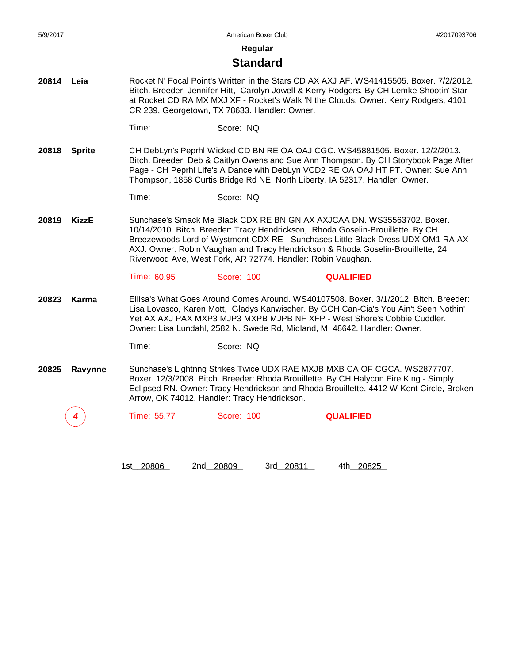**Regular**

#### **Standard**

- **20814 Leia** Rocket N' Focal Point's Written in the Stars CD AX AXJ AF. WS41415505. Boxer. 7/2/2012. Bitch. Breeder: Jennifer Hitt, Carolyn Jowell & Kerry Rodgers. By CH Lemke Shootin' Star at Rocket CD RA MX MXJ XF - Rocket's Walk 'N the Clouds. Owner: Kerry Rodgers, 4101 CR 239, Georgetown, TX 78633. Handler: Owner.
	- Time: Score: NQ
- **20818 Sprite** CH DebLyn's Peprhl Wicked CD BN RE OA OAJ CGC. WS45881505. Boxer. 12/2/2013. Bitch. Breeder: Deb & Caitlyn Owens and Sue Ann Thompson. By CH Storybook Page After Page - CH Peprhl Life's A Dance with DebLyn VCD2 RE OA OAJ HT PT. Owner: Sue Ann Thompson, 1858 Curtis Bridge Rd NE, North Liberty, IA 52317. Handler: Owner.
	- Time: Score: NQ
- **20819 KizzE** Sunchase's Smack Me Black CDX RE BN GN AX AXJCAA DN. WS35563702. Boxer. 10/14/2010. Bitch. Breeder: Tracy Hendrickson, Rhoda Goselin-Brouillette. By CH Breezewoods Lord of Wystmont CDX RE - Sunchases Little Black Dress UDX OM1 RA AX AXJ. Owner: Robin Vaughan and Tracy Hendrickson & Rhoda Goselin-Brouillette, 24 Riverwood Ave, West Fork, AR 72774. Handler: Robin Vaughan.

Time: 60.95 Score: 100 **QUALIFIED**

**20823 Karma** Ellisa's What Goes Around Comes Around. WS40107508. Boxer. 3/1/2012. Bitch. Breeder: Lisa Lovasco, Karen Mott, Gladys Kanwischer. By GCH Can-Cia's You Ain't Seen Nothin' Yet AX AXJ PAX MXP3 MJP3 MXPB MJPB NF XFP - West Shore's Cobbie Cuddler. Owner: Lisa Lundahl, 2582 N. Swede Rd, Midland, MI 48642. Handler: Owner.

Time: Score: NQ

**20825 Ravynne** Sunchase's Lightnng Strikes Twice UDX RAE MXJB MXB CA OF CGCA. WS2877707. Boxer. 12/3/2008. Bitch. Breeder: Rhoda Brouillette. By CH Halycon Fire King - Simply Eclipsed RN. Owner: Tracy Hendrickson and Rhoda Brouillette, 4412 W Kent Circle, Broken Arrow, OK 74012. Handler: Tracy Hendrickson.

*4* Time: 55.77 Score: 100 **QUALIFIED**

1st\_\_\_\_\_\_\_\_ 20806 2nd\_\_\_\_\_\_\_\_ 20809 3rd\_\_\_\_\_\_\_\_ 20811 4th\_\_\_\_\_\_\_\_ 20825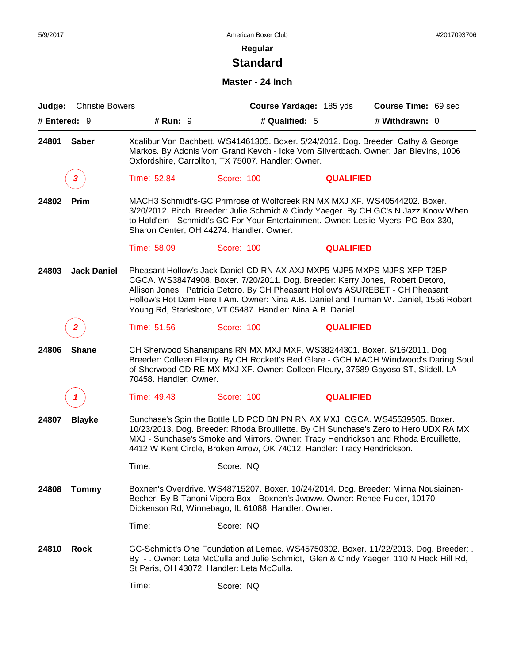# **Standard**

#### **Master - 24 Inch**

| Judge:       | <b>Christie Bowers</b> |                        | Course Yardage: 185 yds                                                                                                                                                                                                                                                                                                                                                                           |                  | Course Time: 69 sec |
|--------------|------------------------|------------------------|---------------------------------------------------------------------------------------------------------------------------------------------------------------------------------------------------------------------------------------------------------------------------------------------------------------------------------------------------------------------------------------------------|------------------|---------------------|
| # Entered: 9 |                        | # Run: $9$             | # Qualified: 5                                                                                                                                                                                                                                                                                                                                                                                    |                  | # Withdrawn: 0      |
| 24801        | <b>Saber</b>           |                        | Xcalibur Von Bachbett. WS41461305. Boxer. 5/24/2012. Dog. Breeder: Cathy & George<br>Markos. By Adonis Vom Grand Kevch - Icke Vom Silvertbach. Owner: Jan Blevins, 1006<br>Oxfordshire, Carrollton, TX 75007. Handler: Owner.                                                                                                                                                                     |                  |                     |
|              | 3                      | Time: 52.84            | Score: 100                                                                                                                                                                                                                                                                                                                                                                                        | <b>QUALIFIED</b> |                     |
| 24802        | Prim                   |                        | MACH3 Schmidt's-GC Primrose of Wolfcreek RN MX MXJ XF. WS40544202. Boxer.<br>3/20/2012. Bitch. Breeder: Julie Schmidt & Cindy Yaeger. By CH GC's N Jazz Know When<br>to Hold'em - Schmidt's GC For Your Entertainment. Owner: Leslie Myers, PO Box 330,<br>Sharon Center, OH 44274. Handler: Owner.                                                                                               |                  |                     |
|              |                        | Time: 58.09            | Score: 100                                                                                                                                                                                                                                                                                                                                                                                        | <b>QUALIFIED</b> |                     |
| 24803        | <b>Jack Daniel</b>     |                        | Pheasant Hollow's Jack Daniel CD RN AX AXJ MXP5 MJP5 MXPS MJPS XFP T2BP<br>CGCA. WS38474908. Boxer. 7/20/2011. Dog. Breeder: Kerry Jones, Robert Detoro,<br>Allison Jones, Patricia Detoro. By CH Pheasant Hollow's ASUREBET - CH Pheasant<br>Hollow's Hot Dam Here I Am. Owner: Nina A.B. Daniel and Truman W. Daniel, 1556 Robert<br>Young Rd, Starksboro, VT 05487. Handler: Nina A.B. Daniel. |                  |                     |
|              |                        | Time: 51.56            | Score: 100                                                                                                                                                                                                                                                                                                                                                                                        | <b>QUALIFIED</b> |                     |
| 24806        | <b>Shane</b>           | 70458. Handler: Owner. | CH Sherwood Shananigans RN MX MXJ MXF. WS38244301. Boxer. 6/16/2011. Dog.<br>Breeder: Colleen Fleury. By CH Rockett's Red Glare - GCH MACH Windwood's Daring Soul<br>of Sherwood CD RE MX MXJ XF. Owner: Colleen Fleury, 37589 Gayoso ST, Slidell, LA                                                                                                                                             |                  |                     |
|              |                        | Time: 49.43            | Score: 100                                                                                                                                                                                                                                                                                                                                                                                        | <b>QUALIFIED</b> |                     |
| 24807        | <b>Blayke</b>          |                        | Sunchase's Spin the Bottle UD PCD BN PN RN AX MXJ CGCA. WS45539505. Boxer.<br>10/23/2013. Dog. Breeder: Rhoda Brouillette. By CH Sunchase's Zero to Hero UDX RA MX<br>MXJ - Sunchase's Smoke and Mirrors. Owner: Tracy Hendrickson and Rhoda Brouillette,<br>4412 W Kent Circle, Broken Arrow, OK 74012. Handler: Tracy Hendrickson.                                                              |                  |                     |
|              |                        | Time:                  | Score: NQ                                                                                                                                                                                                                                                                                                                                                                                         |                  |                     |
| 24808        | <b>Tommy</b>           |                        | Boxnen's Overdrive. WS48715207. Boxer. 10/24/2014. Dog. Breeder: Minna Nousiainen-<br>Becher. By B-Tanoni Vipera Box - Boxnen's Jwoww. Owner: Renee Fulcer, 10170<br>Dickenson Rd, Winnebago, IL 61088. Handler: Owner.                                                                                                                                                                           |                  |                     |
|              |                        | Time:                  | Score: NQ                                                                                                                                                                                                                                                                                                                                                                                         |                  |                     |
| 24810        | <b>Rock</b>            |                        | GC-Schmidt's One Foundation at Lemac. WS45750302. Boxer. 11/22/2013. Dog. Breeder: .<br>By - . Owner: Leta McCulla and Julie Schmidt, Glen & Cindy Yaeger, 110 N Heck Hill Rd,<br>St Paris, OH 43072. Handler: Leta McCulla.                                                                                                                                                                      |                  |                     |
|              |                        | Time:                  | Score: NQ                                                                                                                                                                                                                                                                                                                                                                                         |                  |                     |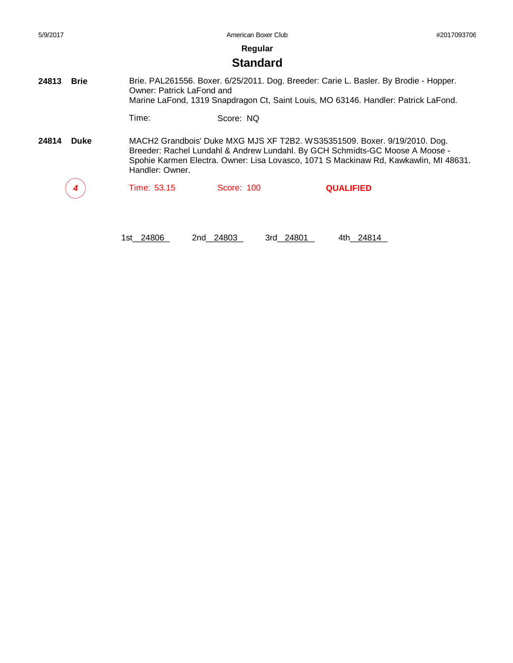| 5/9/2017             |                           | American Boxer Club |                                                                                                                                                                                                                                                   | #2017093706 |
|----------------------|---------------------------|---------------------|---------------------------------------------------------------------------------------------------------------------------------------------------------------------------------------------------------------------------------------------------|-------------|
|                      |                           | Regular             |                                                                                                                                                                                                                                                   |             |
|                      |                           | <b>Standard</b>     |                                                                                                                                                                                                                                                   |             |
| 24813<br><b>Brie</b> | Owner: Patrick LaFond and |                     | Brie. PAL261556. Boxer. 6/25/2011. Dog. Breeder: Carie L. Basler. By Brodie - Hopper.<br>Marine LaFond, 1319 Snapdragon Ct, Saint Louis, MO 63146. Handler: Patrick LaFond.                                                                       |             |
|                      | Time:                     | Score: NQ           |                                                                                                                                                                                                                                                   |             |
| 24814<br><b>Duke</b> | Handler: Owner.           |                     | MACH2 Grandbois' Duke MXG MJS XF T2B2. WS35351509. Boxer. 9/19/2010. Dog.<br>Breeder: Rachel Lundahl & Andrew Lundahl. By GCH Schmidts-GC Moose A Moose -<br>Spohie Karmen Electra. Owner: Lisa Lovasco, 1071 S Mackinaw Rd, Kawkawlin, MI 48631. |             |
|                      | Time: 53.15               | Score: 100          | <b>QUALIFIED</b>                                                                                                                                                                                                                                  |             |
|                      |                           |                     |                                                                                                                                                                                                                                                   |             |

1st\_\_24806 2nd\_\_24803 3rd\_\_24801 4th\_\_24814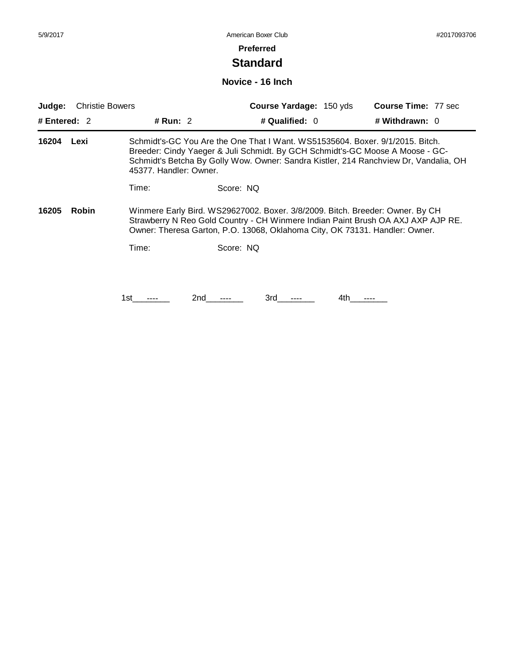# **Standard**

#### **Novice - 16 Inch**

| <b>Christie Bowers</b><br>Judge: |              |                        | <b>Course Time: 77 sec</b><br>Course Yardage: 150 yds                                                                                                                                                                                                  |  |
|----------------------------------|--------------|------------------------|--------------------------------------------------------------------------------------------------------------------------------------------------------------------------------------------------------------------------------------------------------|--|
| # Entered: $2$                   |              | # Run: $2$             | # Qualified: $0$<br># Withdrawn: 0                                                                                                                                                                                                                     |  |
| 16204                            | Lexi         | 45377. Handler: Owner. | Schmidt's-GC You Are the One That I Want. WS51535604. Boxer. 9/1/2015. Bitch.<br>Breeder: Cindy Yaeger & Juli Schmidt. By GCH Schmidt's-GC Moose A Moose - GC-<br>Schmidt's Betcha By Golly Wow. Owner: Sandra Kistler, 214 Ranchview Dr, Vandalia, OH |  |
|                                  |              | Time:                  | Score: NQ                                                                                                                                                                                                                                              |  |
| 16205                            | <b>Robin</b> |                        | Winmere Early Bird. WS29627002. Boxer. 3/8/2009. Bitch. Breeder: Owner. By CH<br>Strawberry N Reo Gold Country - CH Winmere Indian Paint Brush OA AXJ AXP AJP RE.<br>Owner: Theresa Garton, P.O. 13068, Oklahoma City, OK 73131. Handler: Owner.       |  |
|                                  |              | Time:                  | Score: NQ                                                                                                                                                                                                                                              |  |
|                                  |              |                        |                                                                                                                                                                                                                                                        |  |
|                                  |              | 2nd<br>1st             | 3rd<br>4th                                                                                                                                                                                                                                             |  |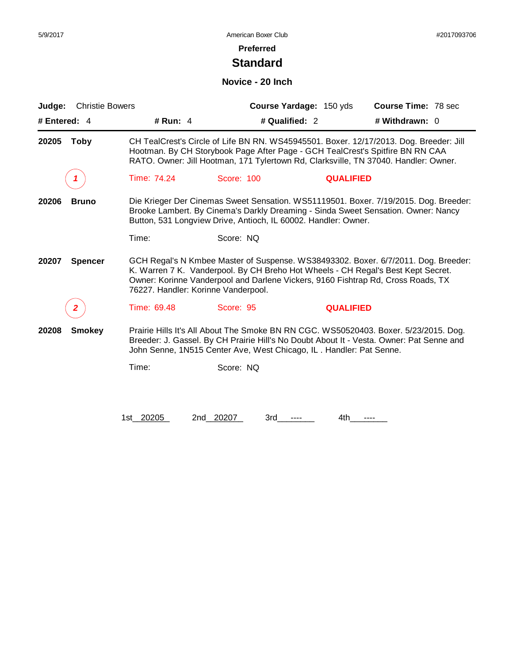# **Standard**

#### **Novice - 20 Inch**

| Judge:       | <b>Christie Bowers</b> |             |                                                                     | Course Yardage: 150 yds | <b>Course Time: 78 sec</b>                                                                                                                                                                                                                                     |
|--------------|------------------------|-------------|---------------------------------------------------------------------|-------------------------|----------------------------------------------------------------------------------------------------------------------------------------------------------------------------------------------------------------------------------------------------------------|
| # Entered: 4 |                        | # Run: $4$  |                                                                     | # Qualified: 2          | # Withdrawn: 0                                                                                                                                                                                                                                                 |
| 20205        | <b>Toby</b>            |             |                                                                     |                         | CH TealCrest's Circle of Life BN RN. WS45945501. Boxer. 12/17/2013. Dog. Breeder: Jill<br>Hootman. By CH Storybook Page After Page - GCH TealCrest's Spitfire BN RN CAA<br>RATO. Owner: Jill Hootman, 171 Tylertown Rd, Clarksville, TN 37040. Handler: Owner. |
|              |                        | Time: 74.24 | Score: 100                                                          | <b>QUALIFIED</b>        |                                                                                                                                                                                                                                                                |
| 20206        | <b>Bruno</b>           |             | Button, 531 Longview Drive, Antioch, IL 60002. Handler: Owner.      |                         | Die Krieger Der Cinemas Sweet Sensation. WS51119501. Boxer. 7/19/2015. Dog. Breeder:<br>Brooke Lambert. By Cinema's Darkly Dreaming - Sinda Sweet Sensation. Owner: Nancy                                                                                      |
|              |                        | Time:       | Score: NQ                                                           |                         |                                                                                                                                                                                                                                                                |
| 20207        | <b>Spencer</b>         |             | 76227. Handler: Korinne Vanderpool.                                 |                         | GCH Regal's N Kmbee Master of Suspense. WS38493302. Boxer. 6/7/2011. Dog. Breeder:<br>K. Warren 7 K. Vanderpool. By CH Breho Hot Wheels - CH Regal's Best Kept Secret.<br>Owner: Korinne Vanderpool and Darlene Vickers, 9160 Fishtrap Rd, Cross Roads, TX     |
|              | 2                      | Time: 69.48 | Score: 95                                                           | <b>QUALIFIED</b>        |                                                                                                                                                                                                                                                                |
| 20208        | <b>Smokey</b>          |             | John Senne, 1N515 Center Ave, West Chicago, IL. Handler: Pat Senne. |                         | Prairie Hills It's All About The Smoke BN RN CGC. WS50520403. Boxer. 5/23/2015. Dog.<br>Breeder: J. Gassel. By CH Prairie Hill's No Doubt About It - Vesta. Owner: Pat Senne and                                                                               |
|              |                        | Time:       | Score: NQ                                                           |                         |                                                                                                                                                                                                                                                                |
|              |                        | 1st_20205   | 2nd 20207<br>3rd                                                    | 4th                     |                                                                                                                                                                                                                                                                |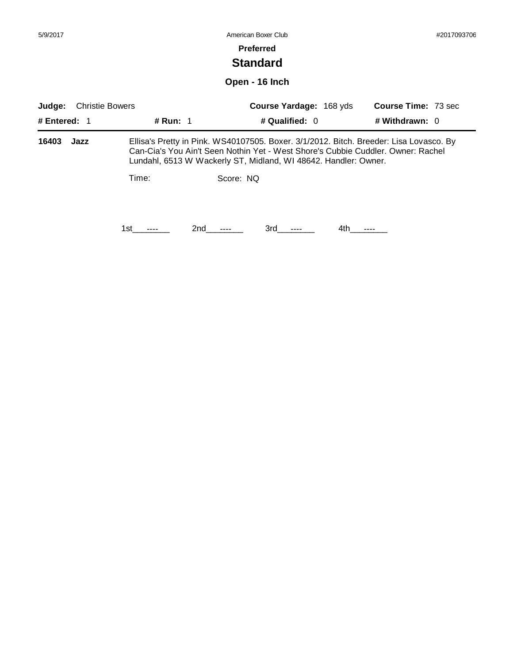| 5/9/2017                         |            | American Boxer Club                                                                                                                                                                                                                           |                            |  |  |
|----------------------------------|------------|-----------------------------------------------------------------------------------------------------------------------------------------------------------------------------------------------------------------------------------------------|----------------------------|--|--|
|                                  |            | <b>Preferred</b>                                                                                                                                                                                                                              |                            |  |  |
|                                  |            | <b>Standard</b>                                                                                                                                                                                                                               |                            |  |  |
|                                  |            | Open - 16 Inch                                                                                                                                                                                                                                |                            |  |  |
| <b>Christie Bowers</b><br>Judge: |            | <b>Course Yardage: 168 yds</b>                                                                                                                                                                                                                | <b>Course Time: 73 sec</b> |  |  |
| # Entered: $1$                   | # Run: 1   | # Qualified: $0$                                                                                                                                                                                                                              | # Withdrawn: 0             |  |  |
| 16403<br>Jazz                    |            | Ellisa's Pretty in Pink. WS40107505. Boxer. 3/1/2012. Bitch. Breeder: Lisa Lovasco. By<br>Can-Cia's You Ain't Seen Nothin Yet - West Shore's Cubbie Cuddler. Owner: Rachel<br>Lundahl, 6513 W Wackerly ST, Midland, WI 48642. Handler: Owner. |                            |  |  |
|                                  | Time:      | Score: NQ                                                                                                                                                                                                                                     |                            |  |  |
|                                  | 2nd<br>1st | 3rd<br>4th                                                                                                                                                                                                                                    |                            |  |  |
|                                  |            |                                                                                                                                                                                                                                               |                            |  |  |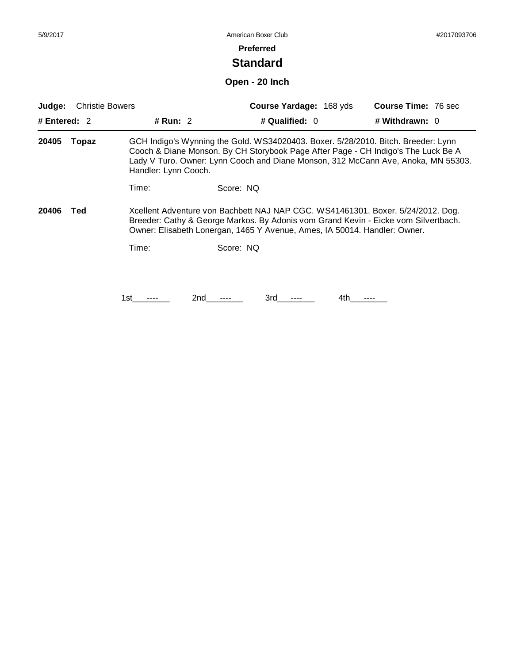#### **Preferred**

# **Standard**

**Open - 20 Inch**

| <b>Christie Bowers</b><br>Judge:                                                                                                                                                                                                                                   |       |                      | <b>Course Yardage: 168 yds</b> |                                                                                                                                                                                                                                                             | Course Time: 76 sec |                |  |
|--------------------------------------------------------------------------------------------------------------------------------------------------------------------------------------------------------------------------------------------------------------------|-------|----------------------|--------------------------------|-------------------------------------------------------------------------------------------------------------------------------------------------------------------------------------------------------------------------------------------------------------|---------------------|----------------|--|
| # Entered: $2$                                                                                                                                                                                                                                                     |       | # Run: 2             |                                | # Qualified: 0                                                                                                                                                                                                                                              |                     | # Withdrawn: 0 |  |
| 20405                                                                                                                                                                                                                                                              | Topaz | Handler: Lynn Cooch. |                                | GCH Indigo's Wynning the Gold. WS34020403. Boxer. 5/28/2010. Bitch. Breeder: Lynn<br>Cooch & Diane Monson. By CH Storybook Page After Page - CH Indigo's The Luck Be A<br>Lady V Turo. Owner: Lynn Cooch and Diane Monson, 312 McCann Ave, Anoka, MN 55303. |                     |                |  |
|                                                                                                                                                                                                                                                                    |       | Time:                | Score: NQ                      |                                                                                                                                                                                                                                                             |                     |                |  |
| Xcellent Adventure von Bachbett NAJ NAP CGC. WS41461301. Boxer. 5/24/2012. Dog.<br>20406<br>Ted<br>Breeder: Cathy & George Markos. By Adonis vom Grand Kevin - Eicke vom Silvertbach.<br>Owner: Elisabeth Lonergan, 1465 Y Avenue, Ames, IA 50014. Handler: Owner. |       |                      |                                |                                                                                                                                                                                                                                                             |                     |                |  |
|                                                                                                                                                                                                                                                                    |       | Time:                | Score: NQ                      |                                                                                                                                                                                                                                                             |                     |                |  |
|                                                                                                                                                                                                                                                                    |       |                      |                                |                                                                                                                                                                                                                                                             |                     |                |  |
|                                                                                                                                                                                                                                                                    |       | 1st.                 | 2nd                            | 3rd                                                                                                                                                                                                                                                         | 4th.                |                |  |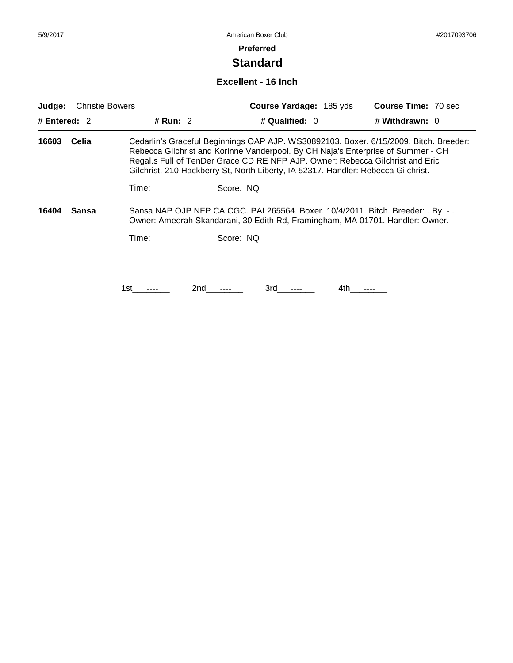# **Standard**

#### **Excellent - 16 Inch**

| Judge:         | <b>Christie Bowers</b> |            |           | Course Yardage: 185 yds                                                           |     | <b>Course Time: 70 sec</b>                                                                                                                                                                                                                                 |
|----------------|------------------------|------------|-----------|-----------------------------------------------------------------------------------|-----|------------------------------------------------------------------------------------------------------------------------------------------------------------------------------------------------------------------------------------------------------------|
| # Entered: $2$ |                        | # Run: $2$ |           | # Qualified: 0                                                                    |     | # Withdrawn: 0                                                                                                                                                                                                                                             |
| 16603          | Celia                  |            |           | Gilchrist, 210 Hackberry St, North Liberty, IA 52317. Handler: Rebecca Gilchrist. |     | Cedarlin's Graceful Beginnings OAP AJP. WS30892103. Boxer. 6/15/2009. Bitch. Breeder:<br>Rebecca Gilchrist and Korinne Vanderpool. By CH Naja's Enterprise of Summer - CH<br>Regal.s Full of TenDer Grace CD RE NFP AJP. Owner: Rebecca Gilchrist and Eric |
|                |                        | Time:      | Score: NQ |                                                                                   |     |                                                                                                                                                                                                                                                            |
| 16404          | Sansa                  |            |           |                                                                                   |     | Sansa NAP OJP NFP CA CGC. PAL265564. Boxer. 10/4/2011. Bitch. Breeder: . By -.<br>Owner: Ameerah Skandarani, 30 Edith Rd, Framingham, MA 01701. Handler: Owner.                                                                                            |
|                |                        | Time:      | Score: NQ |                                                                                   |     |                                                                                                                                                                                                                                                            |
|                |                        |            |           |                                                                                   |     |                                                                                                                                                                                                                                                            |
|                |                        |            |           |                                                                                   |     |                                                                                                                                                                                                                                                            |
|                |                        | 1st        | 2nd       | 3rd                                                                               | 4th |                                                                                                                                                                                                                                                            |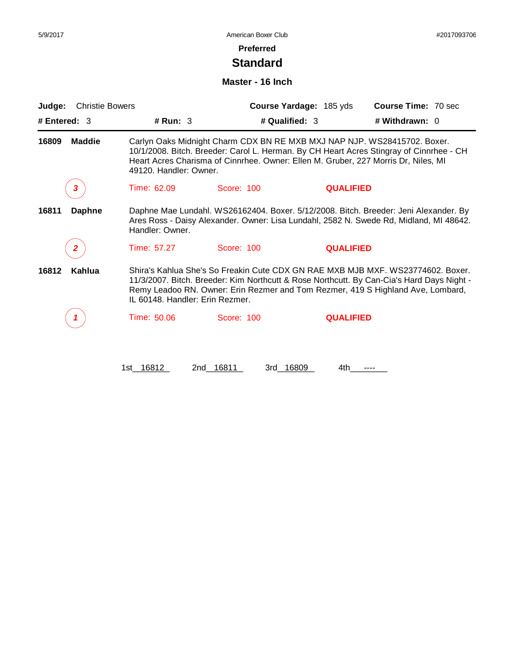# **Standard**

#### **Master - 16 Inch**

| <b>Christie Bowers</b><br>Judge: |                        |                                                                                                                                                                                                                                                                                                    | Course Yardage: 185 yds | <b>Course Time: 70 sec</b>                                                                                                                                                                                                                                |  |  |
|----------------------------------|------------------------|----------------------------------------------------------------------------------------------------------------------------------------------------------------------------------------------------------------------------------------------------------------------------------------------------|-------------------------|-----------------------------------------------------------------------------------------------------------------------------------------------------------------------------------------------------------------------------------------------------------|--|--|
| # Entered: 3                     | # Run: 3               |                                                                                                                                                                                                                                                                                                    | # Qualified: 3          | # Withdrawn: 0                                                                                                                                                                                                                                            |  |  |
| <b>Maddie</b><br>16809           | 49120. Handler: Owner. |                                                                                                                                                                                                                                                                                                    |                         | Carlyn Oaks Midnight Charm CDX BN RE MXB MXJ NAP NJP. WS28415702. Boxer.<br>10/1/2008. Bitch. Breeder: Carol L. Herman. By CH Heart Acres Stingray of Cinnrhee - CH<br>Heart Acres Charisma of Cinnrhee. Owner: Ellen M. Gruber, 227 Morris Dr, Niles, MI |  |  |
| 3                                | Time: 62.09            | Score: 100                                                                                                                                                                                                                                                                                         | <b>QUALIFIED</b>        |                                                                                                                                                                                                                                                           |  |  |
| 16811<br><b>Daphne</b>           | Handler: Owner.        |                                                                                                                                                                                                                                                                                                    |                         | Daphne Mae Lundahl. WS26162404. Boxer. 5/12/2008. Bitch. Breeder: Jeni Alexander. By<br>Ares Ross - Daisy Alexander. Owner: Lisa Lundahl, 2582 N. Swede Rd, Midland, MI 48642.                                                                            |  |  |
| 2                                | Time: 57.27            | Score: 100                                                                                                                                                                                                                                                                                         | <b>QUALIFIED</b>        |                                                                                                                                                                                                                                                           |  |  |
| Kahlua<br>16812                  |                        | Shira's Kahlua She's So Freakin Cute CDX GN RAE MXB MJB MXF, WS23774602, Boxer,<br>11/3/2007. Bitch. Breeder: Kim Northcutt & Rose Northcutt. By Can-Cia's Hard Days Night -<br>Remy Leadoo RN. Owner: Erin Rezmer and Tom Rezmer, 419 S Highland Ave, Lombard,<br>IL 60148. Handler: Erin Rezmer. |                         |                                                                                                                                                                                                                                                           |  |  |
|                                  | Time: 50.06            | Score: 100                                                                                                                                                                                                                                                                                         | <b>QUALIFIED</b>        |                                                                                                                                                                                                                                                           |  |  |
|                                  | 1st 16812<br>2nd       | 16811<br>3rd 16809                                                                                                                                                                                                                                                                                 | 4th                     |                                                                                                                                                                                                                                                           |  |  |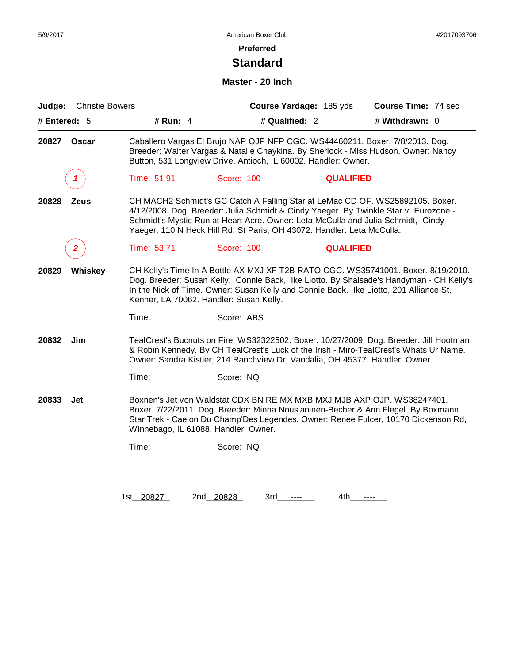# **Preferred**

# **Standard**

#### **Master - 20 Inch**

| Judge:       | <b>Christie Bowers</b> |             |                                                                                                                                                                                                                                                                                            | Course Yardage: 185 yds | Course Time: 74 sec                                                                                                                                                                                                                                                   |  |
|--------------|------------------------|-------------|--------------------------------------------------------------------------------------------------------------------------------------------------------------------------------------------------------------------------------------------------------------------------------------------|-------------------------|-----------------------------------------------------------------------------------------------------------------------------------------------------------------------------------------------------------------------------------------------------------------------|--|
| # Entered: 5 |                        | # Run: 4    |                                                                                                                                                                                                                                                                                            | # Qualified: 2          | # Withdrawn: 0                                                                                                                                                                                                                                                        |  |
| 20827        | <b>Oscar</b>           |             | Button, 531 Longview Drive, Antioch, IL 60002. Handler: Owner.                                                                                                                                                                                                                             |                         | Caballero Vargas El Brujo NAP OJP NFP CGC. WS44460211. Boxer. 7/8/2013. Dog.<br>Breeder: Walter Vargas & Natalie Chaykina. By Sherlock - Miss Hudson. Owner: Nancy                                                                                                    |  |
|              | 1                      | Time: 51.91 | Score: 100                                                                                                                                                                                                                                                                                 | <b>QUALIFIED</b>        |                                                                                                                                                                                                                                                                       |  |
| 20828        | <b>Zeus</b>            |             | Yaeger, 110 N Heck Hill Rd, St Paris, OH 43072. Handler: Leta McCulla.                                                                                                                                                                                                                     |                         | CH MACH2 Schmidt's GC Catch A Falling Star at LeMac CD OF. WS25892105. Boxer.<br>4/12/2008. Dog. Breeder: Julia Schmidt & Cindy Yaeger. By Twinkle Star v. Eurozone -<br>Schmidt's Mystic Run at Heart Acre. Owner: Leta McCulla and Julia Schmidt, Cindy             |  |
|              | 2                      | Time: 53.71 | Score: 100                                                                                                                                                                                                                                                                                 | <b>QUALIFIED</b>        |                                                                                                                                                                                                                                                                       |  |
| 20829        | Whiskey                |             | Kenner, LA 70062. Handler: Susan Kelly.                                                                                                                                                                                                                                                    |                         | CH Kelly's Time In A Bottle AX MXJ XF T2B RATO CGC. WS35741001. Boxer. 8/19/2010.<br>Dog. Breeder: Susan Kelly, Connie Back, Ike Liotto. By Shalsade's Handyman - CH Kelly's<br>In the Nick of Time. Owner: Susan Kelly and Connie Back, Ike Liotto, 201 Alliance St, |  |
|              |                        | Time:       | Score: ABS                                                                                                                                                                                                                                                                                 |                         |                                                                                                                                                                                                                                                                       |  |
| 20832        | Jim                    |             | Owner: Sandra Kistler, 214 Ranchview Dr, Vandalia, OH 45377. Handler: Owner.                                                                                                                                                                                                               |                         | TealCrest's Bucnuts on Fire. WS32322502. Boxer. 10/27/2009. Dog. Breeder: Jill Hootman<br>& Robin Kennedy. By CH TealCrest's Luck of the Irish - Miro-TealCrest's Whats Ur Name.                                                                                      |  |
|              |                        | Time:       | Score: NQ                                                                                                                                                                                                                                                                                  |                         |                                                                                                                                                                                                                                                                       |  |
| 20833        | Jet                    |             | Boxnen's Jet von Waldstat CDX BN RE MX MXB MXJ MJB AXP OJP. WS38247401.<br>Boxer. 7/22/2011. Dog. Breeder: Minna Nousianinen-Becher & Ann Flegel. By Boxmann<br>Star Trek - Caelon Du Champ'Des Legendes. Owner: Renee Fulcer, 10170 Dickenson Rd,<br>Winnebago, IL 61088. Handler: Owner. |                         |                                                                                                                                                                                                                                                                       |  |
|              |                        | Time:       | Score: NQ                                                                                                                                                                                                                                                                                  |                         |                                                                                                                                                                                                                                                                       |  |
|              |                        |             |                                                                                                                                                                                                                                                                                            |                         |                                                                                                                                                                                                                                                                       |  |
|              |                        | 1st 20827   | 2nd 20828<br>3rd                                                                                                                                                                                                                                                                           | 4th                     | $---$                                                                                                                                                                                                                                                                 |  |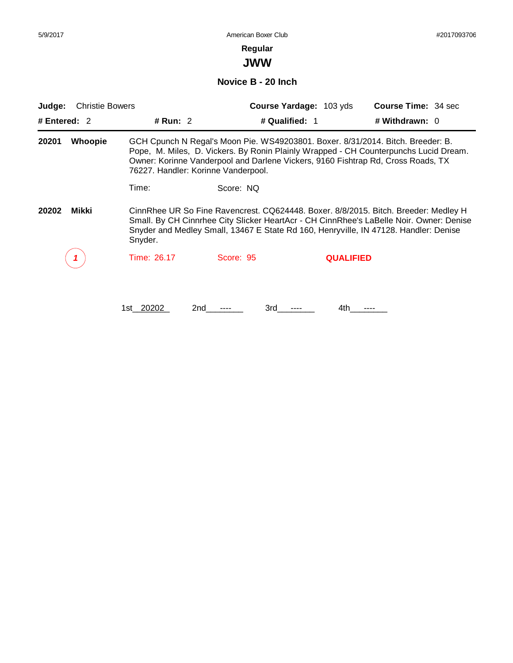**JWW**

**Novice B - 20 Inch**

| <b>Christie Bowers</b><br>Judge: |             |                                                                                                                                                                                                                                                                        | Course Yardage: 103 yds | <b>Course Time: 34 sec</b>                                                                                                                                              |  |  |  |
|----------------------------------|-------------|------------------------------------------------------------------------------------------------------------------------------------------------------------------------------------------------------------------------------------------------------------------------|-------------------------|-------------------------------------------------------------------------------------------------------------------------------------------------------------------------|--|--|--|
| # Entered: $2$                   | # Run: $2$  |                                                                                                                                                                                                                                                                        | # Qualified: 1          | # Withdrawn: 0                                                                                                                                                          |  |  |  |
| 20201<br><b>Whoopie</b>          |             | Owner: Korinne Vanderpool and Darlene Vickers, 9160 Fishtrap Rd, Cross Roads, TX<br>76227. Handler: Korinne Vanderpool.                                                                                                                                                |                         | GCH Cpunch N Regal's Moon Pie. WS49203801. Boxer. 8/31/2014. Bitch. Breeder: B.<br>Pope, M. Miles, D. Vickers. By Ronin Plainly Wrapped - CH Counterpunchs Lucid Dream. |  |  |  |
|                                  | Time:       | Score: NQ                                                                                                                                                                                                                                                              |                         |                                                                                                                                                                         |  |  |  |
| Mikki<br>20202                   | Snyder.     | CinnRhee UR So Fine Ravencrest. CQ624448. Boxer. 8/8/2015. Bitch. Breeder: Medley H<br>Small. By CH Cinnrhee City Slicker HeartAcr - CH CinnRhee's LaBelle Noir. Owner: Denise<br>Snyder and Medley Small, 13467 E State Rd 160, Henryville, IN 47128. Handler: Denise |                         |                                                                                                                                                                         |  |  |  |
|                                  | Time: 26.17 | Score: 95                                                                                                                                                                                                                                                              | <b>QUALIFIED</b>        |                                                                                                                                                                         |  |  |  |
|                                  | 1st 20202   | 3rd<br>2nd                                                                                                                                                                                                                                                             | 4th.                    |                                                                                                                                                                         |  |  |  |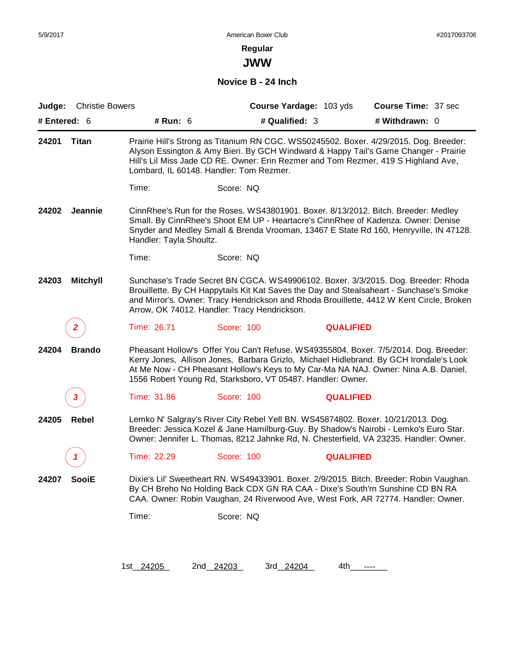**JWW**

**Novice B - 24 Inch**

| Judge:       | <b>Christie Bowers</b> |                         |                                                                                  | Course Yardage: 103 yds | Course Time: 37 sec                                                                                                                                                                                                                                                      |
|--------------|------------------------|-------------------------|----------------------------------------------------------------------------------|-------------------------|--------------------------------------------------------------------------------------------------------------------------------------------------------------------------------------------------------------------------------------------------------------------------|
| # Entered: 6 |                        | # Run: 6                | # Qualified: 3                                                                   |                         | # Withdrawn: 0                                                                                                                                                                                                                                                           |
| 24201        | Titan                  |                         | Lombard, IL 60148. Handler: Tom Rezmer.                                          |                         | Prairie Hill's Strong as Titanium RN CGC. WS50245502. Boxer. 4/29/2015. Dog. Breeder:<br>Alyson Essington & Amy Bieri. By GCH Windward & Happy Tail's Game Changer - Prairie<br>Hill's Lil Miss Jade CD RE. Owner: Erin Rezmer and Tom Rezmer, 419 S Highland Ave,       |
|              |                        | Time:                   | Score: NQ                                                                        |                         |                                                                                                                                                                                                                                                                          |
| 24202        | Jeannie                | Handler: Tayla Shoultz. |                                                                                  |                         | CinnRhee's Run for the Roses. WS43801901. Boxer. 8/13/2012. Bitch. Breeder: Medley<br>Small. By CinnRhee's Shoot EM UP - Heartacre's CinnRhee of Kadenza. Owner: Denise<br>Snyder and Medley Small & Brenda Vrooman, 13467 E State Rd 160, Henryville, IN 47128.         |
|              |                        | Time:                   | Score: NQ                                                                        |                         |                                                                                                                                                                                                                                                                          |
| 24203        | <b>Mitchyll</b>        |                         | Arrow, OK 74012. Handler: Tracy Hendrickson.                                     |                         | Sunchase's Trade Secret BN CGCA. WS49906102. Boxer. 3/3/2015. Dog. Breeder: Rhoda<br>Brouillette. By CH Happytails Kit Kat Saves the Day and Stealsaheart - Sunchase's Smoke<br>and Mirror's. Owner: Tracy Hendrickson and Rhoda Brouillette, 4412 W Kent Circle, Broken |
|              | 2                      | Time: 26.71             | Score: 100                                                                       | <b>QUALIFIED</b>        |                                                                                                                                                                                                                                                                          |
| 24204        | <b>Brando</b>          |                         | 1556 Robert Young Rd, Starksboro, VT 05487. Handler: Owner.                      |                         | Pheasant Hollow's Offer You Can't Refuse. WS49355804. Boxer. 7/5/2014. Dog. Breeder:<br>Kerry Jones, Allison Jones, Barbara Grizlo, Michael Hidlebrand. By GCH Irondale's Look<br>At Me Now - CH Pheasant Hollow's Keys to My Car-Ma NA NAJ. Owner: Nina A.B. Daniel,    |
|              | 3                      | Time: 31.86             | Score: 100                                                                       | <b>QUALIFIED</b>        |                                                                                                                                                                                                                                                                          |
| 24205        | <b>Rebel</b>           |                         | Lemko N' Salgray's River City Rebel Yell BN. WS45874802. Boxer. 10/21/2013. Dog. |                         | Breeder: Jessica Kozel & Jane Hamilburg-Guy. By Shadow's Nairobi - Lemko's Euro Star.<br>Owner: Jennifer L. Thomas, 8212 Jahnke Rd, N. Chesterfield, VA 23235. Handler: Owner.                                                                                           |
|              |                        | Time: 22.29             | Score: 100                                                                       | <b>QUALIFIED</b>        |                                                                                                                                                                                                                                                                          |
| 24207        | <b>SooiE</b>           |                         |                                                                                  |                         | Dixie's Lil' Sweetheart RN. WS49433901. Boxer. 2/9/2015. Bitch. Breeder: Robin Vaughan.<br>By CH Breho No Holding Back CDX GN RA CAA - Dixe's South'rn Sunshine CD BN RA<br>CAA. Owner: Robin Vaughan, 24 Riverwood Ave, West Fork, AR 72774. Handler: Owner.            |
|              |                        | Time:                   | Score: NQ                                                                        |                         |                                                                                                                                                                                                                                                                          |
|              |                        |                         |                                                                                  |                         |                                                                                                                                                                                                                                                                          |
|              |                        | 1st_24205               | 2nd 24203<br>3rd 24204                                                           | 4th                     | ----                                                                                                                                                                                                                                                                     |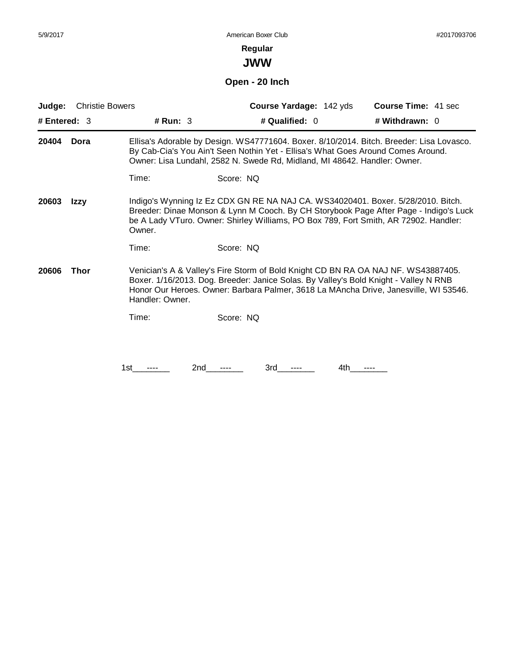**JWW**

# **Open - 20 Inch**

| Judge:         | <b>Christie Bowers</b> |                 | Course Yardage: 142 yds                                                                                                                                                                                                                                           | Course Time: 41 sec |
|----------------|------------------------|-----------------|-------------------------------------------------------------------------------------------------------------------------------------------------------------------------------------------------------------------------------------------------------------------|---------------------|
| # Entered: $3$ |                        | # Run: 3        | # Qualified: 0                                                                                                                                                                                                                                                    | # Withdrawn: 0      |
| 20404          | Dora                   |                 | Ellisa's Adorable by Design. WS47771604. Boxer. 8/10/2014. Bitch. Breeder: Lisa Lovasco.<br>By Cab-Cia's You Ain't Seen Nothin Yet - Ellisa's What Goes Around Comes Around.<br>Owner: Lisa Lundahl, 2582 N. Swede Rd, Midland, MI 48642. Handler: Owner.         |                     |
|                |                        | Time:           | Score: NQ                                                                                                                                                                                                                                                         |                     |
| 20603          | Izzy                   | Owner.          | Indigo's Wynning Iz Ez CDX GN RE NA NAJ CA. WS34020401. Boxer. 5/28/2010. Bitch.<br>Breeder: Dinae Monson & Lynn M Cooch. By CH Storybook Page After Page - Indigo's Luck<br>be A Lady VTuro. Owner: Shirley Williams, PO Box 789, Fort Smith, AR 72902. Handler: |                     |
|                |                        | Time:           | Score: NQ                                                                                                                                                                                                                                                         |                     |
| 20606          | Thor                   | Handler: Owner. | Venician's A & Valley's Fire Storm of Bold Knight CD BN RA OA NAJ NF. WS43887405.<br>Boxer. 1/16/2013. Dog. Breeder: Janice Solas. By Valley's Bold Knight - Valley N RNB<br>Honor Our Heroes. Owner: Barbara Palmer, 3618 La MAncha Drive, Janesville, WI 53546. |                     |
|                |                        | Time:           | Score: NQ                                                                                                                                                                                                                                                         |                     |
|                |                        |                 |                                                                                                                                                                                                                                                                   |                     |
|                |                        | 2nd<br>1st      | 3rd<br>4th                                                                                                                                                                                                                                                        |                     |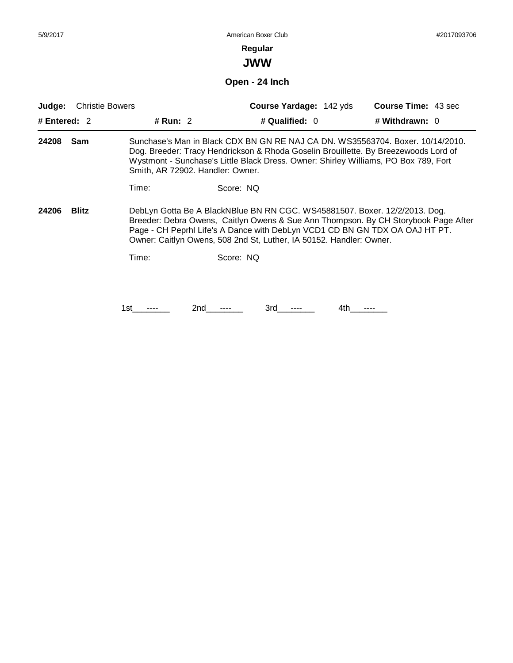# **Regular**

**JWW**

**Open - 24 Inch**

| Judge:         | <b>Christie Bowers</b>                                                                                                                                                                                                                                                                                                                 |            |                                  | <b>Course Yardage: 142 yds</b>                                                                                                                                                                                                                               |     | <b>Course Time: 43 sec</b> |  |
|----------------|----------------------------------------------------------------------------------------------------------------------------------------------------------------------------------------------------------------------------------------------------------------------------------------------------------------------------------------|------------|----------------------------------|--------------------------------------------------------------------------------------------------------------------------------------------------------------------------------------------------------------------------------------------------------------|-----|----------------------------|--|
| # Entered: $2$ |                                                                                                                                                                                                                                                                                                                                        | # Run: $2$ |                                  | # Qualified: $0$                                                                                                                                                                                                                                             |     | # Withdrawn: $0$           |  |
| 24208          | Sam                                                                                                                                                                                                                                                                                                                                    |            | Smith, AR 72902. Handler: Owner. | Sunchase's Man in Black CDX BN GN RE NAJ CA DN. WS35563704. Boxer. 10/14/2010.<br>Dog. Breeder: Tracy Hendrickson & Rhoda Goselin Brouillette. By Breezewoods Lord of<br>Wystmont - Sunchase's Little Black Dress. Owner: Shirley Williams, PO Box 789, Fort |     |                            |  |
|                |                                                                                                                                                                                                                                                                                                                                        | Time:      | Score: NQ                        |                                                                                                                                                                                                                                                              |     |                            |  |
| 24206          | DebLyn Gotta Be A BlackNBlue BN RN CGC. WS45881507. Boxer. 12/2/2013. Dog.<br><b>Blitz</b><br>Breeder: Debra Owens, Caitlyn Owens & Sue Ann Thompson. By CH Storybook Page After<br>Page - CH Peprhl Life's A Dance with DebLyn VCD1 CD BN GN TDX OA OAJ HT PT.<br>Owner: Caitlyn Owens, 508 2nd St, Luther, IA 50152. Handler: Owner. |            |                                  |                                                                                                                                                                                                                                                              |     |                            |  |
|                |                                                                                                                                                                                                                                                                                                                                        | Time:      | Score: NQ                        |                                                                                                                                                                                                                                                              |     |                            |  |
|                |                                                                                                                                                                                                                                                                                                                                        |            |                                  |                                                                                                                                                                                                                                                              |     |                            |  |
|                |                                                                                                                                                                                                                                                                                                                                        | 1st        | 2nd                              | 3rd                                                                                                                                                                                                                                                          | 4th |                            |  |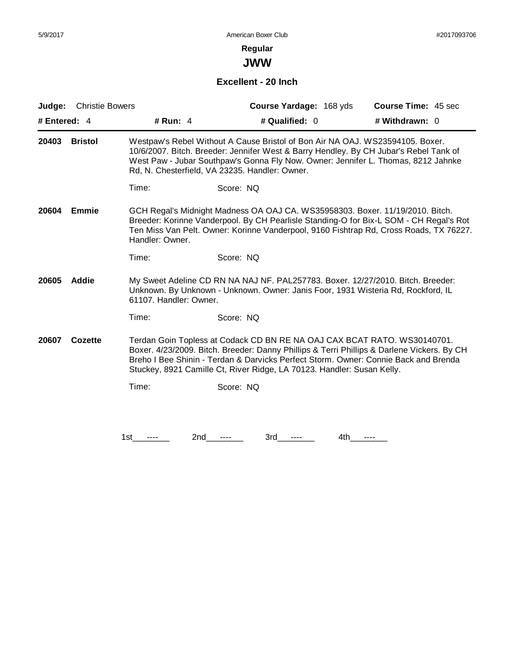**JWW**

### **Excellent - 20 Inch**

| Judge:                                                                                                                                                                                                                                                                                                                                                      | <b>Christie Bowers</b> |                                                                                                                                 |           | Course Yardage: 168 yds | Course Time: 45 sec                                                                                                                                                                                                                                               |
|-------------------------------------------------------------------------------------------------------------------------------------------------------------------------------------------------------------------------------------------------------------------------------------------------------------------------------------------------------------|------------------------|---------------------------------------------------------------------------------------------------------------------------------|-----------|-------------------------|-------------------------------------------------------------------------------------------------------------------------------------------------------------------------------------------------------------------------------------------------------------------|
| # Entered: $4$                                                                                                                                                                                                                                                                                                                                              |                        | # Run: 4                                                                                                                        |           | # Qualified: 0          | # Withdrawn: 0                                                                                                                                                                                                                                                    |
| 20403                                                                                                                                                                                                                                                                                                                                                       | <b>Bristol</b>         | Westpaw's Rebel Without A Cause Bristol of Bon Air NA OAJ. WS23594105. Boxer.<br>Rd, N. Chesterfield, VA 23235. Handler: Owner. |           |                         | 10/6/2007. Bitch. Breeder: Jennifer West & Barry Hendley. By CH Jubar's Rebel Tank of<br>West Paw - Jubar Southpaw's Gonna Fly Now. Owner: Jennifer L. Thomas, 8212 Jahnke                                                                                        |
|                                                                                                                                                                                                                                                                                                                                                             |                        | Time:                                                                                                                           | Score: NQ |                         |                                                                                                                                                                                                                                                                   |
| 20604                                                                                                                                                                                                                                                                                                                                                       | <b>Emmie</b>           | Handler: Owner.                                                                                                                 |           |                         | GCH Regal's Midnight Madness OA OAJ CA. WS35958303. Boxer. 11/19/2010. Bitch.<br>Breeder: Korinne Vanderpool. By CH Pearlisle Standing-O for Bix-L SOM - CH Regal's Rot<br>Ten Miss Van Pelt. Owner: Korinne Vanderpool, 9160 Fishtrap Rd, Cross Roads, TX 76227. |
|                                                                                                                                                                                                                                                                                                                                                             |                        | Time:                                                                                                                           | Score: NQ |                         |                                                                                                                                                                                                                                                                   |
| 20605                                                                                                                                                                                                                                                                                                                                                       | <b>Addie</b>           | 61107. Handler: Owner.                                                                                                          |           |                         | My Sweet Adeline CD RN NA NAJ NF. PAL257783. Boxer. 12/27/2010. Bitch. Breeder:<br>Unknown. By Unknown - Unknown. Owner: Janis Foor, 1931 Wisteria Rd, Rockford, IL                                                                                               |
|                                                                                                                                                                                                                                                                                                                                                             |                        | Time:                                                                                                                           | Score: NQ |                         |                                                                                                                                                                                                                                                                   |
| Terdan Goin Topless at Codack CD BN RE NA OAJ CAX BCAT RATO. WS30140701.<br>20607<br>Cozette<br>Boxer. 4/23/2009. Bitch. Breeder: Danny Phillips & Terri Phillips & Darlene Vickers. By CH<br>Breho I Bee Shinin - Terdan & Darvicks Perfect Storm. Owner: Connie Back and Brenda<br>Stuckey, 8921 Camille Ct, River Ridge, LA 70123. Handler: Susan Kelly. |                        |                                                                                                                                 |           |                         |                                                                                                                                                                                                                                                                   |
|                                                                                                                                                                                                                                                                                                                                                             |                        | Time:                                                                                                                           | Score: NQ |                         |                                                                                                                                                                                                                                                                   |
|                                                                                                                                                                                                                                                                                                                                                             |                        |                                                                                                                                 |           |                         |                                                                                                                                                                                                                                                                   |
|                                                                                                                                                                                                                                                                                                                                                             |                        | 2nd<br>1st                                                                                                                      | 3rd       | 4th                     |                                                                                                                                                                                                                                                                   |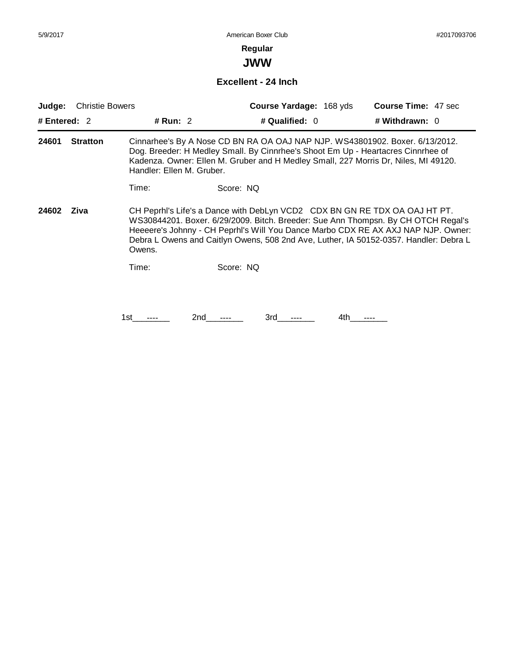# **Regular**

**JWW**

### **Excellent - 24 Inch**

| Judge:       | <b>Christie Bowers</b> |                           |           | Course Yardage: 168 yds |      | <b>Course Time: 47 sec</b>                                                                                                                                                                                                                                                                                                                    |
|--------------|------------------------|---------------------------|-----------|-------------------------|------|-----------------------------------------------------------------------------------------------------------------------------------------------------------------------------------------------------------------------------------------------------------------------------------------------------------------------------------------------|
| # Entered: 2 |                        | # Run: $2$                |           | # Qualified: 0          |      | # Withdrawn: 0                                                                                                                                                                                                                                                                                                                                |
| 24601        | <b>Stratton</b>        | Handler: Ellen M. Gruber. |           |                         |      | Cinnarhee's By A Nose CD BN RA OA OAJ NAP NJP. WS43801902. Boxer. 6/13/2012.<br>Dog. Breeder: H Medley Small. By Cinnrhee's Shoot Em Up - Heartacres Cinnrhee of<br>Kadenza. Owner: Ellen M. Gruber and H Medley Small, 227 Morris Dr, Niles, MI 49120.                                                                                       |
|              |                        | Time:                     | Score: NQ |                         |      |                                                                                                                                                                                                                                                                                                                                               |
| 24602        | Ziva                   | Owens.                    |           |                         |      | CH Peprhl's Life's a Dance with DebLyn VCD2 CDX BN GN RE TDX OA OAJ HT PT.<br>WS30844201. Boxer. 6/29/2009. Bitch. Breeder: Sue Ann Thompsn. By CH OTCH Regal's<br>Heeeere's Johnny - CH Peprhl's Will You Dance Marbo CDX RE AX AXJ NAP NJP. Owner:<br>Debra L Owens and Caitlyn Owens, 508 2nd Ave, Luther, IA 50152-0357. Handler: Debra L |
|              |                        | Time:                     | Score: NO |                         |      |                                                                                                                                                                                                                                                                                                                                               |
|              |                        |                           |           |                         |      |                                                                                                                                                                                                                                                                                                                                               |
|              |                        | 1st                       | 2nd       | 3rd                     | 4th. |                                                                                                                                                                                                                                                                                                                                               |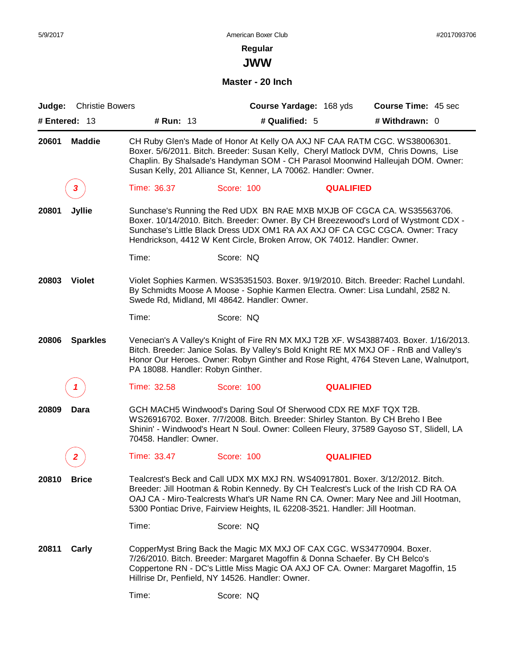**JWW**

## **Master - 20 Inch**

| Judge: Christie Bowers   |                                   | Course Yardage: 168 yds                                                                                                                                                                                                                                                                                                                 |                  | <b>Course Time: 45 sec</b>                                                                                                                                                   |
|--------------------------|-----------------------------------|-----------------------------------------------------------------------------------------------------------------------------------------------------------------------------------------------------------------------------------------------------------------------------------------------------------------------------------------|------------------|------------------------------------------------------------------------------------------------------------------------------------------------------------------------------|
| # Entered: $13$          | # Run: 13                         | # Qualified: 5                                                                                                                                                                                                                                                                                                                          |                  | # Withdrawn: 0                                                                                                                                                               |
| 20601<br><b>Maddie</b>   |                                   | CH Ruby Glen's Made of Honor At Kelly OA AXJ NF CAA RATM CGC. WS38006301.<br>Boxer. 5/6/2011. Bitch. Breeder: Susan Kelly, Cheryl Matlock DVM, Chris Downs, Lise<br>Susan Kelly, 201 Alliance St, Kenner, LA 70062. Handler: Owner.                                                                                                     |                  | Chaplin. By Shalsade's Handyman SOM - CH Parasol Moonwind Halleujah DOM. Owner:                                                                                              |
| 3                        | Time: 36.37                       | Score: 100                                                                                                                                                                                                                                                                                                                              | <b>QUALIFIED</b> |                                                                                                                                                                              |
| 20801<br><b>Jyllie</b>   |                                   | Sunchase's Running the Red UDX BN RAE MXB MXJB OF CGCA CA. WS35563706.<br>Sunchase's Little Black Dress UDX OM1 RA AX AXJ OF CA CGC CGCA. Owner: Tracy<br>Hendrickson, 4412 W Kent Circle, Broken Arrow, OK 74012. Handler: Owner.                                                                                                      |                  | Boxer. 10/14/2010. Bitch. Breeder: Owner. By CH Breezewood's Lord of Wystmont CDX -                                                                                          |
|                          | Time:                             | Score: NQ                                                                                                                                                                                                                                                                                                                               |                  |                                                                                                                                                                              |
| <b>Violet</b><br>20803   |                                   | By Schmidts Moose A Moose - Sophie Karmen Electra. Owner: Lisa Lundahl, 2582 N.<br>Swede Rd, Midland, MI 48642. Handler: Owner.                                                                                                                                                                                                         |                  | Violet Sophies Karmen. WS35351503. Boxer. 9/19/2010. Bitch. Breeder: Rachel Lundahl.                                                                                         |
|                          | Time:                             | Score: NQ                                                                                                                                                                                                                                                                                                                               |                  |                                                                                                                                                                              |
| 20806<br><b>Sparkles</b> | PA 18088. Handler: Robyn Ginther. | Bitch. Breeder: Janice Solas. By Valley's Bold Knight RE MX MXJ OF - RnB and Valley's                                                                                                                                                                                                                                                   |                  | Venecian's A Valley's Knight of Fire RN MX MXJ T2B XF. WS43887403. Boxer. 1/16/2013.<br>Honor Our Heroes. Owner: Robyn Ginther and Rose Right, 4764 Steven Lane, Walnutport, |
| 1                        | Time: 32.58                       | Score: 100                                                                                                                                                                                                                                                                                                                              | <b>QUALIFIED</b> |                                                                                                                                                                              |
| 20809<br>Dara            | 70458. Handler: Owner.            | GCH MACH5 Windwood's Daring Soul Of Sherwood CDX RE MXF TQX T2B.<br>WS26916702. Boxer. 7/7/2008. Bitch. Breeder: Shirley Stanton. By CH Breho I Bee                                                                                                                                                                                     |                  | Shinin' - Windwood's Heart N Soul. Owner: Colleen Fleury, 37589 Gayoso ST, Slidell, LA                                                                                       |
|                          | Time: 33.47                       | Score: 100                                                                                                                                                                                                                                                                                                                              | <b>QUALIFIED</b> |                                                                                                                                                                              |
| 20810<br><b>Brice</b>    |                                   | Tealcrest's Beck and Call UDX MX MXJ RN. WS40917801. Boxer. 3/12/2012. Bitch.<br>Breeder: Jill Hootman & Robin Kennedy. By CH Tealcrest's Luck of the Irish CD RA OA<br>OAJ CA - Miro-Tealcrests What's UR Name RN CA. Owner: Mary Nee and Jill Hootman,<br>5300 Pontiac Drive, Fairview Heights, IL 62208-3521. Handler: Jill Hootman. |                  |                                                                                                                                                                              |
|                          | Time:                             | Score: NQ                                                                                                                                                                                                                                                                                                                               |                  |                                                                                                                                                                              |
| 20811<br>Carly           |                                   | CopperMyst Bring Back the Magic MX MXJ OF CAX CGC. WS34770904. Boxer.<br>7/26/2010. Bitch. Breeder: Margaret Magoffin & Donna Schaefer. By CH Belco's<br>Coppertone RN - DC's Little Miss Magic OA AXJ OF CA. Owner: Margaret Magoffin, 15<br>Hillrise Dr, Penfield, NY 14526. Handler: Owner.                                          |                  |                                                                                                                                                                              |
|                          | Time:                             | Score: NQ                                                                                                                                                                                                                                                                                                                               |                  |                                                                                                                                                                              |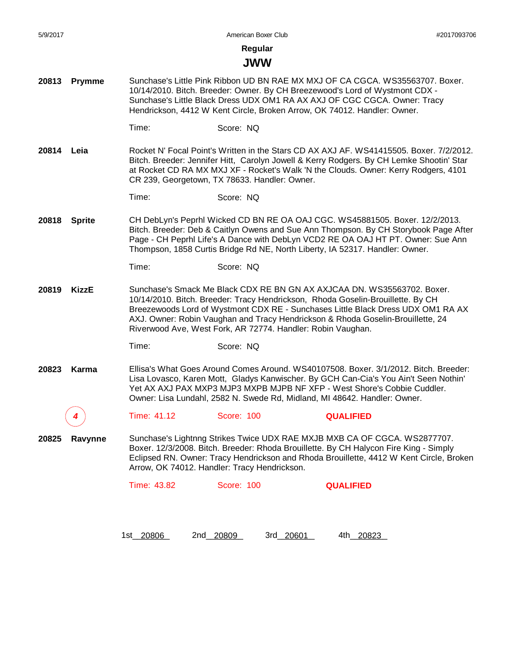#### **JWW**

- **20813 Prymme** Sunchase's Little Pink Ribbon UD BN RAE MX MXJ OF CA CGCA. WS35563707. Boxer. 10/14/2010. Bitch. Breeder: Owner. By CH Breezewood's Lord of Wystmont CDX - Sunchase's Little Black Dress UDX OM1 RA AX AXJ OF CGC CGCA. Owner: Tracy Hendrickson, 4412 W Kent Circle, Broken Arrow, OK 74012. Handler: Owner.
	- Time: Score: NQ
- **20814 Leia** Rocket N' Focal Point's Written in the Stars CD AX AXJ AF. WS41415505. Boxer. 7/2/2012. Bitch. Breeder: Jennifer Hitt, Carolyn Jowell & Kerry Rodgers. By CH Lemke Shootin' Star at Rocket CD RA MX MXJ XF - Rocket's Walk 'N the Clouds. Owner: Kerry Rodgers, 4101 CR 239, Georgetown, TX 78633. Handler: Owner.

Time: Score: NQ

**20818 Sprite** CH DebLyn's Peprhl Wicked CD BN RE OA OAJ CGC. WS45881505. Boxer. 12/2/2013. Bitch. Breeder: Deb & Caitlyn Owens and Sue Ann Thompson. By CH Storybook Page After Page - CH Peprhl Life's A Dance with DebLyn VCD2 RE OA OAJ HT PT. Owner: Sue Ann Thompson, 1858 Curtis Bridge Rd NE, North Liberty, IA 52317. Handler: Owner.

```
Time: Score: NQ
```
**20819 KizzE** Sunchase's Smack Me Black CDX RE BN GN AX AXJCAA DN. WS35563702. Boxer. 10/14/2010. Bitch. Breeder: Tracy Hendrickson, Rhoda Goselin-Brouillette. By CH Breezewoods Lord of Wystmont CDX RE - Sunchases Little Black Dress UDX OM1 RA AX AXJ. Owner: Robin Vaughan and Tracy Hendrickson & Rhoda Goselin-Brouillette, 24 Riverwood Ave, West Fork, AR 72774. Handler: Robin Vaughan.

Time: Score: NQ

**20823 Karma** Ellisa's What Goes Around Comes Around. WS40107508. Boxer. 3/1/2012. Bitch. Breeder: Lisa Lovasco, Karen Mott, Gladys Kanwischer. By GCH Can-Cia's You Ain't Seen Nothin' Yet AX AXJ PAX MXP3 MJP3 MXPB MJPB NF XFP - West Shore's Cobbie Cuddler. Owner: Lisa Lundahl, 2582 N. Swede Rd, Midland, MI 48642. Handler: Owner.

*4* Time: 41.12 Score: 100 **QUALIFIED**

**20825 Ravynne** Sunchase's Lightnng Strikes Twice UDX RAE MXJB MXB CA OF CGCA. WS2877707. Boxer. 12/3/2008. Bitch. Breeder: Rhoda Brouillette. By CH Halycon Fire King - Simply Eclipsed RN. Owner: Tracy Hendrickson and Rhoda Brouillette, 4412 W Kent Circle, Broken Arrow, OK 74012. Handler: Tracy Hendrickson.

1st\_20806 2nd\_20809 3rd\_20601 4th\_20823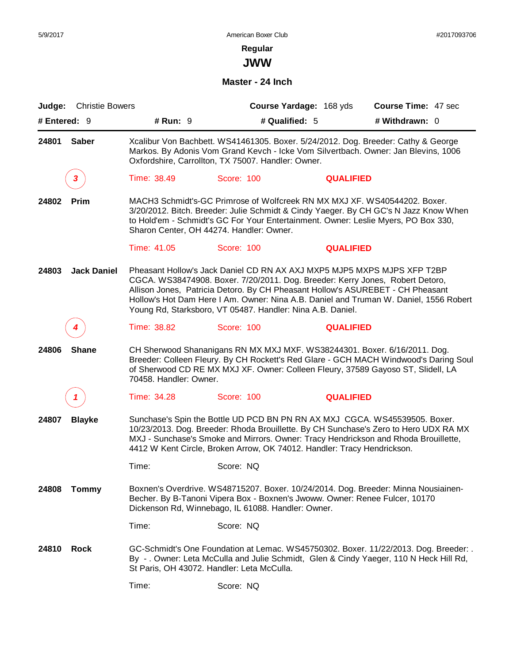**JWW**

**Master - 24 Inch**

| Judge:       | <b>Christie Bowers</b> |                        | Course Yardage: 168 yds                                                                                                                                                                                                                                                                                                              |                  | <b>Course Time: 47 sec</b>                                                            |
|--------------|------------------------|------------------------|--------------------------------------------------------------------------------------------------------------------------------------------------------------------------------------------------------------------------------------------------------------------------------------------------------------------------------------|------------------|---------------------------------------------------------------------------------------|
| # Entered: 9 |                        | # Run: 9               | # Qualified: 5                                                                                                                                                                                                                                                                                                                       |                  | # Withdrawn: 0                                                                        |
| 24801        | <b>Saber</b>           |                        | Xcalibur Von Bachbett. WS41461305. Boxer. 5/24/2012. Dog. Breeder: Cathy & George<br>Markos. By Adonis Vom Grand Kevch - Icke Vom Silvertbach. Owner: Jan Blevins, 1006<br>Oxfordshire, Carrollton, TX 75007. Handler: Owner.                                                                                                        |                  |                                                                                       |
|              | 3                      | Time: 38.49            | Score: 100                                                                                                                                                                                                                                                                                                                           | <b>QUALIFIED</b> |                                                                                       |
| 24802        | Prim                   |                        | MACH3 Schmidt's-GC Primrose of Wolfcreek RN MX MXJ XF. WS40544202. Boxer.<br>3/20/2012. Bitch. Breeder: Julie Schmidt & Cindy Yaeger. By CH GC's N Jazz Know When<br>to Hold'em - Schmidt's GC For Your Entertainment. Owner: Leslie Myers, PO Box 330,<br>Sharon Center, OH 44274. Handler: Owner.                                  |                  |                                                                                       |
|              |                        | Time: 41.05            | Score: 100                                                                                                                                                                                                                                                                                                                           | <b>QUALIFIED</b> |                                                                                       |
| 24803        | <b>Jack Daniel</b>     |                        | Pheasant Hollow's Jack Daniel CD RN AX AXJ MXP5 MJP5 MXPS MJPS XFP T2BP<br>CGCA. WS38474908. Boxer. 7/20/2011. Dog. Breeder: Kerry Jones, Robert Detoro,<br>Allison Jones, Patricia Detoro. By CH Pheasant Hollow's ASUREBET - CH Pheasant<br>Young Rd, Starksboro, VT 05487. Handler: Nina A.B. Daniel.                             |                  | Hollow's Hot Dam Here I Am. Owner: Nina A.B. Daniel and Truman W. Daniel, 1556 Robert |
|              |                        | Time: 38.82            | Score: 100                                                                                                                                                                                                                                                                                                                           | <b>QUALIFIED</b> |                                                                                       |
| 24806        | <b>Shane</b>           | 70458. Handler: Owner. | CH Sherwood Shananigans RN MX MXJ MXF. WS38244301. Boxer. 6/16/2011. Dog.<br>of Sherwood CD RE MX MXJ XF. Owner: Colleen Fleury, 37589 Gayoso ST, Slidell, LA                                                                                                                                                                        |                  | Breeder: Colleen Fleury. By CH Rockett's Red Glare - GCH MACH Windwood's Daring Soul  |
|              |                        | Time: 34.28            | Score: 100                                                                                                                                                                                                                                                                                                                           | <b>QUALIFIED</b> |                                                                                       |
| 24807        | <b>Blayke</b>          |                        | Sunchase's Spin the Bottle UD PCD BN PN RN AX MXJ CGCA. WS45539505. Boxer.<br>10/23/2013. Dog. Breeder: Rhoda Brouillette. By CH Sunchase's Zero to Hero UDX RA MX<br>MXJ - Sunchase's Smoke and Mirrors. Owner: Tracy Hendrickson and Rhoda Brouillette,<br>4412 W Kent Circle, Broken Arrow, OK 74012. Handler: Tracy Hendrickson. |                  |                                                                                       |
|              |                        | Time:                  | Score: NQ                                                                                                                                                                                                                                                                                                                            |                  |                                                                                       |
| 24808        | <b>Tommy</b>           |                        | Boxnen's Overdrive. WS48715207. Boxer. 10/24/2014. Dog. Breeder: Minna Nousiainen-<br>Becher. By B-Tanoni Vipera Box - Boxnen's Jwoww. Owner: Renee Fulcer, 10170<br>Dickenson Rd, Winnebago, IL 61088. Handler: Owner.                                                                                                              |                  |                                                                                       |
|              |                        | Time:                  | Score: NQ                                                                                                                                                                                                                                                                                                                            |                  |                                                                                       |
| 24810        | <b>Rock</b>            |                        | GC-Schmidt's One Foundation at Lemac. WS45750302. Boxer. 11/22/2013. Dog. Breeder: .<br>By -. Owner: Leta McCulla and Julie Schmidt, Glen & Cindy Yaeger, 110 N Heck Hill Rd,<br>St Paris, OH 43072. Handler: Leta McCulla.                                                                                                          |                  |                                                                                       |
|              |                        | Time:                  | Score: NQ                                                                                                                                                                                                                                                                                                                            |                  |                                                                                       |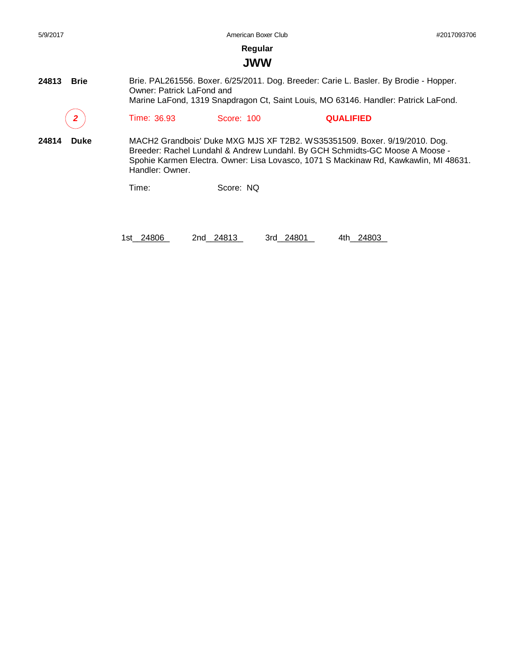| 5/9/2017             |                           | #2017093706 |                                                                                                                                                                                                                                                   |  |
|----------------------|---------------------------|-------------|---------------------------------------------------------------------------------------------------------------------------------------------------------------------------------------------------------------------------------------------------|--|
|                      |                           | Regular     |                                                                                                                                                                                                                                                   |  |
|                      |                           | <b>JWW</b>  |                                                                                                                                                                                                                                                   |  |
| 24813<br><b>Brie</b> | Owner: Patrick LaFond and |             | Brie. PAL261556. Boxer. 6/25/2011. Dog. Breeder: Carie L. Basler. By Brodie - Hopper.<br>Marine LaFond, 1319 Snapdragon Ct, Saint Louis, MO 63146. Handler: Patrick LaFond.                                                                       |  |
|                      | Time: 36.93               | Score: 100  | <b>QUALIFIED</b>                                                                                                                                                                                                                                  |  |
| 24814<br>Duke        | Handler: Owner.           |             | MACH2 Grandbois' Duke MXG MJS XF T2B2. WS35351509. Boxer. 9/19/2010. Dog.<br>Breeder: Rachel Lundahl & Andrew Lundahl. By GCH Schmidts-GC Moose A Moose -<br>Spohie Karmen Electra. Owner: Lisa Lovasco, 1071 S Mackinaw Rd, Kawkawlin, MI 48631. |  |
|                      | Time:                     | Score: NQ   |                                                                                                                                                                                                                                                   |  |
|                      |                           |             |                                                                                                                                                                                                                                                   |  |

1st\_\_24806 2nd\_\_24813 3rd\_\_24801 4th\_\_24803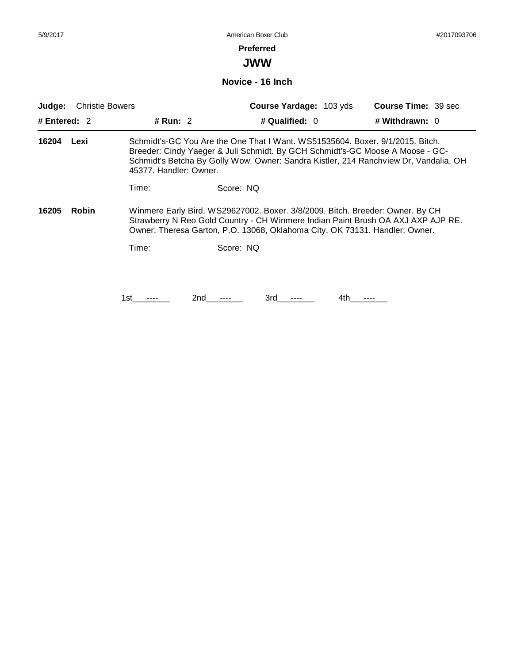## **Preferred**

**JWW**

**Novice - 16 Inch**

| <b>Christie Bowers</b><br>Judge: |              | <b>Course Yardage: 103 yds</b> |                                                                             |                  | <b>Course Time: 39 sec</b> |                                                                                                                                                                                                                                                        |
|----------------------------------|--------------|--------------------------------|-----------------------------------------------------------------------------|------------------|----------------------------|--------------------------------------------------------------------------------------------------------------------------------------------------------------------------------------------------------------------------------------------------------|
| # Entered: $2$                   |              | # Run: $2$                     |                                                                             | # Qualified: $0$ |                            | # Withdrawn: 0                                                                                                                                                                                                                                         |
| 16204                            | Lexi         | 45377. Handler: Owner.         |                                                                             |                  |                            | Schmidt's-GC You Are the One That I Want. WS51535604. Boxer. 9/1/2015. Bitch.<br>Breeder: Cindy Yaeger & Juli Schmidt. By GCH Schmidt's-GC Moose A Moose - GC-<br>Schmidt's Betcha By Golly Wow. Owner: Sandra Kistler, 214 Ranchview Dr, Vandalia, OH |
|                                  |              | Time:                          | Score: NO                                                                   |                  |                            |                                                                                                                                                                                                                                                        |
| 16205                            | <b>Robin</b> |                                | Owner: Theresa Garton, P.O. 13068, Oklahoma City, OK 73131. Handler: Owner. |                  |                            | Winmere Early Bird. WS29627002. Boxer. 3/8/2009. Bitch. Breeder: Owner. By CH<br>Strawberry N Reo Gold Country - CH Winmere Indian Paint Brush OA AXJ AXP AJP RE.                                                                                      |
|                                  |              | Time:                          | Score: NO                                                                   |                  |                            |                                                                                                                                                                                                                                                        |
|                                  |              |                                |                                                                             |                  |                            |                                                                                                                                                                                                                                                        |
|                                  |              | 1st.                           | 2nd                                                                         | 3rd              | 4th                        |                                                                                                                                                                                                                                                        |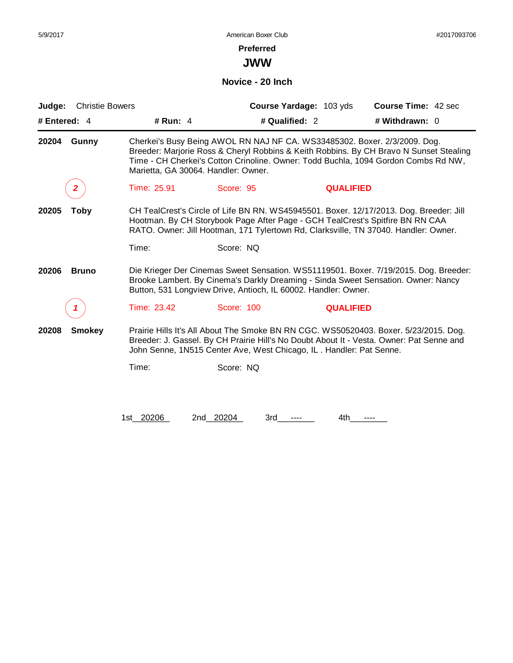**JWW**

#### **Novice - 20 Inch**

| Judge:       | <b>Christie Bowers</b> |                                     |                                                                               | Course Yardage: 103 yds | <b>Course Time: 42 sec</b>                                                                                                                                                       |
|--------------|------------------------|-------------------------------------|-------------------------------------------------------------------------------|-------------------------|----------------------------------------------------------------------------------------------------------------------------------------------------------------------------------|
| # Entered: 4 |                        | # Run: $4$                          | # Qualified: 2                                                                |                         | # Withdrawn: 0                                                                                                                                                                   |
| 20204        | Gunny                  | Marietta, GA 30064. Handler: Owner. | Cherkei's Busy Being AWOL RN NAJ NF CA. WS33485302. Boxer. 2/3/2009. Dog.     |                         | Breeder: Marjorie Ross & Cheryl Robbins & Keith Robbins. By CH Bravo N Sunset Stealing<br>Time - CH Cherkei's Cotton Crinoline. Owner: Todd Buchla, 1094 Gordon Combs Rd NW,     |
|              | $\mathbf{2}$           | Time: 25.91                         | Score: 95                                                                     | <b>QUALIFIED</b>        |                                                                                                                                                                                  |
| 20205        | Toby                   |                                     | Hootman. By CH Storybook Page After Page - GCH TealCrest's Spitfire BN RN CAA |                         | CH TealCrest's Circle of Life BN RN. WS45945501. Boxer. 12/17/2013. Dog. Breeder: Jill<br>RATO. Owner: Jill Hootman, 171 Tylertown Rd, Clarksville, TN 37040. Handler: Owner.    |
|              |                        | Time:                               | Score: NQ                                                                     |                         |                                                                                                                                                                                  |
| 20206        | <b>Bruno</b>           |                                     | Button, 531 Longview Drive, Antioch, IL 60002. Handler: Owner.                |                         | Die Krieger Der Cinemas Sweet Sensation. WS51119501. Boxer. 7/19/2015. Dog. Breeder:<br>Brooke Lambert. By Cinema's Darkly Dreaming - Sinda Sweet Sensation. Owner: Nancy        |
|              |                        | Time: 23.42                         | Score: 100                                                                    | <b>QUALIFIED</b>        |                                                                                                                                                                                  |
| 20208        | <b>Smokey</b>          |                                     | John Senne, 1N515 Center Ave, West Chicago, IL. Handler: Pat Senne.           |                         | Prairie Hills It's All About The Smoke BN RN CGC. WS50520403. Boxer. 5/23/2015. Dog.<br>Breeder: J. Gassel. By CH Prairie Hill's No Doubt About It - Vesta. Owner: Pat Senne and |
|              |                        | Time:                               | Score: NQ                                                                     |                         |                                                                                                                                                                                  |
|              |                        | 1st_20206                           | 2nd 20204<br>3rd                                                              | 4th                     |                                                                                                                                                                                  |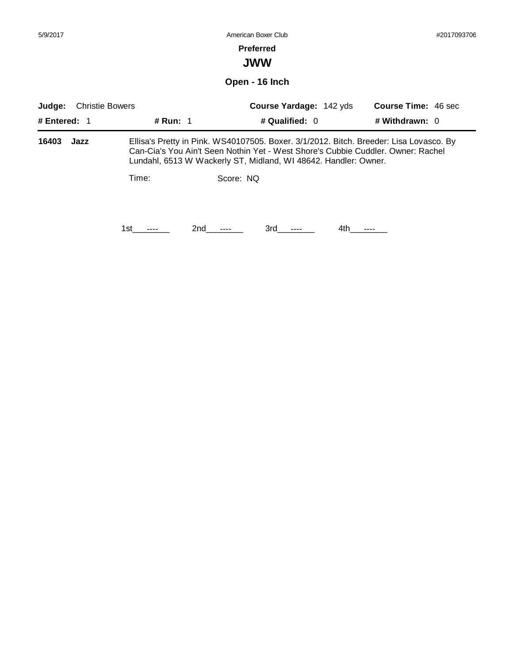| 5/9/2017                 |                        |          | American Boxer Club                                                                                                                                                                                                                           |                                                  |     |                                              | #2017093706 |  |
|--------------------------|------------------------|----------|-----------------------------------------------------------------------------------------------------------------------------------------------------------------------------------------------------------------------------------------------|--------------------------------------------------|-----|----------------------------------------------|-------------|--|
|                          |                        |          |                                                                                                                                                                                                                                               | <b>Preferred</b><br><b>JWW</b>                   |     |                                              |             |  |
|                          |                        |          |                                                                                                                                                                                                                                               | Open - 16 Inch                                   |     |                                              |             |  |
| Judge:<br># Entered: $1$ | <b>Christie Bowers</b> | # Run: 1 |                                                                                                                                                                                                                                               | <b>Course Yardage: 142 yds</b><br># Qualified: 0 |     | <b>Course Time: 46 sec</b><br># Withdrawn: 0 |             |  |
| 16403                    | Jazz                   |          | Ellisa's Pretty in Pink. WS40107505. Boxer. 3/1/2012. Bitch. Breeder: Lisa Lovasco. By<br>Can-Cia's You Ain't Seen Nothin Yet - West Shore's Cubbie Cuddler. Owner: Rachel<br>Lundahl, 6513 W Wackerly ST, Midland, WI 48642. Handler: Owner. |                                                  |     |                                              |             |  |
|                          |                        | Time:    | Score: NQ                                                                                                                                                                                                                                     |                                                  |     |                                              |             |  |
|                          |                        | 1st      | 2nd                                                                                                                                                                                                                                           | 3rd                                              | 4th |                                              |             |  |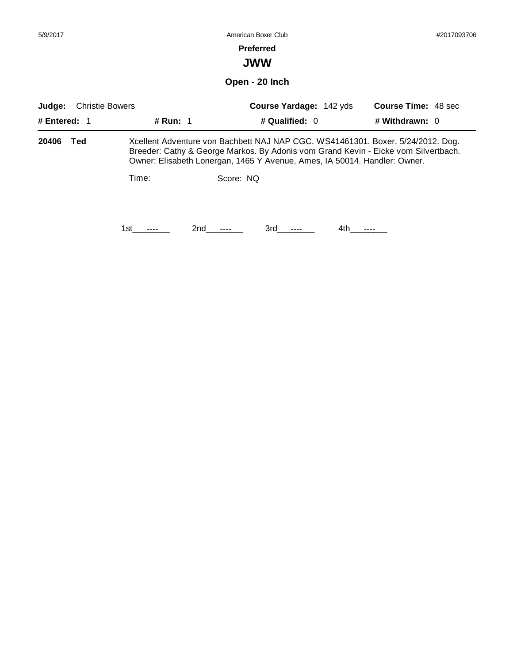| 5/9/2017     | American Boxer Club    |          |                                                                                                                                                                                                                                                    |                                |     | #2017093706                |  |
|--------------|------------------------|----------|----------------------------------------------------------------------------------------------------------------------------------------------------------------------------------------------------------------------------------------------------|--------------------------------|-----|----------------------------|--|
|              |                        |          | <b>Preferred</b>                                                                                                                                                                                                                                   |                                |     |                            |  |
|              |                        |          | <b>JWW</b>                                                                                                                                                                                                                                         |                                |     |                            |  |
|              |                        |          | Open - 20 Inch                                                                                                                                                                                                                                     |                                |     |                            |  |
| Judge:       | <b>Christie Bowers</b> |          |                                                                                                                                                                                                                                                    | <b>Course Yardage: 142 yds</b> |     | <b>Course Time: 48 sec</b> |  |
| # Entered: 1 |                        | # Run: 1 |                                                                                                                                                                                                                                                    | # Qualified: 0                 |     | # Withdrawn: 0             |  |
| 20406        | Ted                    |          | Xcellent Adventure von Bachbett NAJ NAP CGC. WS41461301. Boxer. 5/24/2012. Dog.<br>Breeder: Cathy & George Markos. By Adonis vom Grand Kevin - Eicke vom Silvertbach.<br>Owner: Elisabeth Lonergan, 1465 Y Avenue, Ames, IA 50014. Handler: Owner. |                                |     |                            |  |
|              |                        | Time:    | Score: NQ                                                                                                                                                                                                                                          |                                |     |                            |  |
|              |                        |          |                                                                                                                                                                                                                                                    |                                |     |                            |  |
|              |                        | 1st      | 2nd                                                                                                                                                                                                                                                | 3rd                            | 4th |                            |  |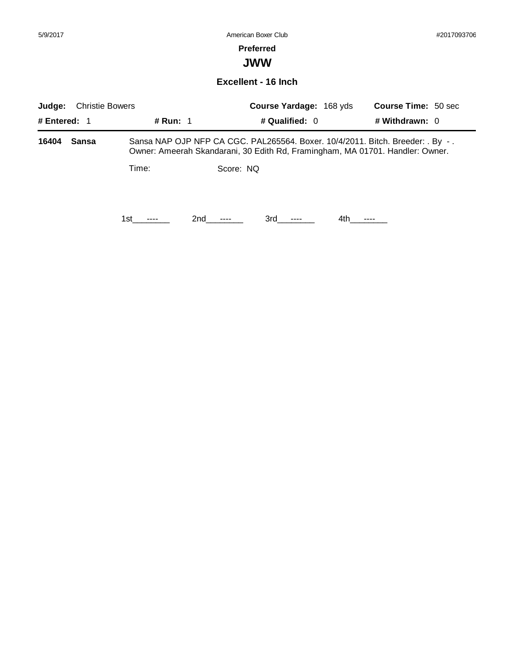# **Preferred**

**JWW**

#### **Excellent - 16 Inch**

| <b>Christie Bowers</b><br>Judge: |       |          |                 | Course Yardage: 168 yds |      | <b>Course Time: 50 sec</b>                                                                                                                                      |
|----------------------------------|-------|----------|-----------------|-------------------------|------|-----------------------------------------------------------------------------------------------------------------------------------------------------------------|
| # Entered: 1                     |       | # Run: 1 |                 | # Qualified: $0$        |      | # Withdrawn: 0                                                                                                                                                  |
| 16404                            | Sansa |          |                 |                         |      | Sansa NAP OJP NFP CA CGC. PAL265564. Boxer. 10/4/2011. Bitch. Breeder: . By -.<br>Owner: Ameerah Skandarani, 30 Edith Rd, Framingham, MA 01701. Handler: Owner. |
|                                  |       | Time:    |                 | Score: NQ               |      |                                                                                                                                                                 |
|                                  |       | 1st.     | 2nd<br>$\cdots$ | 3rd a                   | 4th. |                                                                                                                                                                 |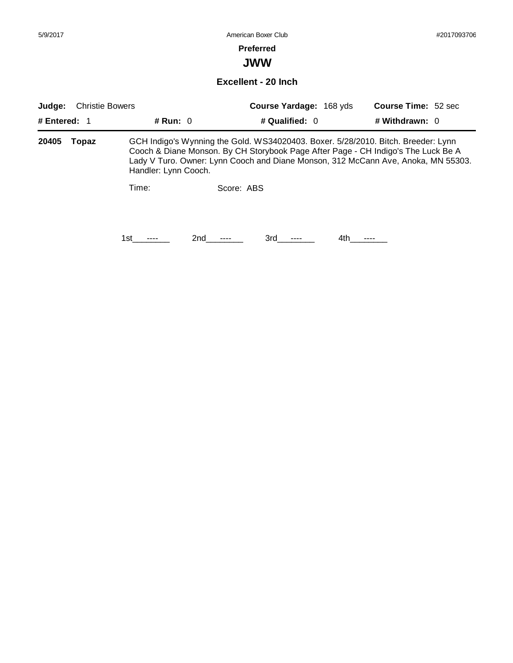#### **Preferred**

**JWW**

**Excellent - 20 Inch**

| <b>Christie Bowers</b><br>Judge: |       |                      |            |                  | <b>Course Yardage: 168 yds</b> | <b>Course Time: 52 sec</b>                                                                                                                                                                                                                                  |  |
|----------------------------------|-------|----------------------|------------|------------------|--------------------------------|-------------------------------------------------------------------------------------------------------------------------------------------------------------------------------------------------------------------------------------------------------------|--|
| # Entered: $1$                   |       | # Run: $0$           |            | # Qualified: $0$ |                                | # Withdrawn: 0                                                                                                                                                                                                                                              |  |
| 20405                            | Topaz | Handler: Lynn Cooch. |            |                  |                                | GCH Indigo's Wynning the Gold. WS34020403. Boxer. 5/28/2010. Bitch. Breeder: Lynn<br>Cooch & Diane Monson. By CH Storybook Page After Page - CH Indigo's The Luck Be A<br>Lady V Turo. Owner: Lynn Cooch and Diane Monson, 312 McCann Ave, Anoka, MN 55303. |  |
|                                  |       | Time:                | Score: ABS |                  |                                |                                                                                                                                                                                                                                                             |  |
|                                  |       | 1st                  | 2nd        | 3rd              | 4th.                           |                                                                                                                                                                                                                                                             |  |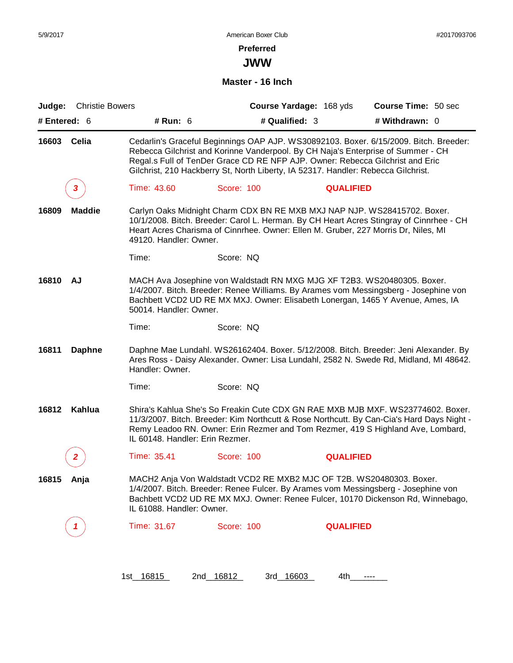**JWW**

#### **Master - 16 Inch**

| Judge:       | <b>Christie Bowers</b> |                                 |                                                                                                                                                                                                                                                        | Course Yardage: 168 yds | Course Time: 50 sec                                                                                                                                                                                                                                             |
|--------------|------------------------|---------------------------------|--------------------------------------------------------------------------------------------------------------------------------------------------------------------------------------------------------------------------------------------------------|-------------------------|-----------------------------------------------------------------------------------------------------------------------------------------------------------------------------------------------------------------------------------------------------------------|
| # Entered: 6 |                        | # Run: $6$                      | # Qualified: 3                                                                                                                                                                                                                                         |                         | # Withdrawn: 0                                                                                                                                                                                                                                                  |
| 16603        | Celia                  |                                 | Rebecca Gilchrist and Korinne Vanderpool. By CH Naja's Enterprise of Summer - CH<br>Regal.s Full of TenDer Grace CD RE NFP AJP. Owner: Rebecca Gilchrist and Eric<br>Gilchrist, 210 Hackberry St, North Liberty, IA 52317. Handler: Rebecca Gilchrist. |                         | Cedarlin's Graceful Beginnings OAP AJP. WS30892103. Boxer. 6/15/2009. Bitch. Breeder:                                                                                                                                                                           |
|              | 3                      | Time: 43.60                     | Score: 100                                                                                                                                                                                                                                             | <b>QUALIFIED</b>        |                                                                                                                                                                                                                                                                 |
| 16809        | <b>Maddie</b>          | 49120. Handler: Owner.          | Carlyn Oaks Midnight Charm CDX BN RE MXB MXJ NAP NJP. WS28415702. Boxer.<br>Heart Acres Charisma of Cinnrhee. Owner: Ellen M. Gruber, 227 Morris Dr, Niles, MI                                                                                         |                         | 10/1/2008. Bitch. Breeder: Carol L. Herman. By CH Heart Acres Stingray of Cinnrhee - CH                                                                                                                                                                         |
|              |                        | Time:                           | Score: NQ                                                                                                                                                                                                                                              |                         |                                                                                                                                                                                                                                                                 |
| 16810        | <b>AJ</b>              | 50014. Handler: Owner.          | MACH Ava Josephine von Waldstadt RN MXG MJG XF T2B3. WS20480305. Boxer.                                                                                                                                                                                |                         | 1/4/2007. Bitch. Breeder: Renee Williams. By Arames vom Messingsberg - Josephine von<br>Bachbett VCD2 UD RE MX MXJ. Owner: Elisabeth Lonergan, 1465 Y Avenue, Ames, IA                                                                                          |
|              |                        | Time:                           | Score: NQ                                                                                                                                                                                                                                              |                         |                                                                                                                                                                                                                                                                 |
| 16811        | <b>Daphne</b>          | Handler: Owner.                 |                                                                                                                                                                                                                                                        |                         | Daphne Mae Lundahl. WS26162404. Boxer. 5/12/2008. Bitch. Breeder: Jeni Alexander. By<br>Ares Ross - Daisy Alexander. Owner: Lisa Lundahl, 2582 N. Swede Rd, Midland, MI 48642.                                                                                  |
|              |                        | Time:                           | Score: NQ                                                                                                                                                                                                                                              |                         |                                                                                                                                                                                                                                                                 |
| 16812        | Kahlua                 | IL 60148. Handler: Erin Rezmer. |                                                                                                                                                                                                                                                        |                         | Shira's Kahlua She's So Freakin Cute CDX GN RAE MXB MJB MXF. WS23774602. Boxer.<br>11/3/2007. Bitch. Breeder: Kim Northcutt & Rose Northcutt. By Can-Cia's Hard Days Night -<br>Remy Leadoo RN. Owner: Erin Rezmer and Tom Rezmer, 419 S Highland Ave, Lombard, |
|              |                        | Time: 35.41                     | Score: 100                                                                                                                                                                                                                                             | <b>QUALIFIED</b>        |                                                                                                                                                                                                                                                                 |
| 16815        | Anja                   | IL 61088. Handler: Owner.       | MACH2 Anja Von Waldstadt VCD2 RE MXB2 MJC OF T2B. WS20480303. Boxer.                                                                                                                                                                                   |                         | 1/4/2007. Bitch. Breeder: Renee Fulcer. By Arames vom Messingsberg - Josephine von<br>Bachbett VCD2 UD RE MX MXJ. Owner: Renee Fulcer, 10170 Dickenson Rd, Winnebago,                                                                                           |
|              | 1                      | Time: 31.67                     | <b>Score: 100</b>                                                                                                                                                                                                                                      | <b>QUALIFIED</b>        |                                                                                                                                                                                                                                                                 |
|              |                        |                                 |                                                                                                                                                                                                                                                        |                         |                                                                                                                                                                                                                                                                 |
|              |                        |                                 |                                                                                                                                                                                                                                                        |                         |                                                                                                                                                                                                                                                                 |

1st\_ 16815 2nd\_ 16812 3rd\_ 16603 4th\_\_\_\_\_\_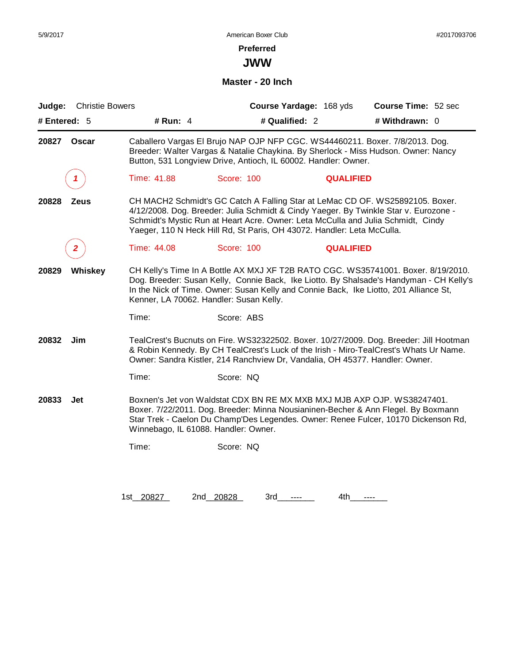# **Preferred**

**JWW**

**Master - 20 Inch**

| Judge:       | <b>Christie Bowers</b> |                                         |                                                                                                                                                            | Course Yardage: 168 yds | Course Time: 52 sec                                                                                                                                                                                                                                                   |
|--------------|------------------------|-----------------------------------------|------------------------------------------------------------------------------------------------------------------------------------------------------------|-------------------------|-----------------------------------------------------------------------------------------------------------------------------------------------------------------------------------------------------------------------------------------------------------------------|
| # Entered: 5 |                        | # Run: 4                                | # Qualified: 2                                                                                                                                             |                         | # Withdrawn: 0                                                                                                                                                                                                                                                        |
| 20827        | <b>Oscar</b>           |                                         | Button, 531 Longview Drive, Antioch, IL 60002. Handler: Owner.                                                                                             |                         | Caballero Vargas El Brujo NAP OJP NFP CGC. WS44460211. Boxer. 7/8/2013. Dog.<br>Breeder: Walter Vargas & Natalie Chaykina. By Sherlock - Miss Hudson. Owner: Nancy                                                                                                    |
|              | 1                      | Time: 41.88                             | <b>Score: 100</b>                                                                                                                                          | <b>QUALIFIED</b>        |                                                                                                                                                                                                                                                                       |
| 20828        | <b>Zeus</b>            |                                         | Schmidt's Mystic Run at Heart Acre. Owner: Leta McCulla and Julia Schmidt, Cindy<br>Yaeger, 110 N Heck Hill Rd, St Paris, OH 43072. Handler: Leta McCulla. |                         | CH MACH2 Schmidt's GC Catch A Falling Star at LeMac CD OF. WS25892105. Boxer.<br>4/12/2008. Dog. Breeder: Julia Schmidt & Cindy Yaeger. By Twinkle Star v. Eurozone -                                                                                                 |
|              | 2                      | Time: 44.08                             | Score: 100                                                                                                                                                 | <b>QUALIFIED</b>        |                                                                                                                                                                                                                                                                       |
| 20829        | Whiskey                | Kenner, LA 70062. Handler: Susan Kelly. |                                                                                                                                                            |                         | CH Kelly's Time In A Bottle AX MXJ XF T2B RATO CGC. WS35741001. Boxer. 8/19/2010.<br>Dog. Breeder: Susan Kelly, Connie Back, Ike Liotto. By Shalsade's Handyman - CH Kelly's<br>In the Nick of Time. Owner: Susan Kelly and Connie Back, Ike Liotto, 201 Alliance St, |
|              |                        | Time:                                   | Score: ABS                                                                                                                                                 |                         |                                                                                                                                                                                                                                                                       |
| 20832        | Jim                    |                                         | Owner: Sandra Kistler, 214 Ranchview Dr, Vandalia, OH 45377. Handler: Owner.                                                                               |                         | TealCrest's Bucnuts on Fire. WS32322502. Boxer. 10/27/2009. Dog. Breeder: Jill Hootman<br>& Robin Kennedy. By CH TealCrest's Luck of the Irish - Miro-TealCrest's Whats Ur Name.                                                                                      |
|              |                        | Time:                                   | Score: NQ                                                                                                                                                  |                         |                                                                                                                                                                                                                                                                       |
| 20833        | Jet                    | Winnebago, IL 61088. Handler: Owner.    | Boxnen's Jet von Waldstat CDX BN RE MX MXB MXJ MJB AXP OJP. WS38247401.                                                                                    |                         | Boxer. 7/22/2011. Dog. Breeder: Minna Nousianinen-Becher & Ann Flegel. By Boxmann<br>Star Trek - Caelon Du Champ'Des Legendes. Owner: Renee Fulcer, 10170 Dickenson Rd,                                                                                               |
|              |                        | Time:                                   | Score: NQ                                                                                                                                                  |                         |                                                                                                                                                                                                                                                                       |
|              |                        |                                         |                                                                                                                                                            |                         |                                                                                                                                                                                                                                                                       |
|              |                        | 1st 20827                               | 2nd 20828<br>3rd                                                                                                                                           | 4th                     | $---$                                                                                                                                                                                                                                                                 |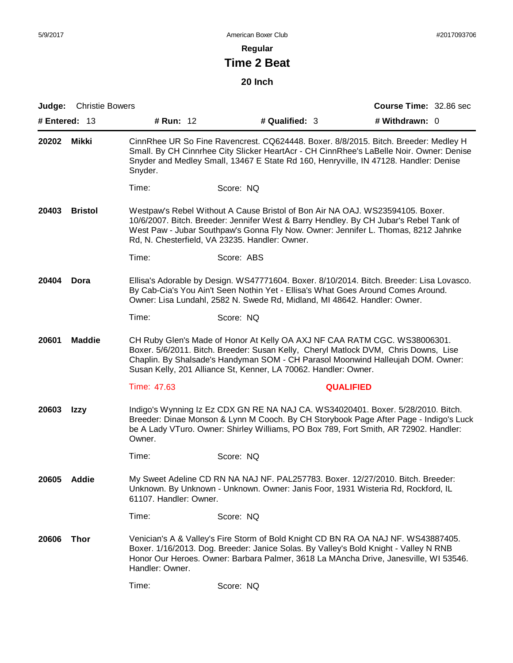**Regular**

# **Time 2 Beat**

**20 Inch**

| Judge:        | <b>Christie Bowers</b> |                        |                                                                                                                                                                                                                                                                                                                        | <b>Course Time: 32.86 sec</b> |
|---------------|------------------------|------------------------|------------------------------------------------------------------------------------------------------------------------------------------------------------------------------------------------------------------------------------------------------------------------------------------------------------------------|-------------------------------|
| # Entered: 13 |                        | # Run: 12              | # Qualified: 3                                                                                                                                                                                                                                                                                                         | # Withdrawn: 0                |
| 20202         | Mikki                  | Snyder.                | CinnRhee UR So Fine Ravencrest. CQ624448. Boxer. 8/8/2015. Bitch. Breeder: Medley H<br>Small. By CH Cinnrhee City Slicker HeartAcr - CH CinnRhee's LaBelle Noir. Owner: Denise<br>Snyder and Medley Small, 13467 E State Rd 160, Henryville, IN 47128. Handler: Denise                                                 |                               |
|               |                        | Time:                  | Score: NQ                                                                                                                                                                                                                                                                                                              |                               |
| 20403         | <b>Bristol</b>         |                        | Westpaw's Rebel Without A Cause Bristol of Bon Air NA OAJ. WS23594105. Boxer.<br>10/6/2007. Bitch. Breeder: Jennifer West & Barry Hendley. By CH Jubar's Rebel Tank of<br>West Paw - Jubar Southpaw's Gonna Fly Now. Owner: Jennifer L. Thomas, 8212 Jahnke<br>Rd, N. Chesterfield, VA 23235. Handler: Owner.          |                               |
|               |                        | Time:                  | Score: ABS                                                                                                                                                                                                                                                                                                             |                               |
| 20404         | Dora                   |                        | Ellisa's Adorable by Design. WS47771604. Boxer. 8/10/2014. Bitch. Breeder: Lisa Lovasco.<br>By Cab-Cia's You Ain't Seen Nothin Yet - Ellisa's What Goes Around Comes Around.<br>Owner: Lisa Lundahl, 2582 N. Swede Rd, Midland, MI 48642. Handler: Owner.                                                              |                               |
|               |                        | Time:                  | Score: NQ                                                                                                                                                                                                                                                                                                              |                               |
| 20601         | <b>Maddie</b>          |                        | CH Ruby Glen's Made of Honor At Kelly OA AXJ NF CAA RATM CGC. WS38006301.<br>Boxer. 5/6/2011. Bitch. Breeder: Susan Kelly, Cheryl Matlock DVM, Chris Downs, Lise<br>Chaplin. By Shalsade's Handyman SOM - CH Parasol Moonwind Halleujah DOM. Owner:<br>Susan Kelly, 201 Alliance St, Kenner, LA 70062. Handler: Owner. |                               |
|               |                        | Time: 47.63            | <b>QUALIFIED</b>                                                                                                                                                                                                                                                                                                       |                               |
| 20603         | Izzy                   | Owner.                 | Indigo's Wynning Iz Ez CDX GN RE NA NAJ CA. WS34020401. Boxer. 5/28/2010. Bitch.<br>Breeder: Dinae Monson & Lynn M Cooch. By CH Storybook Page After Page - Indigo's Luck<br>be A Lady VTuro. Owner: Shirley Williams, PO Box 789, Fort Smith, AR 72902. Handler:                                                      |                               |
|               |                        | Time:                  | Score: NQ                                                                                                                                                                                                                                                                                                              |                               |
| 20605         | Addle                  | 61107. Handler: Owner. | My Sweet Adeline CD RN NA NAJ NF. PAL257783. Boxer. 12/27/2010. Bitch. Breeder:<br>Unknown. By Unknown - Unknown. Owner: Janis Foor, 1931 Wisteria Rd, Rockford, IL                                                                                                                                                    |                               |
|               |                        | Time:                  | Score: NQ                                                                                                                                                                                                                                                                                                              |                               |
| 20606         | <b>Thor</b>            | Handler: Owner.        | Venician's A & Valley's Fire Storm of Bold Knight CD BN RA OA NAJ NF. WS43887405.<br>Boxer. 1/16/2013. Dog. Breeder: Janice Solas. By Valley's Bold Knight - Valley N RNB<br>Honor Our Heroes. Owner: Barbara Palmer, 3618 La MAncha Drive, Janesville, WI 53546.                                                      |                               |
|               |                        | Time:                  | Score: NQ                                                                                                                                                                                                                                                                                                              |                               |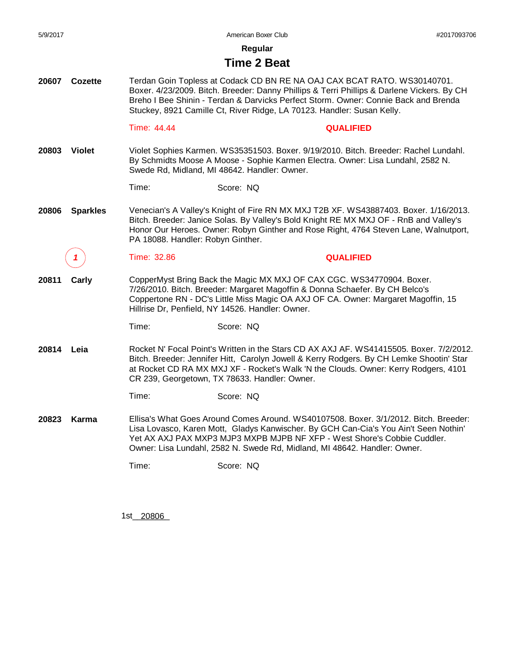**Regular**

#### **Time 2 Beat**

**20607 Cozette** Terdan Goin Topless at Codack CD BN RE NA OAJ CAX BCAT RATO. WS30140701. Boxer. 4/23/2009. Bitch. Breeder: Danny Phillips & Terri Phillips & Darlene Vickers. By CH Breho I Bee Shinin - Terdan & Darvicks Perfect Storm. Owner: Connie Back and Brenda Stuckey, 8921 Camille Ct, River Ridge, LA 70123. Handler: Susan Kelly.

#### Time: 44.44 **QUALIFIED**

**20803 Violet** Violet Sophies Karmen. WS35351503. Boxer. 9/19/2010. Bitch. Breeder: Rachel Lundahl. By Schmidts Moose A Moose - Sophie Karmen Electra. Owner: Lisa Lundahl, 2582 N. Swede Rd, Midland, MI 48642. Handler: Owner.

Time: Score: NQ

**20806 Sparkles** Venecian's A Valley's Knight of Fire RN MX MXJ T2B XF. WS43887403. Boxer. 1/16/2013. Bitch. Breeder: Janice Solas. By Valley's Bold Knight RE MX MXJ OF - RnB and Valley's Honor Our Heroes. Owner: Robyn Ginther and Rose Right, 4764 Steven Lane, Walnutport, PA 18088. Handler: Robyn Ginther.

**20811 Carly** CopperMyst Bring Back the Magic MX MXJ OF CAX CGC. WS34770904. Boxer. 7/26/2010. Bitch. Breeder: Margaret Magoffin & Donna Schaefer. By CH Belco's Coppertone RN - DC's Little Miss Magic OA AXJ OF CA. Owner: Margaret Magoffin, 15 Hillrise Dr, Penfield, NY 14526. Handler: Owner.

*1* Time: 32.86 **QUALIFIED**

Time: Score: NQ

**20814 Leia** Rocket N' Focal Point's Written in the Stars CD AX AXJ AF. WS41415505. Boxer. 7/2/2012. Bitch. Breeder: Jennifer Hitt, Carolyn Jowell & Kerry Rodgers. By CH Lemke Shootin' Star at Rocket CD RA MX MXJ XF - Rocket's Walk 'N the Clouds. Owner: Kerry Rodgers, 4101 CR 239, Georgetown, TX 78633. Handler: Owner.

Time: Score: NQ

**20823 Karma** Ellisa's What Goes Around Comes Around. WS40107508. Boxer. 3/1/2012. Bitch. Breeder: Lisa Lovasco, Karen Mott, Gladys Kanwischer. By GCH Can-Cia's You Ain't Seen Nothin' Yet AX AXJ PAX MXP3 MJP3 MXPB MJPB NF XFP - West Shore's Cobbie Cuddler. Owner: Lisa Lundahl, 2582 N. Swede Rd, Midland, MI 48642. Handler: Owner.

Time: Score: NQ

1st\_\_\_\_\_\_\_\_ 20806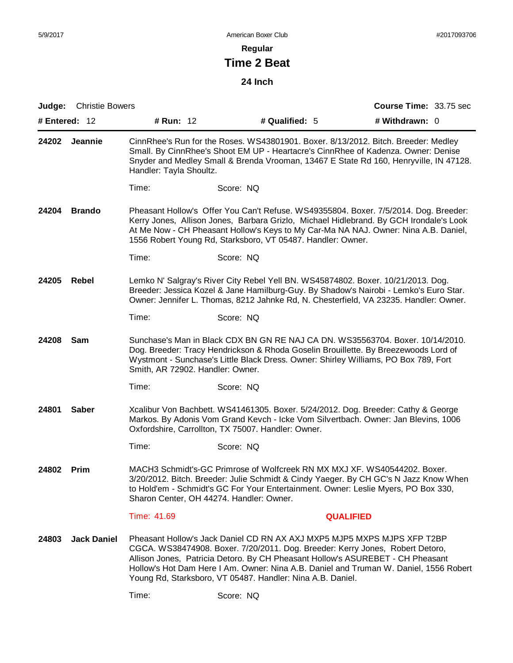**Regular**

# **Time 2 Beat**

**24 Inch**

| Judge: | <b>Christie Bowers</b> |                                  |                                                                                                                                                                                                                                                                                                                                                                                                   | <b>Course Time: 33.75 sec</b> |
|--------|------------------------|----------------------------------|---------------------------------------------------------------------------------------------------------------------------------------------------------------------------------------------------------------------------------------------------------------------------------------------------------------------------------------------------------------------------------------------------|-------------------------------|
|        | # Entered: $12$        | # Run: 12                        | # Qualified: 5                                                                                                                                                                                                                                                                                                                                                                                    | # Withdrawn: 0                |
| 24202  | Jeannie                | Handler: Tayla Shoultz.          | CinnRhee's Run for the Roses. WS43801901. Boxer. 8/13/2012. Bitch. Breeder: Medley<br>Small. By CinnRhee's Shoot EM UP - Heartacre's CinnRhee of Kadenza. Owner: Denise<br>Snyder and Medley Small & Brenda Vrooman, 13467 E State Rd 160, Henryville, IN 47128.                                                                                                                                  |                               |
|        |                        | Time:                            | Score: NQ                                                                                                                                                                                                                                                                                                                                                                                         |                               |
| 24204  | <b>Brando</b>          |                                  | Pheasant Hollow's Offer You Can't Refuse. WS49355804. Boxer. 7/5/2014. Dog. Breeder:<br>Kerry Jones, Allison Jones, Barbara Grizlo, Michael Hidlebrand. By GCH Irondale's Look<br>At Me Now - CH Pheasant Hollow's Keys to My Car-Ma NA NAJ. Owner: Nina A.B. Daniel,<br>1556 Robert Young Rd, Starksboro, VT 05487. Handler: Owner.                                                              |                               |
|        |                        | Time:                            | Score: NQ                                                                                                                                                                                                                                                                                                                                                                                         |                               |
| 24205  | Rebel                  |                                  | Lemko N' Salgray's River City Rebel Yell BN. WS45874802. Boxer. 10/21/2013. Dog.<br>Breeder: Jessica Kozel & Jane Hamilburg-Guy. By Shadow's Nairobi - Lemko's Euro Star.<br>Owner: Jennifer L. Thomas, 8212 Jahnke Rd, N. Chesterfield, VA 23235. Handler: Owner.                                                                                                                                |                               |
|        |                        | Time:                            | Score: NQ                                                                                                                                                                                                                                                                                                                                                                                         |                               |
| 24208  | Sam                    | Smith, AR 72902. Handler: Owner. | Sunchase's Man in Black CDX BN GN RE NAJ CA DN. WS35563704. Boxer. 10/14/2010.<br>Dog. Breeder: Tracy Hendrickson & Rhoda Goselin Brouillette. By Breezewoods Lord of<br>Wystmont - Sunchase's Little Black Dress. Owner: Shirley Williams, PO Box 789, Fort                                                                                                                                      |                               |
|        |                        | Time:                            | Score: NQ                                                                                                                                                                                                                                                                                                                                                                                         |                               |
| 24801  | <b>Saber</b>           |                                  | Xcalibur Von Bachbett. WS41461305. Boxer. 5/24/2012. Dog. Breeder: Cathy & George<br>Markos. By Adonis Vom Grand Kevch - Icke Vom Silvertbach. Owner: Jan Blevins, 1006<br>Oxfordshire, Carrollton, TX 75007. Handler: Owner.                                                                                                                                                                     |                               |
|        |                        | Time:                            | Score: NQ                                                                                                                                                                                                                                                                                                                                                                                         |                               |
| 24802  | Prim                   |                                  | MACH3 Schmidt's-GC Primrose of Wolfcreek RN MX MXJ XF. WS40544202. Boxer.<br>3/20/2012. Bitch. Breeder: Julie Schmidt & Cindy Yaeger. By CH GC's N Jazz Know When<br>to Hold'em - Schmidt's GC For Your Entertainment. Owner: Leslie Myers, PO Box 330,<br>Sharon Center, OH 44274. Handler: Owner.                                                                                               |                               |
|        |                        | Time: 41.69                      | <b>QUALIFIED</b>                                                                                                                                                                                                                                                                                                                                                                                  |                               |
| 24803  | <b>Jack Daniel</b>     |                                  | Pheasant Hollow's Jack Daniel CD RN AX AXJ MXP5 MJP5 MXPS MJPS XFP T2BP<br>CGCA. WS38474908. Boxer. 7/20/2011. Dog. Breeder: Kerry Jones, Robert Detoro,<br>Allison Jones, Patricia Detoro. By CH Pheasant Hollow's ASUREBET - CH Pheasant<br>Hollow's Hot Dam Here I Am. Owner: Nina A.B. Daniel and Truman W. Daniel, 1556 Robert<br>Young Rd, Starksboro, VT 05487. Handler: Nina A.B. Daniel. |                               |
|        |                        | Time:                            | Score: NQ                                                                                                                                                                                                                                                                                                                                                                                         |                               |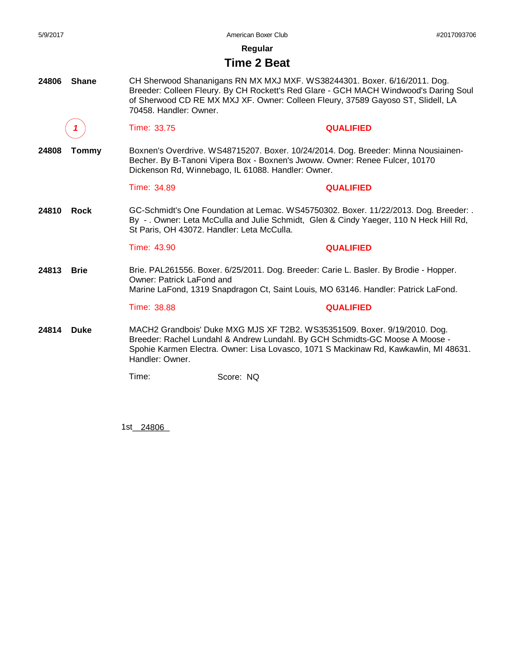**Regular**

#### **Time 2 Beat**

**24806 Shane** CH Sherwood Shananigans RN MX MXJ MXF. WS38244301. Boxer. 6/16/2011. Dog. Breeder: Colleen Fleury. By CH Rockett's Red Glare - GCH MACH Windwood's Daring Soul of Sherwood CD RE MX MXJ XF. Owner: Colleen Fleury, 37589 Gayoso ST, Slidell, LA 70458. Handler: Owner.

*1* Time: 33.75 **QUALIFIED**

**24808 Tommy** Boxnen's Overdrive. WS48715207. Boxer. 10/24/2014. Dog. Breeder: Minna Nousiainen-Becher. By B-Tanoni Vipera Box - Boxnen's Jwoww. Owner: Renee Fulcer, 10170 Dickenson Rd, Winnebago, IL 61088. Handler: Owner.

#### Time: 34.89 **QUALIFIED**

**24810 Rock** GC-Schmidt's One Foundation at Lemac. WS45750302. Boxer. 11/22/2013. Dog. Breeder: . By - . Owner: Leta McCulla and Julie Schmidt, Glen & Cindy Yaeger, 110 N Heck Hill Rd, St Paris, OH 43072. Handler: Leta McCulla.

#### Time: 43.90 **QUALIFIED**

**24813 Brie** Brie. PAL261556. Boxer. 6/25/2011. Dog. Breeder: Carie L. Basler. By Brodie - Hopper. Owner: Patrick LaFond and Marine LaFond, 1319 Snapdragon Ct, Saint Louis, MO 63146. Handler: Patrick LaFond.

#### Time: 38.88 **QUALIFIED**

**24814 Duke** MACH2 Grandbois' Duke MXG MJS XF T2B2. WS35351509. Boxer. 9/19/2010. Dog. Breeder: Rachel Lundahl & Andrew Lundahl. By GCH Schmidts-GC Moose A Moose - Spohie Karmen Electra. Owner: Lisa Lovasco, 1071 S Mackinaw Rd, Kawkawlin, MI 48631. Handler: Owner.

Time: Score: NQ

1st\_\_\_\_\_\_\_\_ 24806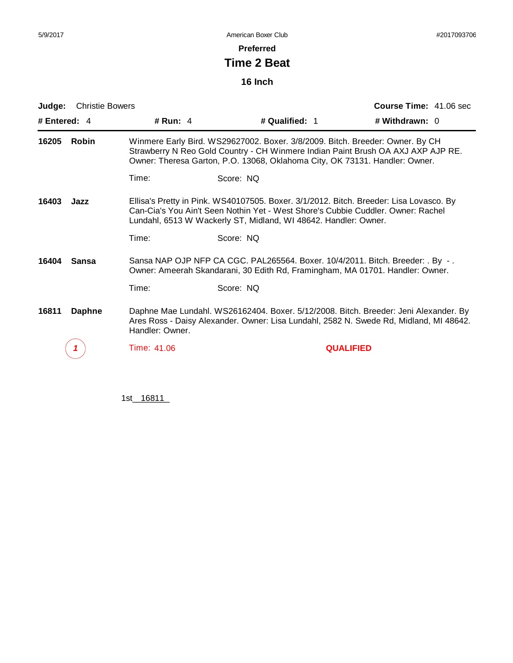**Preferred**

# **Time 2 Beat**

**16 Inch**

| Judge:         | <b>Christie Bowers</b> |                 |                                                                                                                                                                                                                                                  | Course Time: 41.06 sec |
|----------------|------------------------|-----------------|--------------------------------------------------------------------------------------------------------------------------------------------------------------------------------------------------------------------------------------------------|------------------------|
| # Entered: $4$ |                        | # Run: $4$      | # Qualified: 1                                                                                                                                                                                                                                   | # Withdrawn: $0$       |
| 16205          | <b>Robin</b>           |                 | Winmere Early Bird. WS29627002. Boxer. 3/8/2009. Bitch. Breeder: Owner. By CH<br>Strawberry N Reo Gold Country - CH Winmere Indian Paint Brush OA AXJ AXP AJP RE.<br>Owner: Theresa Garton, P.O. 13068, Oklahoma City, OK 73131. Handler: Owner. |                        |
|                |                        | Time:           | Score: NQ                                                                                                                                                                                                                                        |                        |
| 16403          | Jazz                   |                 | Ellisa's Pretty in Pink. WS40107505. Boxer. 3/1/2012. Bitch. Breeder: Lisa Lovasco. By<br>Can-Cia's You Ain't Seen Nothin Yet - West Shore's Cubbie Cuddler. Owner: Rachel<br>Lundahl, 6513 W Wackerly ST, Midland, WI 48642. Handler: Owner.    |                        |
|                |                        | Time:           | Score: NQ                                                                                                                                                                                                                                        |                        |
| 16404          | <b>Sansa</b>           |                 | Sansa NAP OJP NFP CA CGC. PAL265564. Boxer. 10/4/2011. Bitch. Breeder: . By -.<br>Owner: Ameerah Skandarani, 30 Edith Rd, Framingham, MA 01701. Handler: Owner.                                                                                  |                        |
|                |                        | Time:           | Score: NQ                                                                                                                                                                                                                                        |                        |
| 16811          | <b>Daphne</b>          | Handler: Owner. | Daphne Mae Lundahl. WS26162404. Boxer. 5/12/2008. Bitch. Breeder: Jeni Alexander. By<br>Ares Ross - Daisy Alexander. Owner: Lisa Lundahl, 2582 N. Swede Rd, Midland, MI 48642.                                                                   |                        |
|                |                        | Time: 41.06     |                                                                                                                                                                                                                                                  | <b>QUALIFIED</b>       |
|                |                        |                 |                                                                                                                                                                                                                                                  |                        |

1st\_16811\_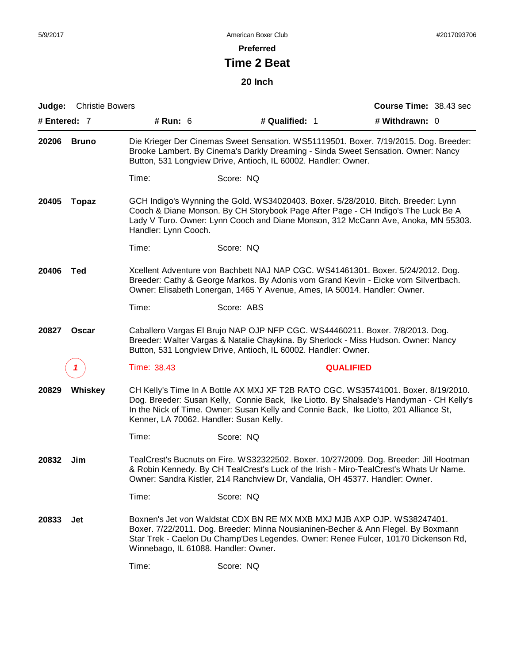**Preferred**

# **Time 2 Beat**

**20 Inch**

| Judge:       | <b>Christie Bowers</b> |                                         |                                                                              | Course Time: 38.43 sec                                                                                                                                                                                                                                                |
|--------------|------------------------|-----------------------------------------|------------------------------------------------------------------------------|-----------------------------------------------------------------------------------------------------------------------------------------------------------------------------------------------------------------------------------------------------------------------|
| # Entered: 7 |                        | # Run: 6                                | # Qualified: 1                                                               | # Withdrawn: 0                                                                                                                                                                                                                                                        |
| 20206        | <b>Bruno</b>           |                                         | Button, 531 Longview Drive, Antioch, IL 60002. Handler: Owner.               | Die Krieger Der Cinemas Sweet Sensation. WS51119501. Boxer. 7/19/2015. Dog. Breeder:<br>Brooke Lambert. By Cinema's Darkly Dreaming - Sinda Sweet Sensation. Owner: Nancy                                                                                             |
|              |                        | Time:                                   | Score: NQ                                                                    |                                                                                                                                                                                                                                                                       |
| 20405        | <b>Topaz</b>           | Handler: Lynn Cooch.                    |                                                                              | GCH Indigo's Wynning the Gold. WS34020403. Boxer. 5/28/2010. Bitch. Breeder: Lynn<br>Cooch & Diane Monson. By CH Storybook Page After Page - CH Indigo's The Luck Be A<br>Lady V Turo. Owner: Lynn Cooch and Diane Monson, 312 McCann Ave, Anoka, MN 55303.           |
|              |                        | Time:                                   | Score: NQ                                                                    |                                                                                                                                                                                                                                                                       |
| 20406        | Ted                    |                                         | Owner: Elisabeth Lonergan, 1465 Y Avenue, Ames, IA 50014. Handler: Owner.    | Xcellent Adventure von Bachbett NAJ NAP CGC. WS41461301. Boxer. 5/24/2012. Dog.<br>Breeder: Cathy & George Markos. By Adonis vom Grand Kevin - Eicke vom Silvertbach.                                                                                                 |
|              |                        | Time:                                   | Score: ABS                                                                   |                                                                                                                                                                                                                                                                       |
| 20827        | <b>Oscar</b>           |                                         | Button, 531 Longview Drive, Antioch, IL 60002. Handler: Owner.               | Caballero Vargas El Brujo NAP OJP NFP CGC. WS44460211. Boxer. 7/8/2013. Dog.<br>Breeder: Walter Vargas & Natalie Chaykina. By Sherlock - Miss Hudson. Owner: Nancy                                                                                                    |
|              |                        | Time: 38.43                             |                                                                              | <b>QUALIFIED</b>                                                                                                                                                                                                                                                      |
| 20829        | Whiskey                | Kenner, LA 70062. Handler: Susan Kelly. |                                                                              | CH Kelly's Time In A Bottle AX MXJ XF T2B RATO CGC. WS35741001. Boxer. 8/19/2010.<br>Dog. Breeder: Susan Kelly, Connie Back, Ike Liotto. By Shalsade's Handyman - CH Kelly's<br>In the Nick of Time. Owner: Susan Kelly and Connie Back, Ike Liotto, 201 Alliance St, |
|              |                        | Time:                                   | Score: NQ                                                                    |                                                                                                                                                                                                                                                                       |
| 20832        | Jim                    |                                         | Owner: Sandra Kistler, 214 Ranchview Dr, Vandalia, OH 45377. Handler: Owner. | TealCrest's Bucnuts on Fire. WS32322502. Boxer. 10/27/2009. Dog. Breeder: Jill Hootman<br>& Robin Kennedy. By CH TealCrest's Luck of the Irish - Miro-TealCrest's Whats Ur Name.                                                                                      |
|              |                        | Time:                                   | Score: NQ                                                                    |                                                                                                                                                                                                                                                                       |
| 20833        | Jet                    | Winnebago, IL 61088. Handler: Owner.    |                                                                              | Boxnen's Jet von Waldstat CDX BN RE MX MXB MXJ MJB AXP OJP. WS38247401.<br>Boxer. 7/22/2011. Dog. Breeder: Minna Nousianinen-Becher & Ann Flegel. By Boxmann<br>Star Trek - Caelon Du Champ'Des Legendes. Owner: Renee Fulcer, 10170 Dickenson Rd,                    |
|              |                        | Time:                                   | Score: NQ                                                                    |                                                                                                                                                                                                                                                                       |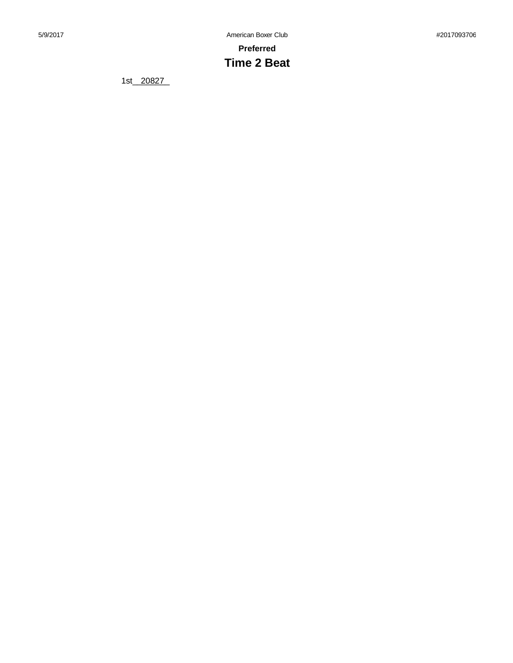# **Time 2 Beat**

1st\_20827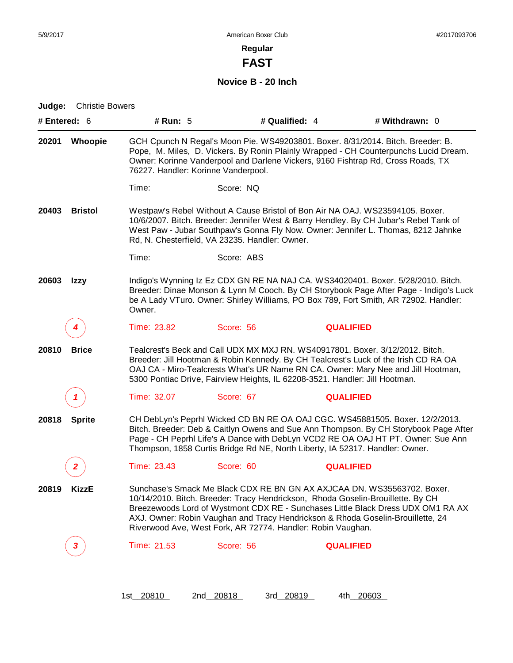**FAST**

**Novice B - 20 Inch**

| Judge:<br># Entered: $6$ | <b>Christie Bowers</b>  | # Run: 5                            |                                                                                                                                                | # Qualified: 4   | # Withdrawn: $0$                                                                                                                                                                                                                                                  |
|--------------------------|-------------------------|-------------------------------------|------------------------------------------------------------------------------------------------------------------------------------------------|------------------|-------------------------------------------------------------------------------------------------------------------------------------------------------------------------------------------------------------------------------------------------------------------|
| 20201                    | <b>Whoopie</b>          | 76227. Handler: Korinne Vanderpool. |                                                                                                                                                |                  | GCH Cpunch N Regal's Moon Pie. WS49203801. Boxer. 8/31/2014. Bitch. Breeder: B.<br>Pope, M. Miles, D. Vickers. By Ronin Plainly Wrapped - CH Counterpunchs Lucid Dream.<br>Owner: Korinne Vanderpool and Darlene Vickers, 9160 Fishtrap Rd, Cross Roads, TX       |
|                          |                         | Time:                               | Score: NQ                                                                                                                                      |                  |                                                                                                                                                                                                                                                                   |
| 20403                    | <b>Bristol</b>          |                                     | Rd, N. Chesterfield, VA 23235. Handler: Owner.                                                                                                 |                  | Westpaw's Rebel Without A Cause Bristol of Bon Air NA OAJ. WS23594105. Boxer.<br>10/6/2007. Bitch. Breeder: Jennifer West & Barry Hendley. By CH Jubar's Rebel Tank of<br>West Paw - Jubar Southpaw's Gonna Fly Now. Owner: Jennifer L. Thomas, 8212 Jahnke       |
|                          |                         | Time:                               | Score: ABS                                                                                                                                     |                  |                                                                                                                                                                                                                                                                   |
| 20603                    | Izzy                    | Owner.                              |                                                                                                                                                |                  | Indigo's Wynning Iz Ez CDX GN RE NA NAJ CA. WS34020401. Boxer. 5/28/2010. Bitch.<br>Breeder: Dinae Monson & Lynn M Cooch. By CH Storybook Page After Page - Indigo's Luck<br>be A Lady VTuro. Owner: Shirley Williams, PO Box 789, Fort Smith, AR 72902. Handler: |
|                          |                         | Time: 23.82                         | Score: 56                                                                                                                                      | <b>QUALIFIED</b> |                                                                                                                                                                                                                                                                   |
| 20810                    | <b>Brice</b>            |                                     | 5300 Pontiac Drive, Fairview Heights, IL 62208-3521. Handler: Jill Hootman.                                                                    |                  | Tealcrest's Beck and Call UDX MX MXJ RN. WS40917801. Boxer. 3/12/2012. Bitch.<br>Breeder: Jill Hootman & Robin Kennedy. By CH Tealcrest's Luck of the Irish CD RA OA<br>OAJ CA - Miro-Tealcrests What's UR Name RN CA. Owner: Mary Nee and Jill Hootman,          |
|                          | 7                       | Time: 32.07                         | Score: 67                                                                                                                                      | <b>QUALIFIED</b> |                                                                                                                                                                                                                                                                   |
| 20818                    | <b>Sprite</b>           |                                     | Thompson, 1858 Curtis Bridge Rd NE, North Liberty, IA 52317. Handler: Owner.                                                                   |                  | CH DebLyn's Peprhl Wicked CD BN RE OA OAJ CGC. WS45881505. Boxer. 12/2/2013.<br>Bitch. Breeder: Deb & Caitlyn Owens and Sue Ann Thompson. By CH Storybook Page After<br>Page - CH Peprhl Life's A Dance with DebLyn VCD2 RE OA OAJ HT PT. Owner: Sue Ann          |
|                          | $\overline{\mathbf{2}}$ | Time: 23.43                         | Score: 60                                                                                                                                      | <b>QUALIFIED</b> |                                                                                                                                                                                                                                                                   |
| 20819                    | <b>KizzE</b>            |                                     | 10/14/2010. Bitch. Breeder: Tracy Hendrickson, Rhoda Goselin-Brouillette. By CH<br>Riverwood Ave, West Fork, AR 72774. Handler: Robin Vaughan. |                  | Sunchase's Smack Me Black CDX RE BN GN AX AXJCAA DN. WS35563702. Boxer.<br>Breezewoods Lord of Wystmont CDX RE - Sunchases Little Black Dress UDX OM1 RA AX<br>AXJ. Owner: Robin Vaughan and Tracy Hendrickson & Rhoda Goselin-Brouillette, 24                    |
|                          | 3                       | Time: 21.53                         | Score: 56                                                                                                                                      | <b>QUALIFIED</b> |                                                                                                                                                                                                                                                                   |
|                          |                         |                                     |                                                                                                                                                |                  |                                                                                                                                                                                                                                                                   |

1st\_20810 2nd\_20818 3rd\_20819 4th\_20603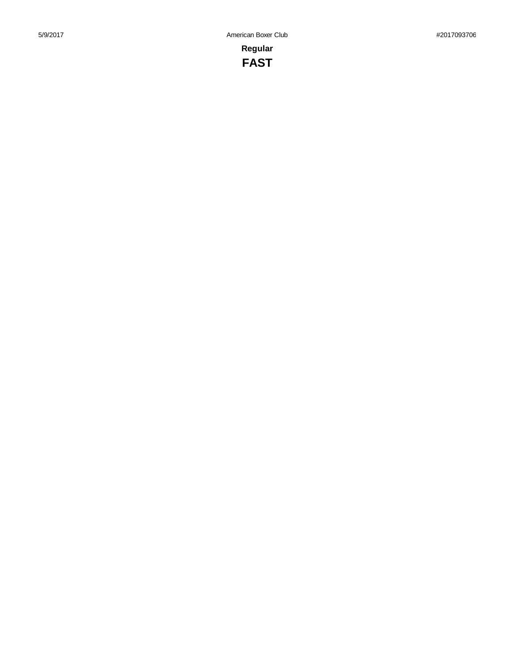**Regular FAST**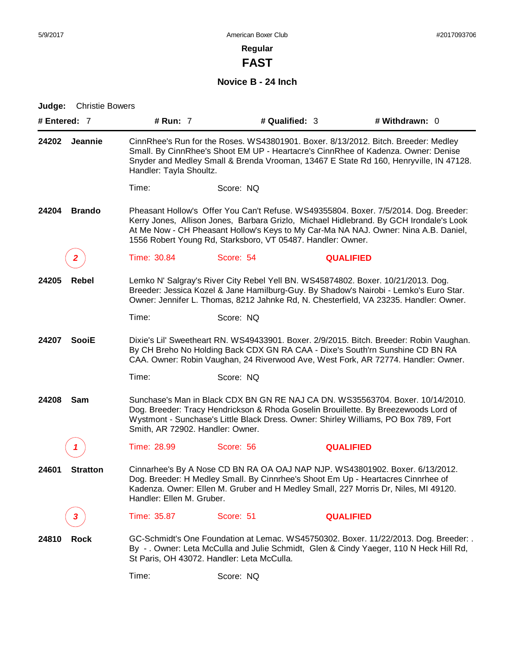**FAST**

**Novice B - 24 Inch**

| Judge:       | <b>Christie Bowers</b> |                                  |                                                                                                                                                                                                                                                              |                  |                                                                                                                                                                                                                                                                       |  |
|--------------|------------------------|----------------------------------|--------------------------------------------------------------------------------------------------------------------------------------------------------------------------------------------------------------------------------------------------------------|------------------|-----------------------------------------------------------------------------------------------------------------------------------------------------------------------------------------------------------------------------------------------------------------------|--|
| # Entered: 7 |                        | # Run: 7                         | # Qualified: 3                                                                                                                                                                                                                                               |                  | # Withdrawn: 0                                                                                                                                                                                                                                                        |  |
| 24202        | <b>Jeannie</b>         | Handler: Tayla Shoultz.          |                                                                                                                                                                                                                                                              |                  | CinnRhee's Run for the Roses. WS43801901. Boxer. 8/13/2012. Bitch. Breeder: Medley<br>Small. By CinnRhee's Shoot EM UP - Heartacre's CinnRhee of Kadenza. Owner: Denise<br>Snyder and Medley Small & Brenda Vrooman, 13467 E State Rd 160, Henryville, IN 47128.      |  |
|              |                        | Time:                            | Score: NQ                                                                                                                                                                                                                                                    |                  |                                                                                                                                                                                                                                                                       |  |
| 24204        | <b>Brando</b>          |                                  | 1556 Robert Young Rd, Starksboro, VT 05487. Handler: Owner.                                                                                                                                                                                                  |                  | Pheasant Hollow's Offer You Can't Refuse. WS49355804. Boxer. 7/5/2014. Dog. Breeder:<br>Kerry Jones, Allison Jones, Barbara Grizlo, Michael Hidlebrand. By GCH Irondale's Look<br>At Me Now - CH Pheasant Hollow's Keys to My Car-Ma NA NAJ. Owner: Nina A.B. Daniel, |  |
|              | 2                      | Time: 30.84                      | Score: 54                                                                                                                                                                                                                                                    | <b>QUALIFIED</b> |                                                                                                                                                                                                                                                                       |  |
| 24205        | Rebel                  |                                  | Lemko N' Salgray's River City Rebel Yell BN. WS45874802. Boxer. 10/21/2013. Dog.                                                                                                                                                                             |                  | Breeder: Jessica Kozel & Jane Hamilburg-Guy. By Shadow's Nairobi - Lemko's Euro Star.<br>Owner: Jennifer L. Thomas, 8212 Jahnke Rd, N. Chesterfield, VA 23235. Handler: Owner.                                                                                        |  |
|              |                        | Time:                            | Score: NQ                                                                                                                                                                                                                                                    |                  |                                                                                                                                                                                                                                                                       |  |
| 24207        | <b>SooiE</b>           |                                  |                                                                                                                                                                                                                                                              |                  | Dixie's Lil' Sweetheart RN. WS49433901. Boxer. 2/9/2015. Bitch. Breeder: Robin Vaughan.<br>By CH Breho No Holding Back CDX GN RA CAA - Dixe's South'rn Sunshine CD BN RA<br>CAA. Owner: Robin Vaughan, 24 Riverwood Ave, West Fork, AR 72774. Handler: Owner.         |  |
|              |                        | Time:                            | Score: NQ                                                                                                                                                                                                                                                    |                  |                                                                                                                                                                                                                                                                       |  |
| 24208        | Sam                    | Smith, AR 72902. Handler: Owner. | Sunchase's Man in Black CDX BN GN RE NAJ CA DN. WS35563704. Boxer. 10/14/2010.<br>Dog. Breeder: Tracy Hendrickson & Rhoda Goselin Brouillette. By Breezewoods Lord of<br>Wystmont - Sunchase's Little Black Dress. Owner: Shirley Williams, PO Box 789, Fort |                  |                                                                                                                                                                                                                                                                       |  |
|              |                        | Time: 28.99                      | Score: 56                                                                                                                                                                                                                                                    | <b>QUALIFIED</b> |                                                                                                                                                                                                                                                                       |  |
| 24601        | <b>Stratton</b>        | Handler: Ellen M. Gruber.        | Dog. Breeder: H Medley Small. By Cinnrhee's Shoot Em Up - Heartacres Cinnrhee of                                                                                                                                                                             |                  | Cinnarhee's By A Nose CD BN RA OA OAJ NAP NJP. WS43801902. Boxer. 6/13/2012.<br>Kadenza. Owner: Ellen M. Gruber and H Medley Small, 227 Morris Dr, Niles, MI 49120.                                                                                                   |  |
|              | 3                      | Time: 35.87                      | Score: 51                                                                                                                                                                                                                                                    | <b>QUALIFIED</b> |                                                                                                                                                                                                                                                                       |  |
| 24810        | <b>Rock</b>            |                                  | St Paris, OH 43072. Handler: Leta McCulla.                                                                                                                                                                                                                   |                  | GC-Schmidt's One Foundation at Lemac. WS45750302. Boxer. 11/22/2013. Dog. Breeder: .<br>By -. Owner: Leta McCulla and Julie Schmidt, Glen & Cindy Yaeger, 110 N Heck Hill Rd,                                                                                         |  |

Time: Score: NQ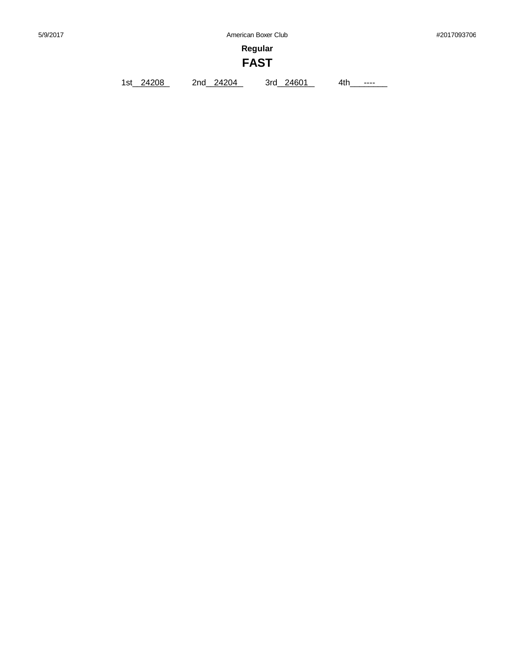**Regular**

# **FAST**

1st\_24208 2nd\_24204 3rd\_24601 4th\_\_\_\_\_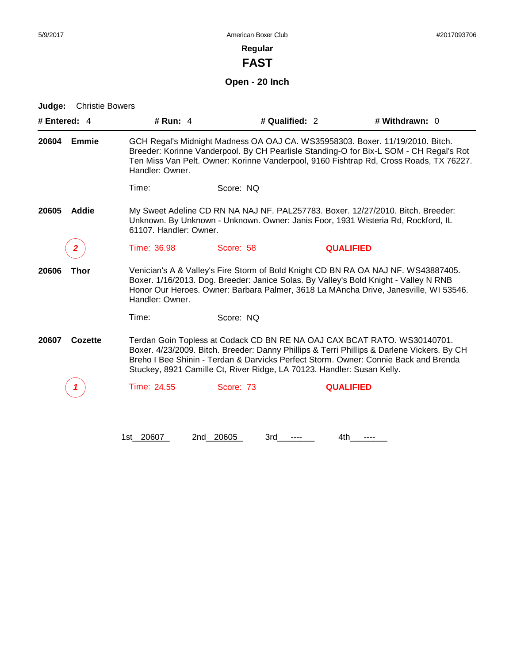**FAST**

# **Open - 20 Inch**

| # Entered: 4 |              | # Run: 4               |                                                                        | # Qualified: 2   | # Withdrawn: 0                                                                                                                                                                                                                                                    |
|--------------|--------------|------------------------|------------------------------------------------------------------------|------------------|-------------------------------------------------------------------------------------------------------------------------------------------------------------------------------------------------------------------------------------------------------------------|
| 20604        | <b>Emmie</b> | Handler: Owner.        |                                                                        |                  | GCH Regal's Midnight Madness OA OAJ CA. WS35958303. Boxer. 11/19/2010. Bitch.<br>Breeder: Korinne Vanderpool. By CH Pearlisle Standing-O for Bix-L SOM - CH Regal's Rot<br>Ten Miss Van Pelt. Owner: Korinne Vanderpool, 9160 Fishtrap Rd, Cross Roads, TX 76227. |
|              |              | Time:                  | Score: NQ                                                              |                  |                                                                                                                                                                                                                                                                   |
| 20605        | <b>Addie</b> | 61107. Handler: Owner. |                                                                        |                  | My Sweet Adeline CD RN NA NAJ NF. PAL257783. Boxer. 12/27/2010. Bitch. Breeder:<br>Unknown. By Unknown - Unknown. Owner: Janis Foor, 1931 Wisteria Rd, Rockford, IL                                                                                               |
|              | 2            | Time: 36.98            | Score: 58                                                              | <b>QUALIFIED</b> |                                                                                                                                                                                                                                                                   |
| 20606        | <b>Thor</b>  | Handler: Owner.        |                                                                        |                  | Venician's A & Valley's Fire Storm of Bold Knight CD BN RA OA NAJ NF. WS43887405.<br>Boxer. 1/16/2013. Dog. Breeder: Janice Solas. By Valley's Bold Knight - Valley N RNB<br>Honor Our Heroes. Owner: Barbara Palmer, 3618 La MAncha Drive, Janesville, WI 53546. |
|              |              | Time:                  | Score: NO                                                              |                  |                                                                                                                                                                                                                                                                   |
| 20607        | Cozette      |                        | Stuckey, 8921 Camille Ct, River Ridge, LA 70123. Handler: Susan Kelly. |                  | Terdan Goin Topless at Codack CD BN RE NA OAJ CAX BCAT RATO. WS30140701.<br>Boxer. 4/23/2009. Bitch. Breeder: Danny Phillips & Terri Phillips & Darlene Vickers. By CH<br>Breho I Bee Shinin - Terdan & Darvicks Perfect Storm. Owner: Connie Back and Brenda     |
|              |              | Time: 24.55            | Score: 73                                                              | <b>QUALIFIED</b> |                                                                                                                                                                                                                                                                   |
|              |              | 1st 20607              | 2nd 20605<br>3rd                                                       | 4th              |                                                                                                                                                                                                                                                                   |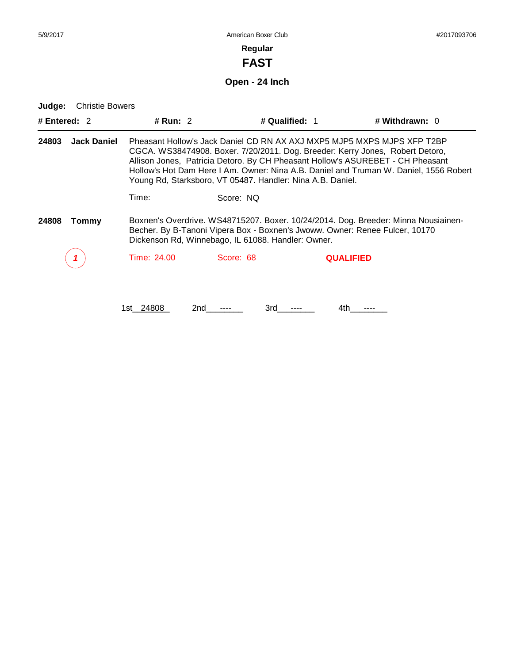# **FAST**

# **Open - 24 Inch**

| <b>Christie Bowers</b><br>Judge: |                                                                                                                                                                                                                         |                                                            |                |                                                                                                                                                                                                                                                                                                                                     |
|----------------------------------|-------------------------------------------------------------------------------------------------------------------------------------------------------------------------------------------------------------------------|------------------------------------------------------------|----------------|-------------------------------------------------------------------------------------------------------------------------------------------------------------------------------------------------------------------------------------------------------------------------------------------------------------------------------------|
| # Entered: $2$                   | # Run: $2$                                                                                                                                                                                                              |                                                            | # Qualified: 1 | # Withdrawn: 0                                                                                                                                                                                                                                                                                                                      |
| <b>Jack Daniel</b><br>24803      |                                                                                                                                                                                                                         | Young Rd, Starksboro, VT 05487. Handler: Nina A.B. Daniel. |                | Pheasant Hollow's Jack Daniel CD RN AX AXJ MXP5 MJP5 MXPS MJPS XFP T2BP<br>CGCA. WS38474908. Boxer. 7/20/2011. Dog. Breeder: Kerry Jones, Robert Detoro,<br>Allison Jones, Patricia Detoro. By CH Pheasant Hollow's ASUREBET - CH Pheasant<br>Hollow's Hot Dam Here I Am. Owner: Nina A.B. Daniel and Truman W. Daniel, 1556 Robert |
|                                  | Time:                                                                                                                                                                                                                   | Score: NQ                                                  |                |                                                                                                                                                                                                                                                                                                                                     |
| 24808<br>Tommy                   | Boxnen's Overdrive. WS48715207. Boxer. 10/24/2014. Dog. Breeder: Minna Nousiainen-<br>Becher. By B-Tanoni Vipera Box - Boxnen's Jwoww. Owner: Renee Fulcer, 10170<br>Dickenson Rd, Winnebago, IL 61088. Handler: Owner. |                                                            |                |                                                                                                                                                                                                                                                                                                                                     |
|                                  | Time: 24.00                                                                                                                                                                                                             | Score: 68                                                  |                | <b>QUALIFIED</b>                                                                                                                                                                                                                                                                                                                    |
|                                  |                                                                                                                                                                                                                         |                                                            |                |                                                                                                                                                                                                                                                                                                                                     |
|                                  | 1st 24808                                                                                                                                                                                                               | 3rd<br>2nd                                                 | 4th.           |                                                                                                                                                                                                                                                                                                                                     |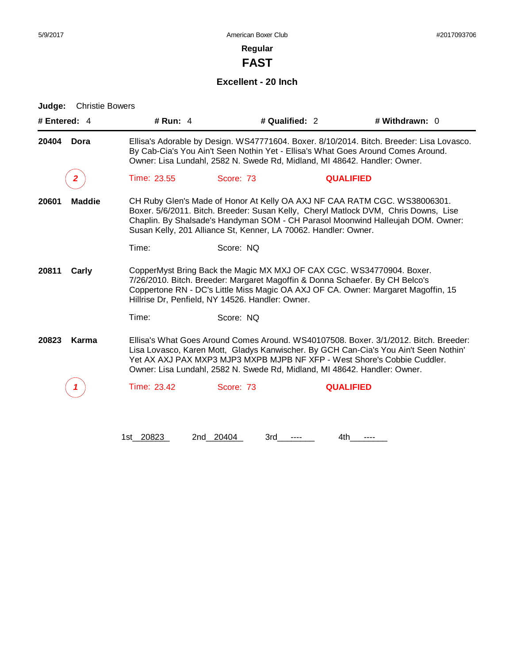**FAST**

# **Excellent - 20 Inch**

| # Entered: 4                                                                                                                                                                                                                                                                                                                                     | # Run: $4$                                                                                                                                                                                                                                                |                                                                           | # Qualified: 2<br># Withdrawn: 0 |                                                                                                                                                                                                                                                          |  |  |
|--------------------------------------------------------------------------------------------------------------------------------------------------------------------------------------------------------------------------------------------------------------------------------------------------------------------------------------------------|-----------------------------------------------------------------------------------------------------------------------------------------------------------------------------------------------------------------------------------------------------------|---------------------------------------------------------------------------|----------------------------------|----------------------------------------------------------------------------------------------------------------------------------------------------------------------------------------------------------------------------------------------------------|--|--|
| 20404<br>Dora                                                                                                                                                                                                                                                                                                                                    | Ellisa's Adorable by Design. WS47771604. Boxer. 8/10/2014. Bitch. Breeder: Lisa Lovasco.<br>By Cab-Cia's You Ain't Seen Nothin Yet - Ellisa's What Goes Around Comes Around.<br>Owner: Lisa Lundahl, 2582 N. Swede Rd, Midland, MI 48642. Handler: Owner. |                                                                           |                                  |                                                                                                                                                                                                                                                          |  |  |
| 2                                                                                                                                                                                                                                                                                                                                                | Time: 23.55                                                                                                                                                                                                                                               | Score: 73                                                                 | <b>QUALIFIED</b>                 |                                                                                                                                                                                                                                                          |  |  |
| CH Ruby Glen's Made of Honor At Kelly OA AXJ NF CAA RATM CGC. WS38006301.<br><b>Maddie</b><br>20601<br>Boxer. 5/6/2011. Bitch. Breeder: Susan Kelly, Cheryl Matlock DVM, Chris Downs, Lise<br>Chaplin. By Shalsade's Handyman SOM - CH Parasol Moonwind Halleujah DOM. Owner:<br>Susan Kelly, 201 Alliance St, Kenner, LA 70062. Handler: Owner. |                                                                                                                                                                                                                                                           |                                                                           |                                  |                                                                                                                                                                                                                                                          |  |  |
|                                                                                                                                                                                                                                                                                                                                                  | Time:                                                                                                                                                                                                                                                     | Score: NQ                                                                 |                                  |                                                                                                                                                                                                                                                          |  |  |
| CopperMyst Bring Back the Magic MX MXJ OF CAX CGC. WS34770904. Boxer.<br>20811<br>Carly<br>7/26/2010. Bitch. Breeder: Margaret Magoffin & Donna Schaefer. By CH Belco's<br>Coppertone RN - DC's Little Miss Magic OA AXJ OF CA. Owner: Margaret Magoffin, 15<br>Hillrise Dr, Penfield, NY 14526. Handler: Owner.                                 |                                                                                                                                                                                                                                                           |                                                                           |                                  |                                                                                                                                                                                                                                                          |  |  |
|                                                                                                                                                                                                                                                                                                                                                  | Time:                                                                                                                                                                                                                                                     | Score: NQ                                                                 |                                  |                                                                                                                                                                                                                                                          |  |  |
| Karma<br>20823                                                                                                                                                                                                                                                                                                                                   |                                                                                                                                                                                                                                                           | Owner: Lisa Lundahl, 2582 N. Swede Rd, Midland, MI 48642. Handler: Owner. |                                  | Ellisa's What Goes Around Comes Around, WS40107508, Boxer, 3/1/2012, Bitch, Breeder:<br>Lisa Lovasco, Karen Mott, Gladys Kanwischer. By GCH Can-Cia's You Ain't Seen Nothin'<br>Yet AX AXJ PAX MXP3 MJP3 MXPB MJPB NF XFP - West Shore's Cobbie Cuddler. |  |  |
|                                                                                                                                                                                                                                                                                                                                                  | Time: 23.42                                                                                                                                                                                                                                               | Score: 73                                                                 | <b>QUALIFIED</b>                 |                                                                                                                                                                                                                                                          |  |  |
|                                                                                                                                                                                                                                                                                                                                                  | 1st_20823                                                                                                                                                                                                                                                 | 2nd 20404<br>3rd                                                          | 4th.                             |                                                                                                                                                                                                                                                          |  |  |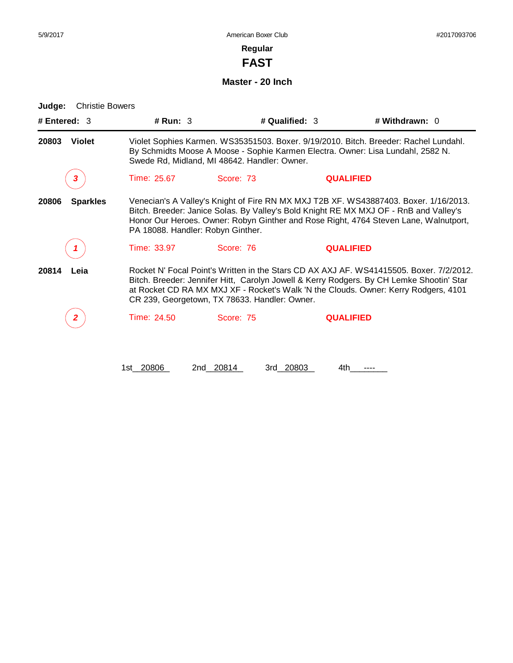**FAST**

**Master - 20 Inch**

| # Entered: 3             | # Run: 3                          |                                               | # Qualified: 3   | # Withdrawn: 0                                                                                                                                                                                                                                                             |
|--------------------------|-----------------------------------|-----------------------------------------------|------------------|----------------------------------------------------------------------------------------------------------------------------------------------------------------------------------------------------------------------------------------------------------------------------|
| 20803<br><b>Violet</b>   |                                   | Swede Rd, Midland, MI 48642. Handler: Owner.  |                  | Violet Sophies Karmen. WS35351503. Boxer. 9/19/2010. Bitch. Breeder: Rachel Lundahl.<br>By Schmidts Moose A Moose - Sophie Karmen Electra. Owner: Lisa Lundahl, 2582 N.                                                                                                    |
| 3                        | Time: 25.67                       | Score: 73                                     | <b>QUALIFIED</b> |                                                                                                                                                                                                                                                                            |
| 20806<br><b>Sparkles</b> | PA 18088. Handler: Robyn Ginther. |                                               |                  | Venecian's A Valley's Knight of Fire RN MX MXJ T2B XF. WS43887403. Boxer. 1/16/2013.<br>Bitch. Breeder: Janice Solas. By Valley's Bold Knight RE MX MXJ OF - RnB and Valley's<br>Honor Our Heroes. Owner: Robyn Ginther and Rose Right, 4764 Steven Lane, Walnutport,      |
|                          | Time: 33.97                       | Score: 76                                     | <b>QUALIFIED</b> |                                                                                                                                                                                                                                                                            |
| 20814<br>Leia            |                                   | CR 239, Georgetown, TX 78633. Handler: Owner. |                  | Rocket N' Focal Point's Written in the Stars CD AX AXJ AF. WS41415505. Boxer. 7/2/2012.<br>Bitch. Breeder: Jennifer Hitt, Carolyn Jowell & Kerry Rodgers. By CH Lemke Shootin' Star<br>at Rocket CD RA MX MXJ XF - Rocket's Walk 'N the Clouds. Owner: Kerry Rodgers, 4101 |
| 2                        | Time: 24.50                       | Score: 75                                     | <b>QUALIFIED</b> |                                                                                                                                                                                                                                                                            |
|                          | 1st 20806                         | 2nd 20814                                     | 3rd 20803<br>4th |                                                                                                                                                                                                                                                                            |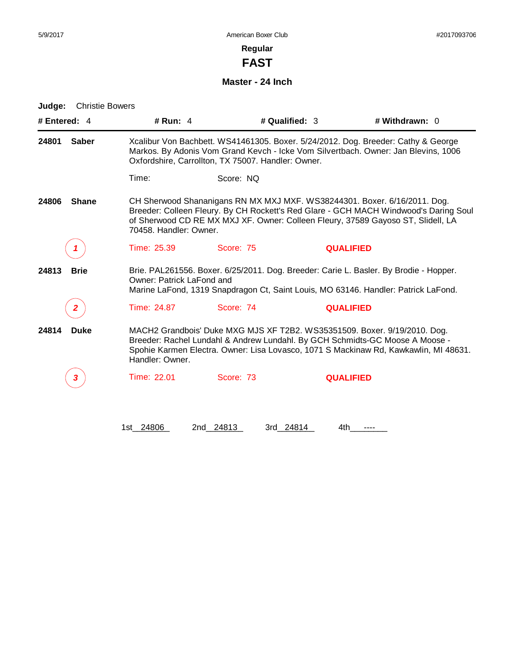**FAST**

**Master - 24 Inch**

| # Entered: 4          | # Run: 4                         |                                                                                                                                                                                                                               | # Qualified: 3   | # Withdrawn: 0                                                                                                                                                                                                                                        |  |  |
|-----------------------|----------------------------------|-------------------------------------------------------------------------------------------------------------------------------------------------------------------------------------------------------------------------------|------------------|-------------------------------------------------------------------------------------------------------------------------------------------------------------------------------------------------------------------------------------------------------|--|--|
| <b>Saber</b><br>24801 |                                  | Xcalibur Von Bachbett. WS41461305. Boxer. 5/24/2012. Dog. Breeder: Cathy & George<br>Markos. By Adonis Vom Grand Kevch - Icke Vom Silvertbach. Owner: Jan Blevins, 1006<br>Oxfordshire, Carrollton, TX 75007. Handler: Owner. |                  |                                                                                                                                                                                                                                                       |  |  |
|                       | Time:                            | Score: NQ                                                                                                                                                                                                                     |                  |                                                                                                                                                                                                                                                       |  |  |
| 24806<br><b>Shane</b> | 70458. Handler: Owner.           |                                                                                                                                                                                                                               |                  | CH Sherwood Shananigans RN MX MXJ MXF. WS38244301. Boxer. 6/16/2011. Dog.<br>Breeder: Colleen Fleury. By CH Rockett's Red Glare - GCH MACH Windwood's Daring Soul<br>of Sherwood CD RE MX MXJ XF. Owner: Colleen Fleury, 37589 Gayoso ST, Slidell, LA |  |  |
|                       | Time: 25.39                      | Score: 75                                                                                                                                                                                                                     | <b>QUALIFIED</b> |                                                                                                                                                                                                                                                       |  |  |
| 24813<br><b>Brie</b>  | <b>Owner: Patrick LaFond and</b> | Brie. PAL261556. Boxer. 6/25/2011. Dog. Breeder: Carie L. Basler. By Brodie - Hopper.<br>Marine LaFond, 1319 Snapdragon Ct, Saint Louis, MO 63146. Handler: Patrick LaFond.                                                   |                  |                                                                                                                                                                                                                                                       |  |  |
|                       | Time: 24.87                      | Score: 74                                                                                                                                                                                                                     | <b>QUALIFIED</b> |                                                                                                                                                                                                                                                       |  |  |
| 24814<br><b>Duke</b>  | Handler: Owner.                  |                                                                                                                                                                                                                               |                  | MACH2 Grandbois' Duke MXG MJS XF T2B2. WS35351509. Boxer. 9/19/2010. Dog.<br>Breeder: Rachel Lundahl & Andrew Lundahl. By GCH Schmidts-GC Moose A Moose -<br>Spohie Karmen Electra. Owner: Lisa Lovasco, 1071 S Mackinaw Rd, Kawkawlin, MI 48631.     |  |  |
| 3                     | Time: 22.01                      | Score: 73                                                                                                                                                                                                                     | <b>QUALIFIED</b> |                                                                                                                                                                                                                                                       |  |  |
|                       | 1st 24806                        | 2nd 24813                                                                                                                                                                                                                     | 3rd 24814<br>4th |                                                                                                                                                                                                                                                       |  |  |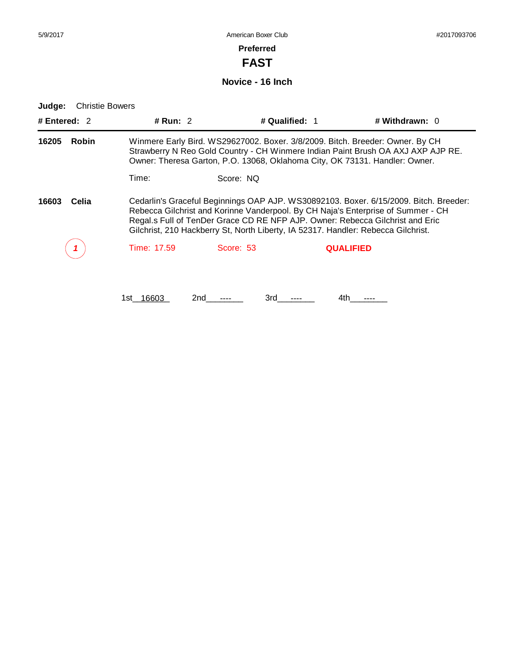**FAST**

**Novice - 16 Inch**

**Judge:** Christie Bowers

| # Entered: $2$        | # $Run: 2$                                                                                                                                                                                                                                                                                                                                      |           | # Qualified: 1   | # Withdrawn: 0 |  |
|-----------------------|-------------------------------------------------------------------------------------------------------------------------------------------------------------------------------------------------------------------------------------------------------------------------------------------------------------------------------------------------|-----------|------------------|----------------|--|
| 16205<br><b>Robin</b> | Winmere Early Bird. WS29627002. Boxer. 3/8/2009. Bitch. Breeder: Owner. By CH<br>Strawberry N Reo Gold Country - CH Winmere Indian Paint Brush OA AXJ AXP AJP RE.<br>Owner: Theresa Garton, P.O. 13068, Oklahoma City, OK 73131. Handler: Owner.                                                                                                |           |                  |                |  |
|                       | Time:                                                                                                                                                                                                                                                                                                                                           | Score: NQ |                  |                |  |
| 16603<br>Celia        | Cedarlin's Graceful Beginnings OAP AJP. WS30892103. Boxer. 6/15/2009. Bitch. Breeder:<br>Rebecca Gilchrist and Korinne Vanderpool. By CH Naja's Enterprise of Summer - CH<br>Regal.s Full of TenDer Grace CD RE NFP AJP. Owner: Rebecca Gilchrist and Eric<br>Gilchrist, 210 Hackberry St, North Liberty, IA 52317. Handler: Rebecca Gilchrist. |           |                  |                |  |
|                       | Time: 17.59                                                                                                                                                                                                                                                                                                                                     | Score: 53 | <b>QUALIFIED</b> |                |  |
|                       |                                                                                                                                                                                                                                                                                                                                                 |           |                  |                |  |

1st\_16603 2nd\_\_\_\_\_\_ 3rd\_\_\_\_\_\_ 4th\_\_\_\_\_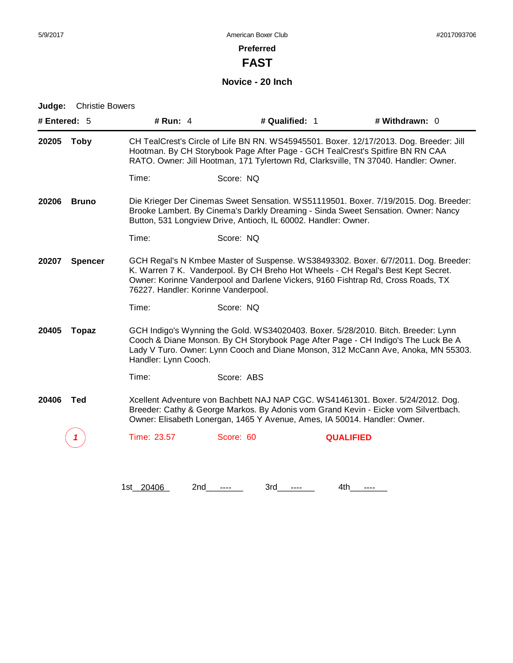**FAST**

# **Novice - 20 Inch**

| # Entered: 5         |                | # Run: $4$<br># Qualified: 1<br># Withdrawn: 0                                                                                                                                                                                                                 |                                                                           |     |                                                                                                                                                                                                                                                             |
|----------------------|----------------|----------------------------------------------------------------------------------------------------------------------------------------------------------------------------------------------------------------------------------------------------------------|---------------------------------------------------------------------------|-----|-------------------------------------------------------------------------------------------------------------------------------------------------------------------------------------------------------------------------------------------------------------|
| 20205<br><b>Toby</b> |                | CH TealCrest's Circle of Life BN RN. WS45945501. Boxer. 12/17/2013. Dog. Breeder: Jill<br>Hootman. By CH Storybook Page After Page - GCH TealCrest's Spitfire BN RN CAA<br>RATO. Owner: Jill Hootman, 171 Tylertown Rd, Clarksville, TN 37040. Handler: Owner. |                                                                           |     |                                                                                                                                                                                                                                                             |
|                      |                | Time:                                                                                                                                                                                                                                                          | Score: NQ                                                                 |     |                                                                                                                                                                                                                                                             |
| 20206                | <b>Bruno</b>   |                                                                                                                                                                                                                                                                | Button, 531 Longview Drive, Antioch, IL 60002. Handler: Owner.            |     | Die Krieger Der Cinemas Sweet Sensation. WS51119501. Boxer. 7/19/2015. Dog. Breeder:<br>Brooke Lambert. By Cinema's Darkly Dreaming - Sinda Sweet Sensation. Owner: Nancy                                                                                   |
|                      |                | Time:                                                                                                                                                                                                                                                          | Score: NQ                                                                 |     |                                                                                                                                                                                                                                                             |
| 20207                | <b>Spencer</b> | 76227. Handler: Korinne Vanderpool.                                                                                                                                                                                                                            |                                                                           |     | GCH Regal's N Kmbee Master of Suspense. WS38493302. Boxer. 6/7/2011. Dog. Breeder:<br>K. Warren 7 K. Vanderpool. By CH Breho Hot Wheels - CH Regal's Best Kept Secret.<br>Owner: Korinne Vanderpool and Darlene Vickers, 9160 Fishtrap Rd, Cross Roads, TX  |
|                      |                | Time:                                                                                                                                                                                                                                                          | Score: NQ                                                                 |     |                                                                                                                                                                                                                                                             |
| 20405                | <b>Topaz</b>   | Handler: Lynn Cooch.                                                                                                                                                                                                                                           |                                                                           |     | GCH Indigo's Wynning the Gold. WS34020403. Boxer. 5/28/2010. Bitch. Breeder: Lynn<br>Cooch & Diane Monson. By CH Storybook Page After Page - CH Indigo's The Luck Be A<br>Lady V Turo. Owner: Lynn Cooch and Diane Monson, 312 McCann Ave, Anoka, MN 55303. |
|                      |                | Time:                                                                                                                                                                                                                                                          | Score: ABS                                                                |     |                                                                                                                                                                                                                                                             |
| 20406                | <b>Ted</b>     |                                                                                                                                                                                                                                                                | Owner: Elisabeth Lonergan, 1465 Y Avenue, Ames, IA 50014. Handler: Owner. |     | Xcellent Adventure von Bachbett NAJ NAP CGC. WS41461301. Boxer. 5/24/2012. Dog.<br>Breeder: Cathy & George Markos. By Adonis vom Grand Kevin - Eicke vom Silvertbach.                                                                                       |
|                      | 7              | Time: 23.57                                                                                                                                                                                                                                                    | Score: 60                                                                 |     | <b>QUALIFIED</b>                                                                                                                                                                                                                                            |
|                      |                |                                                                                                                                                                                                                                                                |                                                                           |     |                                                                                                                                                                                                                                                             |
|                      |                | 1st_20406                                                                                                                                                                                                                                                      | 2nd<br>3rd                                                                | 4th |                                                                                                                                                                                                                                                             |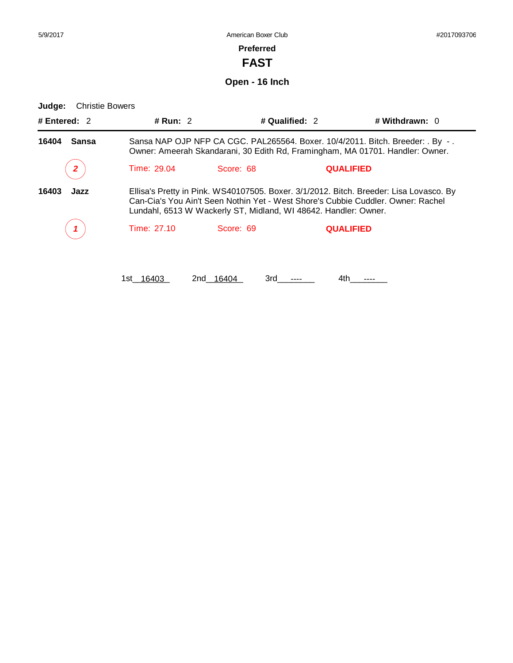**FAST**

**Open - 16 Inch**

| # Run: $2$                                                                                                                                                                                                                                                     |                       |                  | # Withdrawn: $0$      |  |
|----------------------------------------------------------------------------------------------------------------------------------------------------------------------------------------------------------------------------------------------------------------|-----------------------|------------------|-----------------------|--|
| Sansa NAP OJP NFP CA CGC. PAL265564. Boxer. 10/4/2011. Bitch. Breeder: . By -.<br>Owner: Ameerah Skandarani, 30 Edith Rd, Framingham, MA 01701. Handler: Owner.                                                                                                |                       |                  |                       |  |
| Time: 29.04                                                                                                                                                                                                                                                    | Score: 68             | <b>QUALIFIED</b> |                       |  |
| Ellisa's Pretty in Pink. WS40107505. Boxer. 3/1/2012. Bitch. Breeder: Lisa Lovasco. By<br>16403<br>Jazz<br>Can-Cia's You Ain't Seen Nothin Yet - West Shore's Cubbie Cuddler. Owner: Rachel<br>Lundahl, 6513 W Wackerly ST, Midland, WI 48642. Handler: Owner. |                       |                  |                       |  |
| Time: 27.10                                                                                                                                                                                                                                                    | Score: 69             | <b>QUALIFIED</b> |                       |  |
|                                                                                                                                                                                                                                                                |                       |                  |                       |  |
|                                                                                                                                                                                                                                                                | 16 <u>403</u><br>1st. | 2nd 16404<br>3rd | # Qualified: 2<br>4th |  |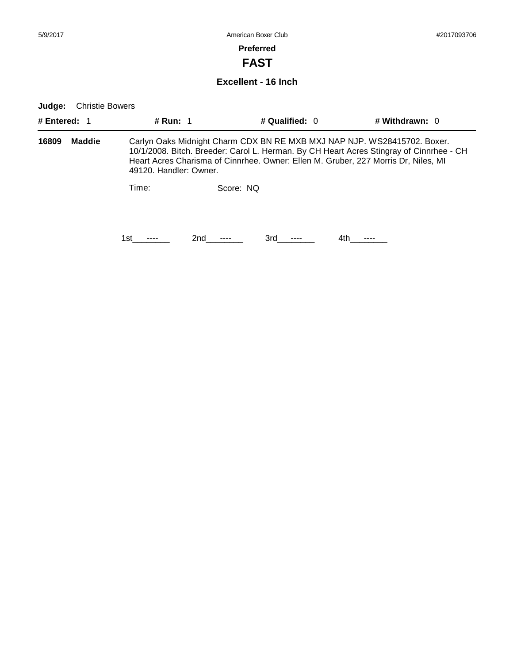# **FAST**

#### **Excellent - 16 Inch**

| # Entered: 1 |               | # Run: 1                                                                                                                                                                                                                                                                            |           | # Qualified: $0$ | # Withdrawn: $0$ |  |  |  |
|--------------|---------------|-------------------------------------------------------------------------------------------------------------------------------------------------------------------------------------------------------------------------------------------------------------------------------------|-----------|------------------|------------------|--|--|--|
| 16809        | <b>Maddie</b> | Carlyn Oaks Midnight Charm CDX BN RE MXB MXJ NAP NJP. WS28415702. Boxer.<br>10/1/2008. Bitch. Breeder: Carol L. Herman. By CH Heart Acres Stingray of Cinnrhee - CH<br>Heart Acres Charisma of Cinnrhee. Owner: Ellen M. Gruber, 227 Morris Dr, Niles, MI<br>49120. Handler: Owner. |           |                  |                  |  |  |  |
|              |               | Time:                                                                                                                                                                                                                                                                               | Score: NO |                  |                  |  |  |  |
|              |               | 1st                                                                                                                                                                                                                                                                                 | 2nd       | 3rd              | 4th              |  |  |  |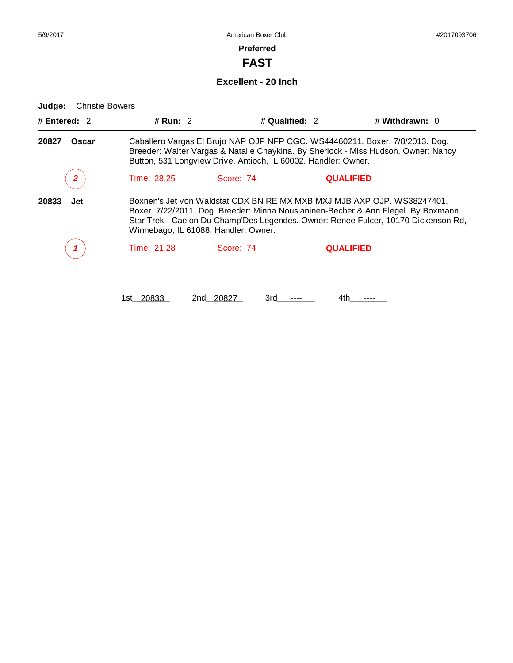# **FAST**

#### **Excellent - 20 Inch**

**Judge:** Christie Bowers

| # Entered: $2$ | # Run: $2$                                                                                                                                                                                                                                                                                 |           | # Qualified: 2   | # Withdrawn: $0$ |  |
|----------------|--------------------------------------------------------------------------------------------------------------------------------------------------------------------------------------------------------------------------------------------------------------------------------------------|-----------|------------------|------------------|--|
| 20827<br>Oscar | Caballero Vargas El Brujo NAP OJP NFP CGC. WS44460211. Boxer. 7/8/2013. Dog.<br>Breeder: Walter Vargas & Natalie Chaykina. By Sherlock - Miss Hudson. Owner: Nancy<br>Button, 531 Longview Drive, Antioch, IL 60002. Handler: Owner.                                                       |           |                  |                  |  |
| 2              | Time: 28.25                                                                                                                                                                                                                                                                                | Score: 74 | <b>QUALIFIED</b> |                  |  |
| 20833<br>Jet   | Boxnen's Jet von Waldstat CDX BN RE MX MXB MXJ MJB AXP OJP. WS38247401.<br>Boxer. 7/22/2011. Dog. Breeder: Minna Nousianinen-Becher & Ann Flegel. By Boxmann<br>Star Trek - Caelon Du Champ'Des Legendes. Owner: Renee Fulcer, 10170 Dickenson Rd,<br>Winnebago, IL 61088. Handler: Owner. |           |                  |                  |  |
|                | Time: 21.28                                                                                                                                                                                                                                                                                | Score: 74 | <b>QUALIFIED</b> |                  |  |
|                |                                                                                                                                                                                                                                                                                            |           |                  |                  |  |

1st\_20833 2nd\_20827 3rd\_\_\_\_\_\_ 4th\_\_\_\_\_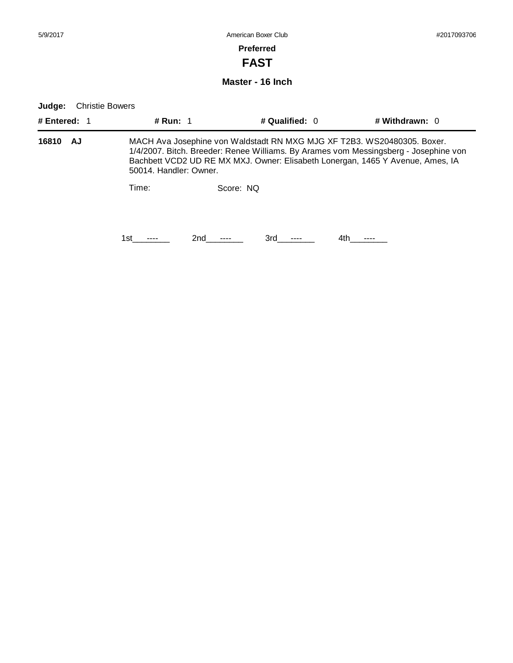# **FAST**

#### **Master - 16 Inch**

| # Entered: 1 | <b># Run: 1</b>                                                                                                                                                                                                                                                             | # Qualified: 0 | # Withdrawn: $0$ |  |  |  |
|--------------|-----------------------------------------------------------------------------------------------------------------------------------------------------------------------------------------------------------------------------------------------------------------------------|----------------|------------------|--|--|--|
| 16810<br>AJ. | MACH Ava Josephine von Waldstadt RN MXG MJG XF T2B3. WS20480305. Boxer.<br>1/4/2007. Bitch. Breeder: Renee Williams. By Arames vom Messingsberg - Josephine von<br>Bachbett VCD2 UD RE MX MXJ. Owner: Elisabeth Lonergan, 1465 Y Avenue, Ames, IA<br>50014. Handler: Owner. |                |                  |  |  |  |
|              | Time:                                                                                                                                                                                                                                                                       | Score: NO      |                  |  |  |  |
|              | 1st                                                                                                                                                                                                                                                                         | 2nd<br>3rd     | 4th              |  |  |  |